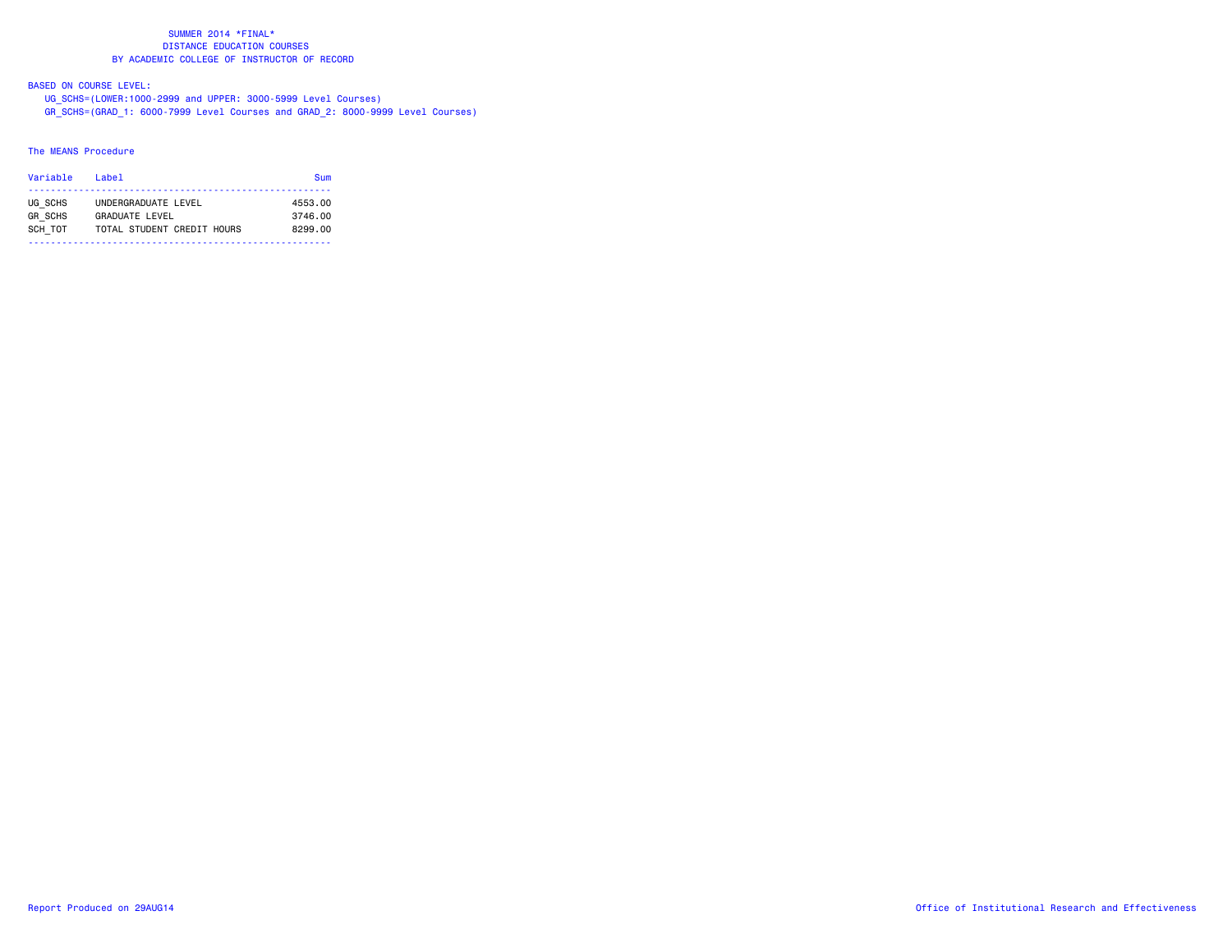BASED ON COURSE LEVEL:

UG\_SCHS=(LOWER:1000-2999 and UPPER: 3000-5999 Level Courses)

GR\_SCHS=(GRAD\_1: 6000-7999 Level Courses and GRAD\_2: 8000-9999 Level Courses)

# The MEANS Procedure

| Variable                  | Label                                 | Sum                |
|---------------------------|---------------------------------------|--------------------|
| UG SCHS<br><b>GR SCHS</b> | UNDERGRADUATE LEVEL<br>GRADUATE LEVEL | 4553.00<br>3746.00 |
| SCH TOT                   | TOTAL STUDENT CREDIT HOURS            | 8299.00            |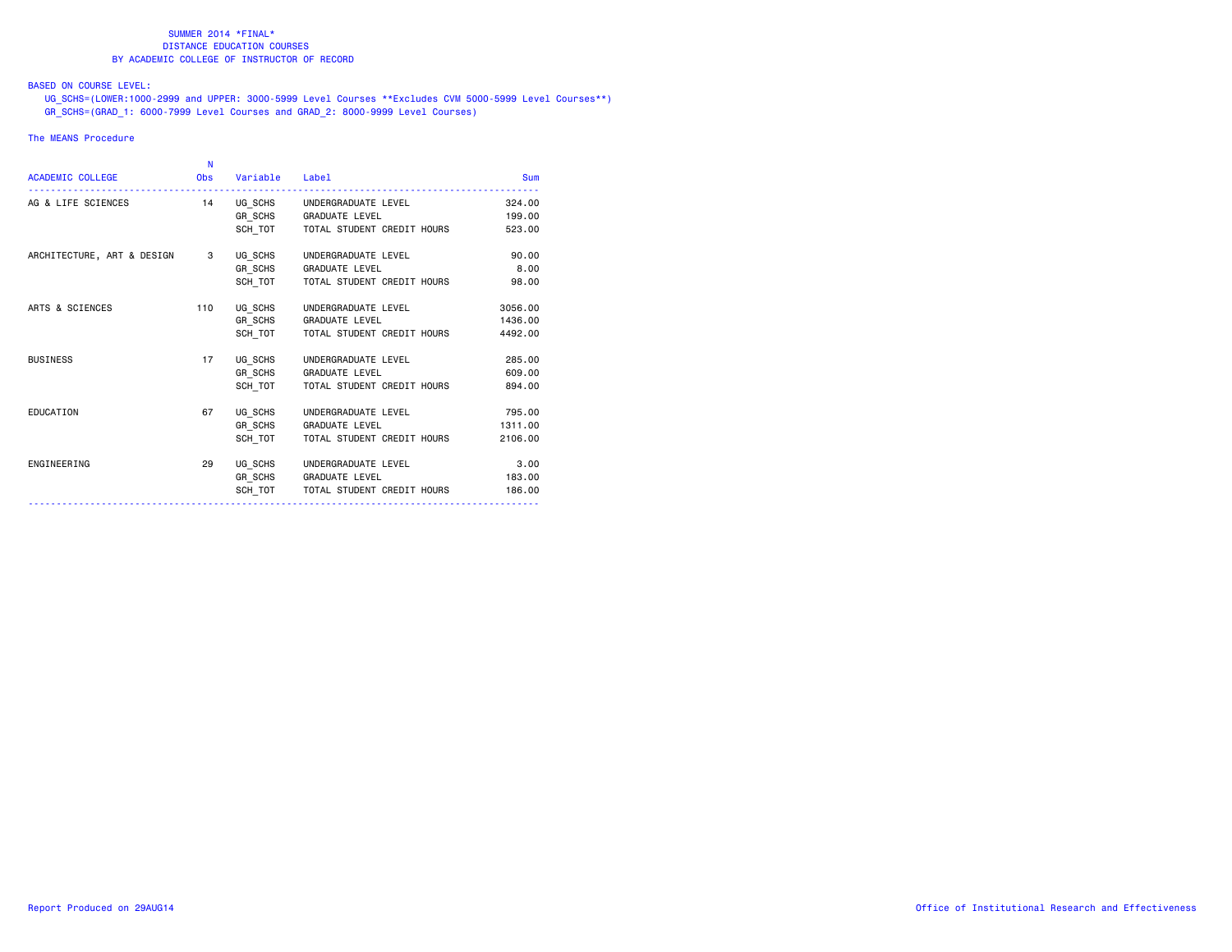# BASED ON COURSE LEVEL:

 UG\_SCHS=(LOWER:1000-2999 and UPPER: 3000-5999 Level Courses \*\*Excludes CVM 5000-5999 Level Courses\*\*) GR\_SCHS=(GRAD\_1: 6000-7999 Level Courses and GRAD\_2: 8000-9999 Level Courses)

# The MEANS Procedure

|                              | -N |                    |                                      |         |
|------------------------------|----|--------------------|--------------------------------------|---------|
| ACADEMIC COLLEGE             |    | Obs Variable Label |                                      | Sum     |
| AG & LIFE SCIENCES           |    |                    | 14 UG SCHS UNDERGRADUATE LEVEL       | 324,00  |
|                              |    |                    | GR_SCHS GRADUATE LEVEL               | 199.00  |
|                              |    |                    | SCH TOT TOTAL STUDENT CREDIT HOURS   | 523.00  |
| ARCHITECTURE, ART & DESIGN 3 |    |                    | UG_SCHS UNDERGRADUATE LEVEL          | 90.00   |
|                              |    |                    | GR_SCHS GRADUATE LEVEL               | 8.00    |
|                              |    |                    | SCH TOT   TOTAL STUDENT CREDIT HOURS | 98,00   |
| ARTS & SCIENCES              |    |                    | 110 UG_SCHS UNDERGRADUATE LEVEL      | 3056.00 |
|                              |    |                    | GR_SCHS GRADUATE LEVEL               | 1436.00 |
|                              |    |                    | SCH TOT TOTAL STUDENT CREDIT HOURS   | 4492.00 |
| <b>BUSINESS</b>              | 17 |                    | UG SCHS UNDERGRADUATE LEVEL          | 285.00  |
|                              |    |                    | GR_SCHS GRADUATE LEVEL               | 609,00  |
|                              |    | SCH TOT            | TOTAL STUDENT CREDIT HOURS           | 894.00  |
| EDUCATION                    | 67 |                    | UG_SCHS UNDERGRADUATE LEVEL          | 795.00  |
|                              |    |                    | GR_SCHS GRADUATE LEVEL               | 1311.00 |
|                              |    | SCH TOT            | TOTAL STUDENT CREDIT HOURS           | 2106.00 |
| ENGINEERING                  | 29 |                    | UG_SCHS UNDERGRADUATE LEVEL          | 3.00    |
|                              |    |                    | GR_SCHS GRADUATE LEVEL               | 183.00  |
|                              |    |                    | SCH TOT TOTAL STUDENT CREDIT HOURS   | 186,00  |
|                              |    |                    |                                      |         |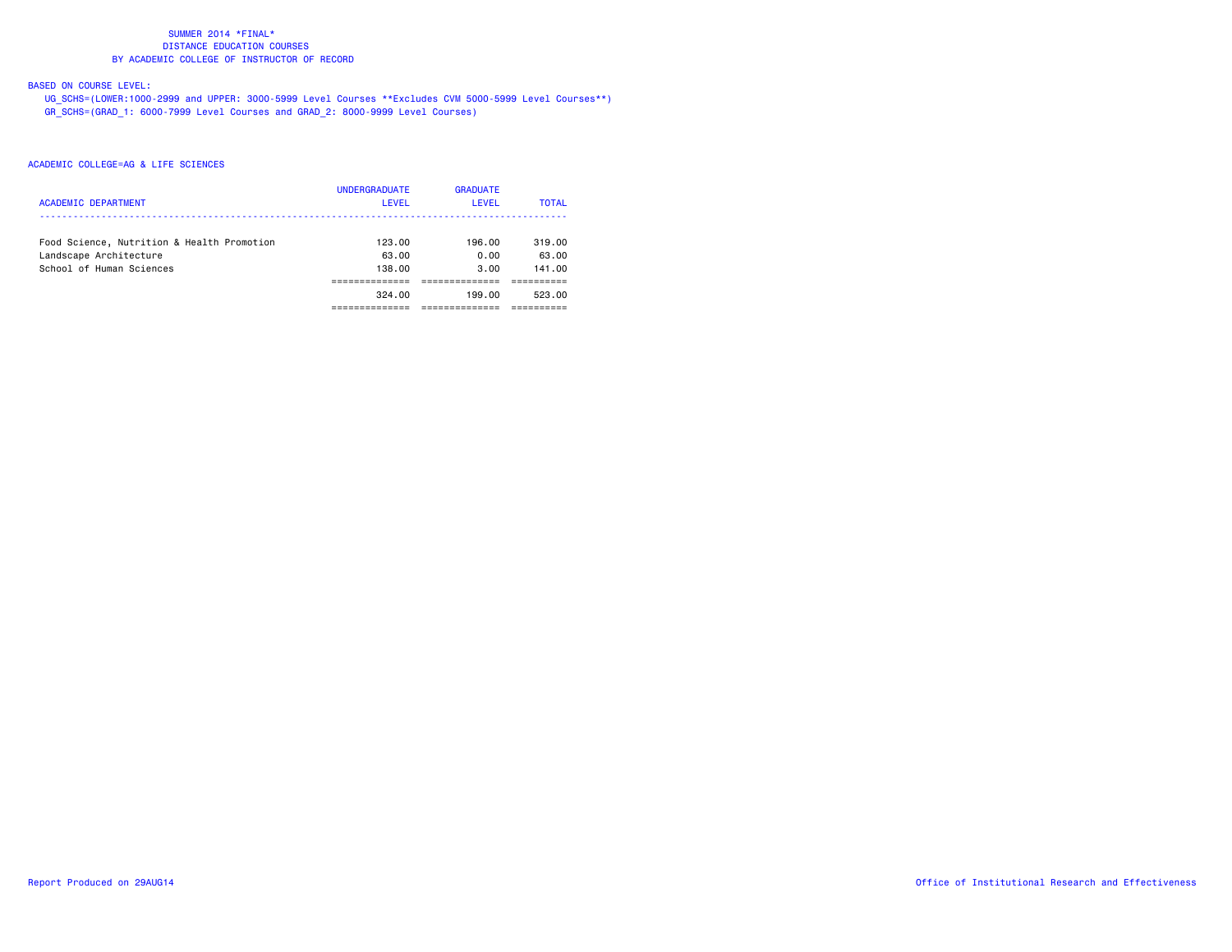# BASED ON COURSE LEVEL:

 UG\_SCHS=(LOWER:1000-2999 and UPPER: 3000-5999 Level Courses \*\*Excludes CVM 5000-5999 Level Courses\*\*) GR\_SCHS=(GRAD\_1: 6000-7999 Level Courses and GRAD\_2: 8000-9999 Level Courses)

| <b>ACADEMIC DEPARTMENT</b>                                           | <b>UNDERGRADUATE</b><br>LEVEL | <b>GRADUATE</b><br>LEVEL | <b>TOTAL</b>    |
|----------------------------------------------------------------------|-------------------------------|--------------------------|-----------------|
| Food Science, Nutrition & Health Promotion<br>Landscape Architecture | 123.00<br>63.00               | 196.00<br>0.00           | 319.00<br>63.00 |
| School of Human Sciences                                             | 138,00                        | 3.00                     | 141.00          |
|                                                                      | 324.00                        | 199.00                   | 523.00          |
|                                                                      |                               |                          |                 |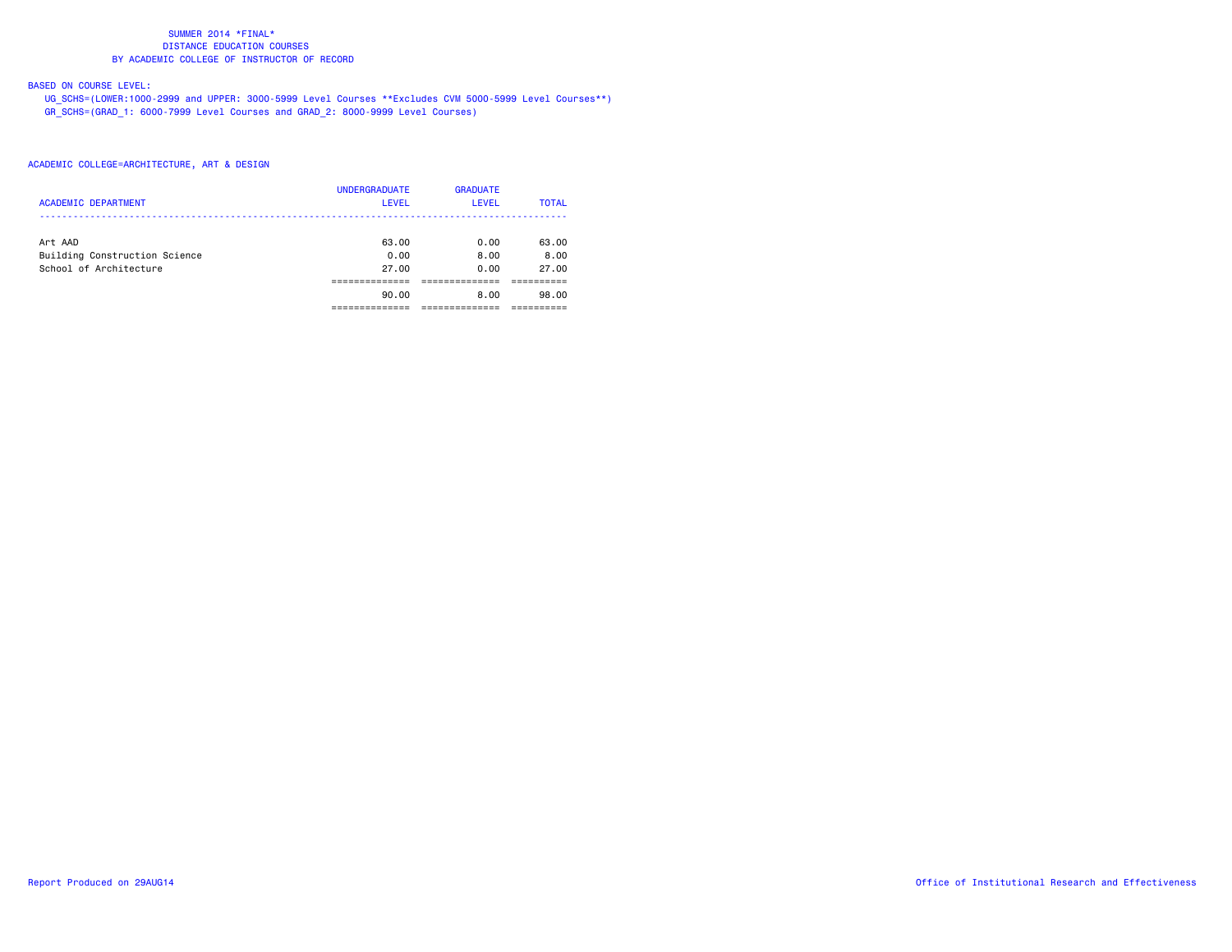# BASED ON COURSE LEVEL:

 UG\_SCHS=(LOWER:1000-2999 and UPPER: 3000-5999 Level Courses \*\*Excludes CVM 5000-5999 Level Courses\*\*) GR\_SCHS=(GRAD\_1: 6000-7999 Level Courses and GRAD\_2: 8000-9999 Level Courses)

| <b>ACADEMIC DEPARTMENT</b>    | <b>UNDERGRADUATE</b><br><b>LEVEL</b> | <b>GRADUATE</b><br><b>LEVEL</b> | <b>TOTAL</b> |
|-------------------------------|--------------------------------------|---------------------------------|--------------|
| Art AAD                       | 63.00                                | 0.00                            | 63.00        |
| Building Construction Science | 0.00                                 | 8.00                            | 8.00         |
| School of Architecture        | 27.00                                | 0.00                            | 27.00        |
|                               |                                      |                                 |              |
|                               | 90.00                                | 8.00                            | 98.00        |
|                               |                                      |                                 |              |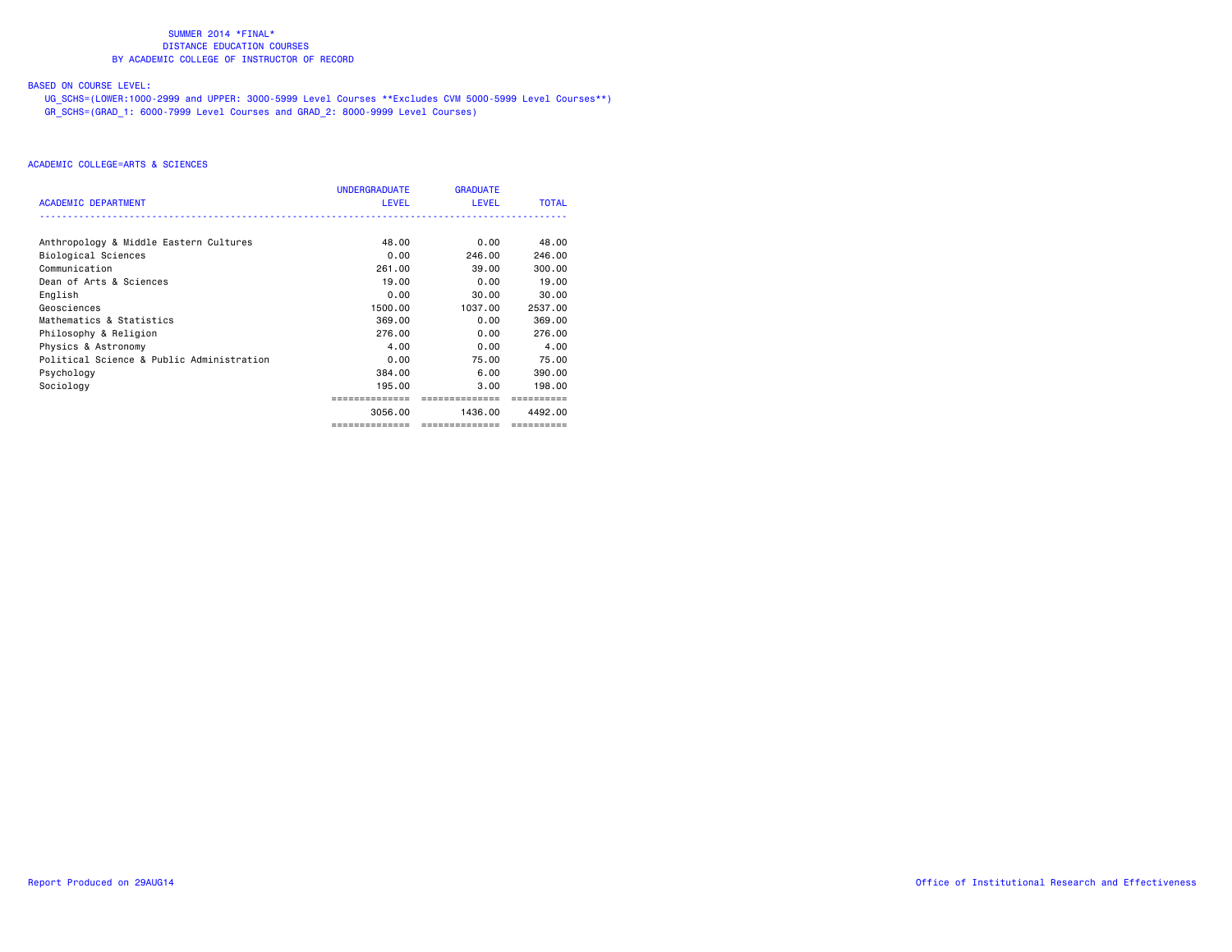# BASED ON COURSE LEVEL:

 UG\_SCHS=(LOWER:1000-2999 and UPPER: 3000-5999 Level Courses \*\*Excludes CVM 5000-5999 Level Courses\*\*) GR\_SCHS=(GRAD\_1: 6000-7999 Level Courses and GRAD\_2: 8000-9999 Level Courses)

|                                           | UNDERGRADUATE  | <b>GRADUATE</b> |              |
|-------------------------------------------|----------------|-----------------|--------------|
| <b>ACADEMIC DEPARTMENT</b>                | <b>LEVEL</b>   | <b>LEVEL</b>    | <b>TOTAL</b> |
| Anthropology & Middle Eastern Cultures    | 48.00          | 0.00            | 48.00        |
| Biological Sciences                       | 0.00           | 246.00          | 246.00       |
| Communication                             | 261.00         | 39.00           | 300,00       |
| Dean of Arts & Sciences                   | 19,00          | 0.00            | 19,00        |
| English                                   | 0.00           | 30.00           | 30.00        |
| Geosciences                               | 1500.00        | 1037.00         | 2537.00      |
| Mathematics & Statistics                  | 369,00         | 0.00            | 369,00       |
| Philosophy & Religion                     | 276.00         | 0.00            | 276.00       |
| Physics & Astronomy                       | 4.00           | 0.00            | 4.00         |
| Political Science & Public Administration | 0.00           | 75.00           | 75.00        |
| Psychology                                | 384.00         | 6.00            | 390.00       |
| Sociology                                 | 195,00         | 3.00            | 198,00       |
|                                           |                | ============    |              |
|                                           | 3056.00        | 1436.00         | 4492.00      |
|                                           | ============== | ==============  | ==========   |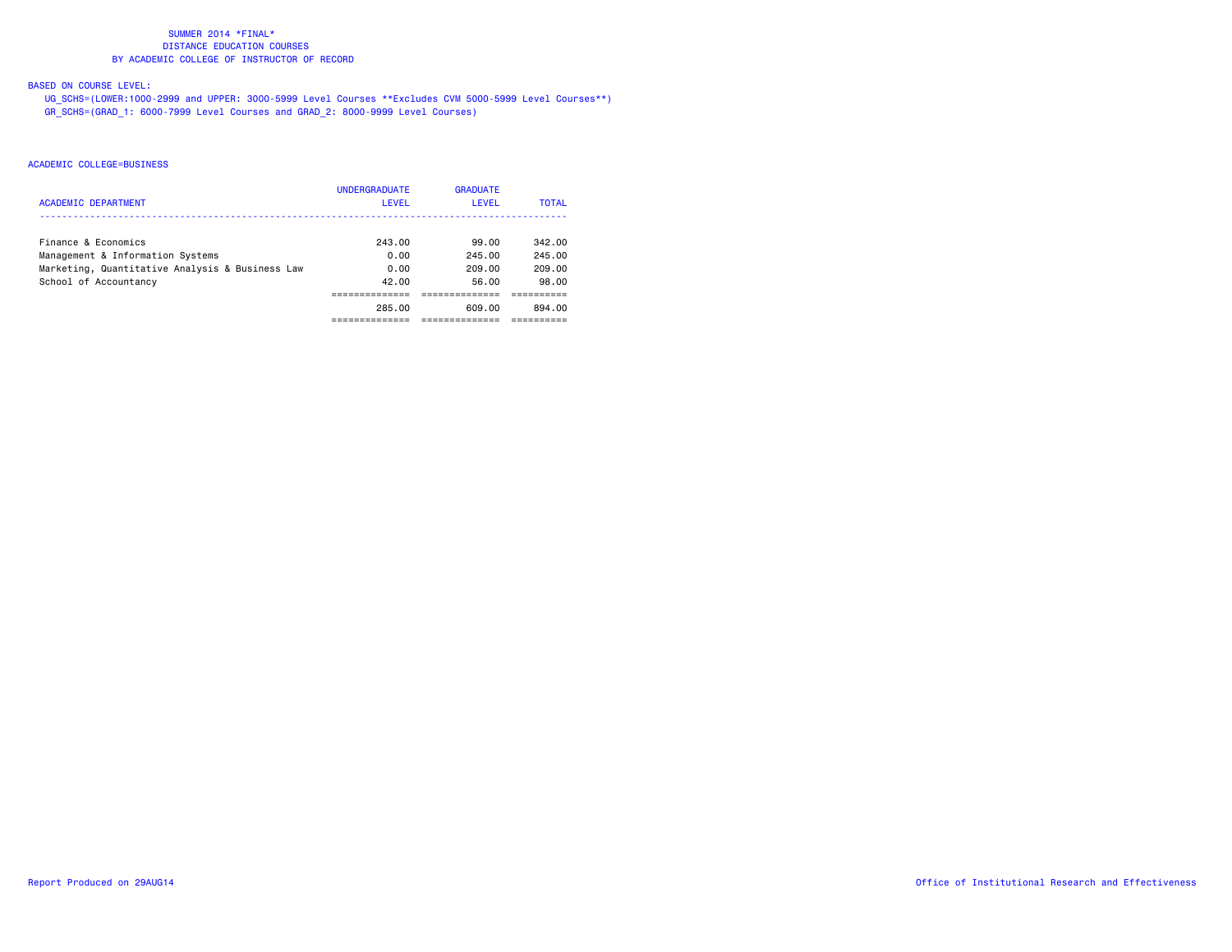# BASED ON COURSE LEVEL:

 UG\_SCHS=(LOWER:1000-2999 and UPPER: 3000-5999 Level Courses \*\*Excludes CVM 5000-5999 Level Courses\*\*) GR\_SCHS=(GRAD\_1: 6000-7999 Level Courses and GRAD\_2: 8000-9999 Level Courses)

| <b>ACADEMIC DEPARTMENT</b>                                                                                                          | <b>UNDERGRADUATE</b><br>LEVEL   | <b>GRADUATE</b><br>LEVEL           | <b>TOTAL</b>                        |
|-------------------------------------------------------------------------------------------------------------------------------------|---------------------------------|------------------------------------|-------------------------------------|
| Finance & Economics<br>Management & Information Systems<br>Marketing, Quantitative Analysis & Business Law<br>School of Accountancy | 243.00<br>0.00<br>0.00<br>42.00 | 99.00<br>245.00<br>209.00<br>56.00 | 342.00<br>245.00<br>209.00<br>98.00 |
|                                                                                                                                     | 285.00                          | 609.00                             | 894.00                              |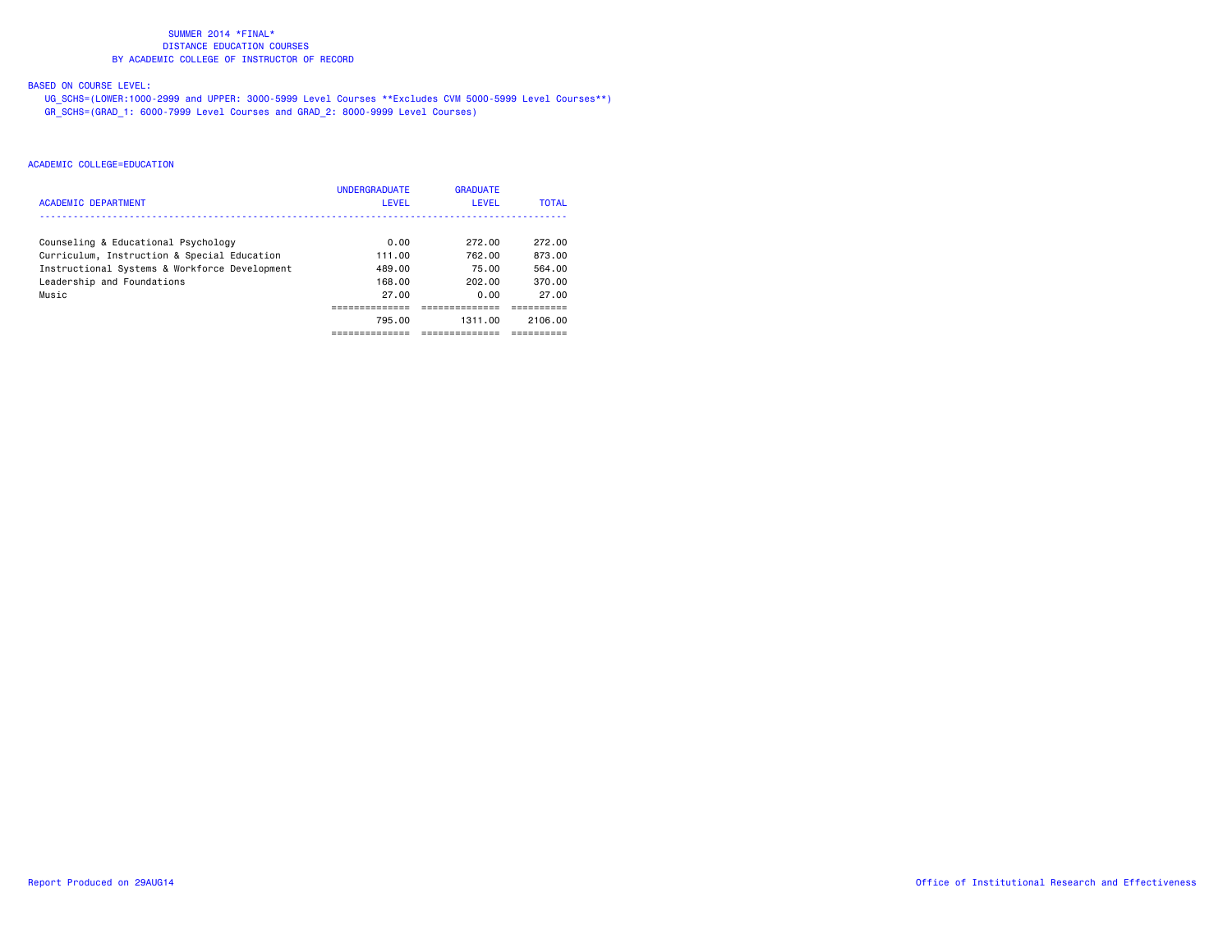# BASED ON COURSE LEVEL:

 UG\_SCHS=(LOWER:1000-2999 and UPPER: 3000-5999 Level Courses \*\*Excludes CVM 5000-5999 Level Courses\*\*) GR\_SCHS=(GRAD\_1: 6000-7999 Level Courses and GRAD\_2: 8000-9999 Level Courses)

|                                               | <b>UNDERGRADUATE</b> | <b>GRADUATE</b> |              |
|-----------------------------------------------|----------------------|-----------------|--------------|
| <b>ACADEMIC DEPARTMENT</b>                    | LEVEL                | <b>LEVEL</b>    | <b>TOTAL</b> |
|                                               |                      |                 |              |
| Counseling & Educational Psychology           | 0.00                 | 272.00          | 272.00       |
| Curriculum, Instruction & Special Education   | 111.00               | 762.00          | 873.00       |
| Instructional Systems & Workforce Development | 489.00               | 75.00           | 564.00       |
| Leadership and Foundations                    | 168.00               | 202.00          | 370.00       |
| Music                                         | 27.00                | 0.00            | 27.00        |
|                                               |                      |                 |              |
|                                               | 795.00               | 1311.00         | 2106.00      |
|                                               |                      |                 |              |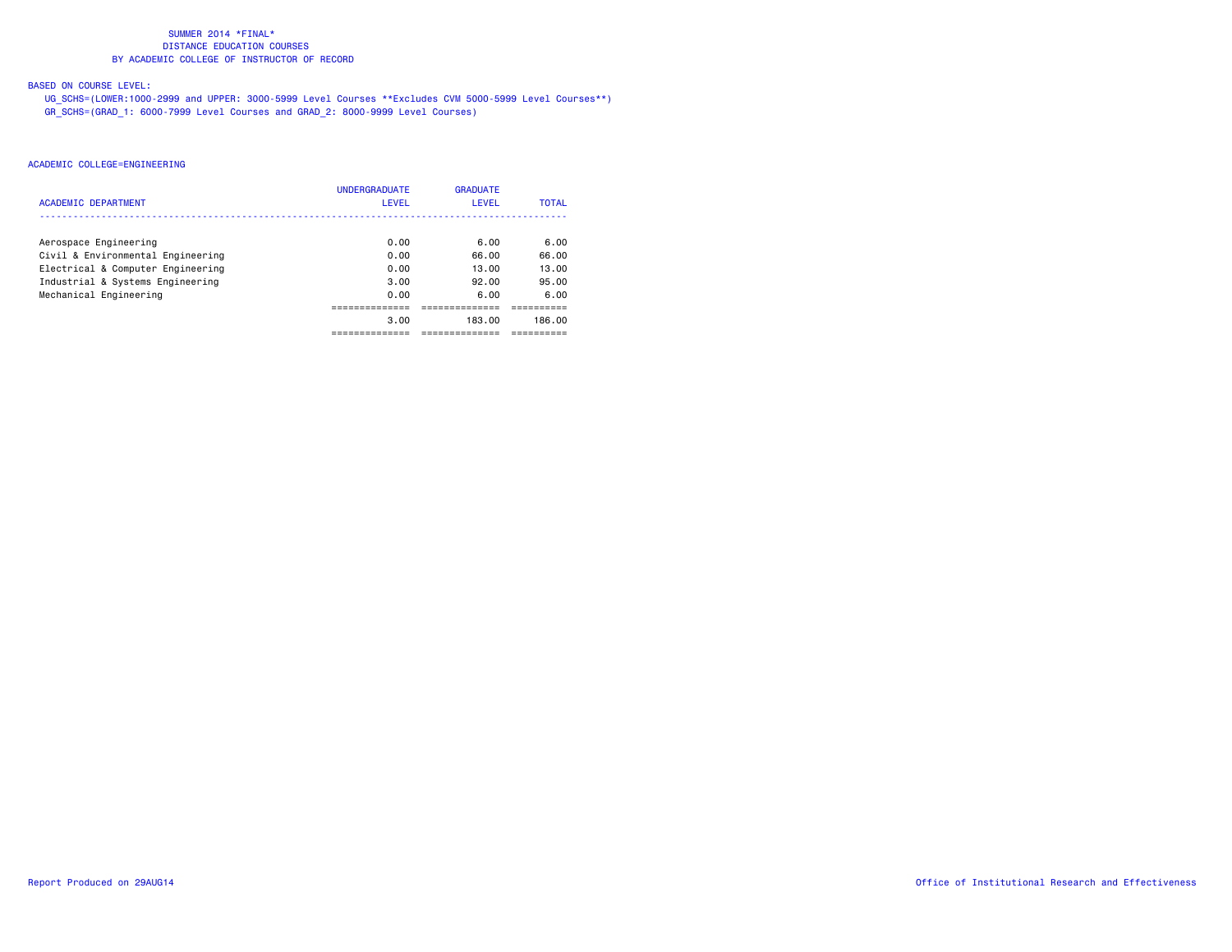# BASED ON COURSE LEVEL:

 UG\_SCHS=(LOWER:1000-2999 and UPPER: 3000-5999 Level Courses \*\*Excludes CVM 5000-5999 Level Courses\*\*) GR\_SCHS=(GRAD\_1: 6000-7999 Level Courses and GRAD\_2: 8000-9999 Level Courses)

|                                   | <b>UNDERGRADUATE</b> | <b>GRADUATE</b> |              |
|-----------------------------------|----------------------|-----------------|--------------|
| <b>ACADEMIC DEPARTMENT</b>        | LEVEL                | LEVEL           | <b>TOTAL</b> |
|                                   |                      |                 |              |
| Aerospace Engineering             | 0.00                 | 6.00            | 6.00         |
| Civil & Environmental Engineering | 0.00                 | 66.00           | 66.00        |
| Electrical & Computer Engineering | 0.00                 | 13.00           | 13.00        |
| Industrial & Systems Engineering  | 3.00                 | 92.00           | 95.00        |
| Mechanical Engineering            | 0.00                 | 6.00            | 6.00         |
|                                   |                      |                 |              |
|                                   | 3.00                 | 183.00          | 186.00       |
|                                   |                      |                 |              |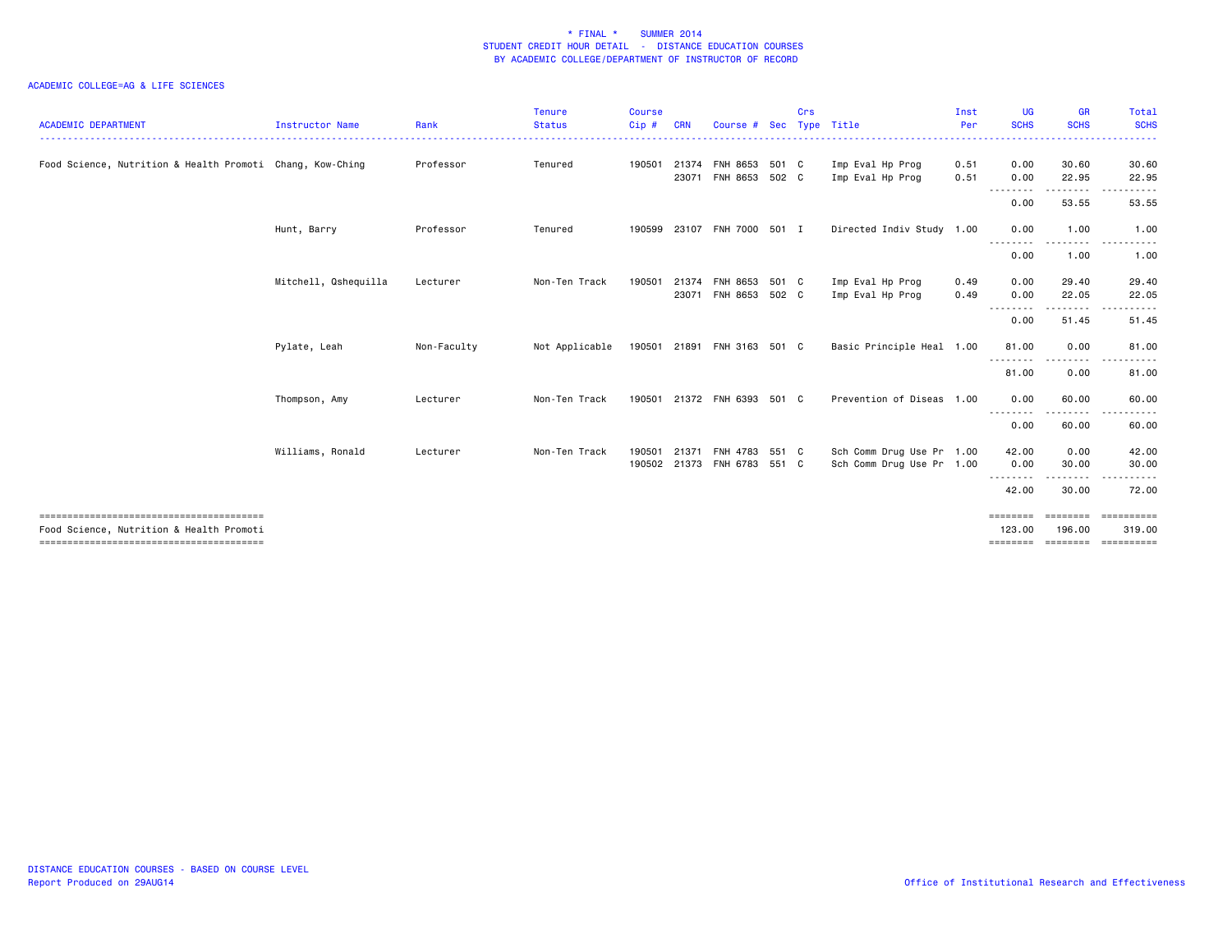| <b>ACADEMIC DEPARTMENT</b>                                | <b>Instructor Name</b> | Rank        | <b>Tenure</b><br><b>Status</b> | <b>Course</b><br>Cip # | <b>CRN</b> | Course #                                     | <b>Sec</b> | Crs | Type Title                                             | Inst<br>Per  | UG<br><b>SCHS</b>        | <b>GR</b><br><b>SCHS</b> | Total<br><b>SCHS</b>                                                                                                                                         |
|-----------------------------------------------------------|------------------------|-------------|--------------------------------|------------------------|------------|----------------------------------------------|------------|-----|--------------------------------------------------------|--------------|--------------------------|--------------------------|--------------------------------------------------------------------------------------------------------------------------------------------------------------|
| Food Science, Nutrition & Health Promoti Chang, Kow-Ching |                        | Professor   | Tenured                        | 190501                 | 23071      | 21374 FNH 8653<br>FNH 8653 502 C             | 501 C      |     | Imp Eval Hp Prog<br>Imp Eval Hp Prog                   | 0.51<br>0.51 | 0.00<br>0.00             | 30.60<br>22.95           | 30.60<br>22.95                                                                                                                                               |
|                                                           |                        |             |                                |                        |            |                                              |            |     |                                                        |              | 0.00                     | 53.55                    | 53.55                                                                                                                                                        |
|                                                           | Hunt, Barry            | Professor   | Tenured                        | 190599                 |            | 23107 FNH 7000 501 I                         |            |     | Directed Indiv Study 1.00                              |              | 0.00                     | 1.00                     | 1.00                                                                                                                                                         |
|                                                           |                        |             |                                |                        |            |                                              |            |     |                                                        |              | 0.00                     | 1.00                     | $\frac{1}{2} \left( \frac{1}{2} \right) \left( \frac{1}{2} \right) \left( \frac{1}{2} \right) \left( \frac{1}{2} \right) \left( \frac{1}{2} \right)$<br>1.00 |
|                                                           | Mitchell, Qshequilla   | Lecturer    | Non-Ten Track                  | 190501                 |            | 21374 FNH 8653 501 C<br>23071 FNH 8653 502 C |            |     | Imp Eval Hp Prog<br>Imp Eval Hp Prog                   | 0.49<br>0.49 | 0.00<br>0.00             | 29.40<br>22.05           | 29.40<br>22.05                                                                                                                                               |
|                                                           |                        |             |                                |                        |            |                                              |            |     |                                                        |              | 0.00                     | 51.45                    | 51.45                                                                                                                                                        |
|                                                           | Pylate, Leah           | Non-Faculty | Not Applicable                 |                        |            | 190501 21891 FNH 3163 501 C                  |            |     | Basic Principle Heal 1.00                              |              | 81.00                    | 0.00                     | 81.00                                                                                                                                                        |
|                                                           |                        |             |                                |                        |            |                                              |            |     |                                                        |              | 81.00                    | 0.00                     | 81.00                                                                                                                                                        |
|                                                           | Thompson, Amy          | Lecturer    | Non-Ten Track                  |                        |            | 190501 21372 FNH 6393 501 C                  |            |     | Prevention of Diseas 1.00                              |              | 0.00                     | 60.00<br>.               | 60.00                                                                                                                                                        |
|                                                           |                        |             |                                |                        |            |                                              |            |     |                                                        |              | - - - - - - - -<br>0.00  | 60.00                    | 60.00                                                                                                                                                        |
|                                                           | Williams, Ronald       | Lecturer    | Non-Ten Track                  | 190501<br>190502       | 21371      | FNH 4783 551 C<br>21373 FNH 6783             | 551 C      |     | Sch Comm Drug Use Pr 1.00<br>Sch Comm Drug Use Pr 1.00 |              | 42.00<br>0.00            | 0.00<br>30.00            | 42.00<br>30.00                                                                                                                                               |
|                                                           |                        |             |                                |                        |            |                                              |            |     |                                                        |              | - - - - - - - -<br>42.00 | 30.00                    | 72.00                                                                                                                                                        |
| Food Science, Nutrition & Health Promoti                  |                        |             |                                |                        |            |                                              |            |     |                                                        |              | ========<br>123,00       | <b>EEEEEEE</b><br>196.00 | ==========<br>319.00                                                                                                                                         |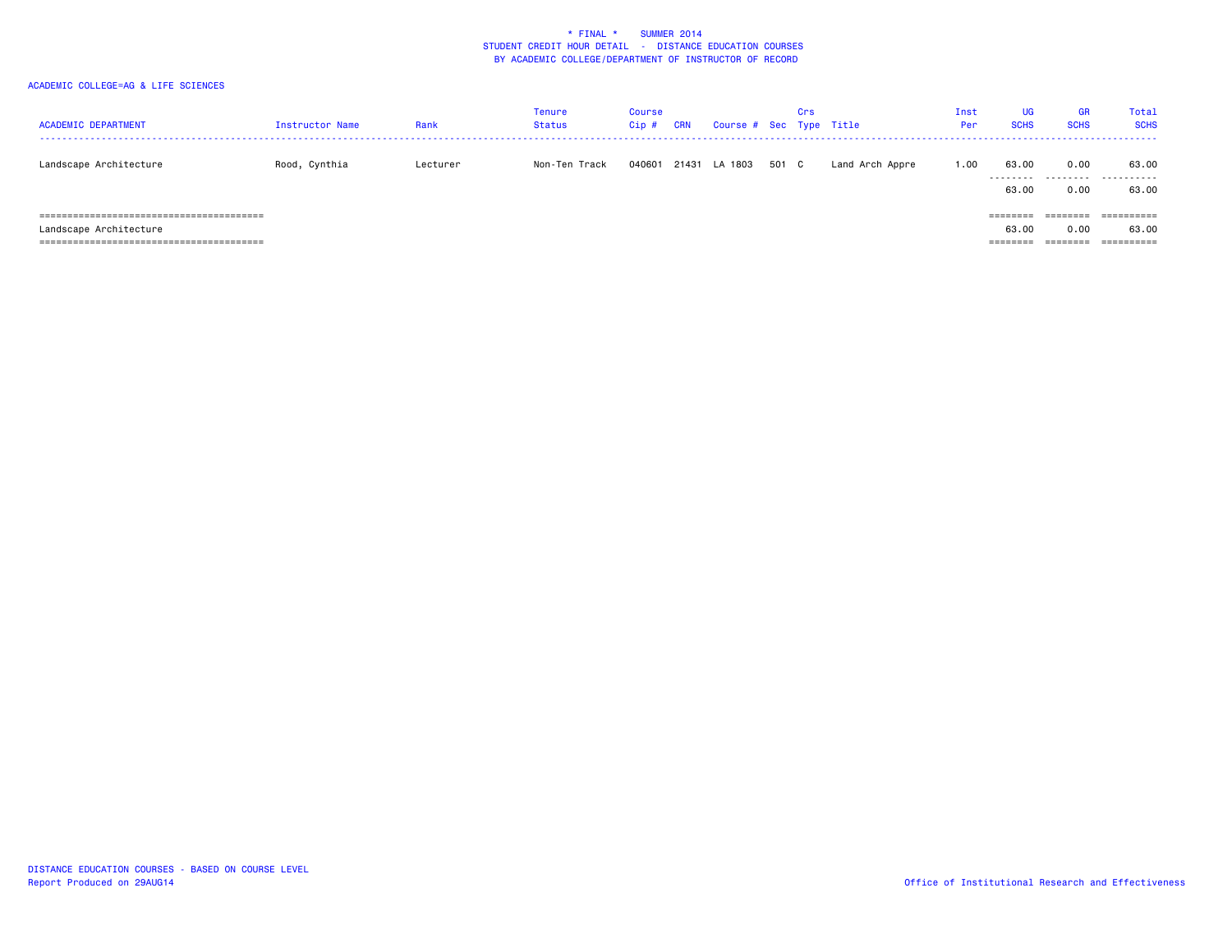| <b>ACADEMIC DEPARTMENT</b> | Instructor Name | Rank     | <b>Tenure</b><br>Status | Course<br>Cip# | <b>CRN</b> | Course # Sec Type Title |       | Crs |                 | Inst<br>Per | UG<br><b>SCHS</b> | <b>GR</b><br><b>SCHS</b> | Total<br><b>SCHS</b> |
|----------------------------|-----------------|----------|-------------------------|----------------|------------|-------------------------|-------|-----|-----------------|-------------|-------------------|--------------------------|----------------------|
| Landscape Architecture     | Rood, Cynthia   | Lecturer | Non-Ten Track           | 040601         | 21431      | LA 1803                 | 501 C |     | Land Arch Appre | 1.00        | 63.00<br>.        | 0.00<br>.                | 63.00<br>.           |
|                            |                 |          |                         |                |            |                         |       |     |                 |             | 63.00<br>======== | 0.00<br>========         | 63.00<br>==========  |
| Landscape Architecture     |                 |          |                         |                |            |                         |       |     |                 |             | 63.00             | 0.00                     | 63.00                |
|                            |                 |          |                         |                |            |                         |       |     |                 |             | ========          | ========                 |                      |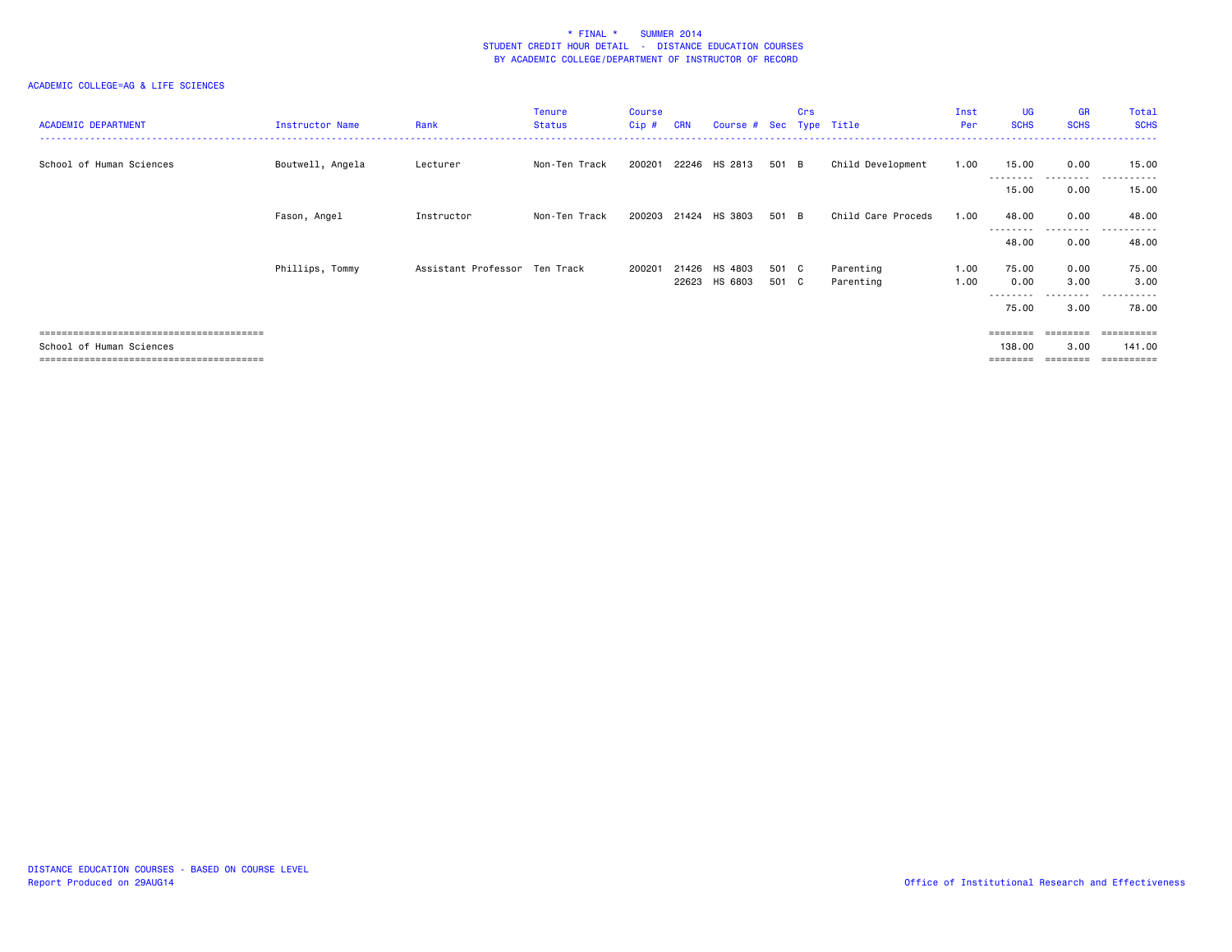| <b>ACADEMIC DEPARTMENT</b> | Instructor Name  | Rank                          | Tenure<br><b>Status</b> | <b>Course</b><br>$Cip$ # | <b>CRN</b> | Course # Sec Type Title |       | Crs |                    | Inst<br>Per | <b>UG</b><br><b>SCHS</b> | <b>GR</b><br><b>SCHS</b> | Total<br><b>SCHS</b>       |
|----------------------------|------------------|-------------------------------|-------------------------|--------------------------|------------|-------------------------|-------|-----|--------------------|-------------|--------------------------|--------------------------|----------------------------|
| School of Human Sciences   | Boutwell, Angela | Lecturer                      | Non-Ten Track           | 200201                   |            | 22246 HS 2813           | 501 B |     | Child Development  | 1.00        | 15.00<br>---------       | 0.00<br>.                | 15.00<br>. <u>.</u> .<br>. |
|                            |                  |                               |                         |                          |            |                         |       |     |                    |             | 15.00                    | 0.00                     | 15.00                      |
|                            | Fason, Angel     | Instructor                    | Non-Ten Track           |                          |            | 200203 21424 HS 3803    | 501 B |     | Child Care Proceds | 1.00        | 48.00                    | 0.00                     | 48.00                      |
|                            |                  |                               |                         |                          |            |                         |       |     |                    |             | --------<br>48.00        | ---------<br>0.00        | .<br>------<br>48.00       |
|                            | Phillips, Tommy  | Assistant Professor Ten Track |                         | 200201                   | 21426      | HS 4803                 | 501 C |     | Parenting          | 1.00        | 75.00                    | 0.00                     | 75.00                      |
|                            |                  |                               |                         |                          |            | 22623 HS 6803           | 501 C |     | Parenting          | 1.00        | 0.00                     | 3.00<br>---------        | 3.00<br>.                  |
|                            |                  |                               |                         |                          |            |                         |       |     |                    |             | 75.00                    | 3.00                     | 78.00                      |
|                            |                  |                               |                         |                          |            |                         |       |     |                    |             | ========                 | ========                 | -----------                |
| School of Human Sciences   |                  |                               |                         |                          |            |                         |       |     |                    |             | 138,00                   | 3.00                     | 141.00                     |
|                            |                  |                               |                         |                          |            |                         |       |     |                    |             |                          |                          | --------                   |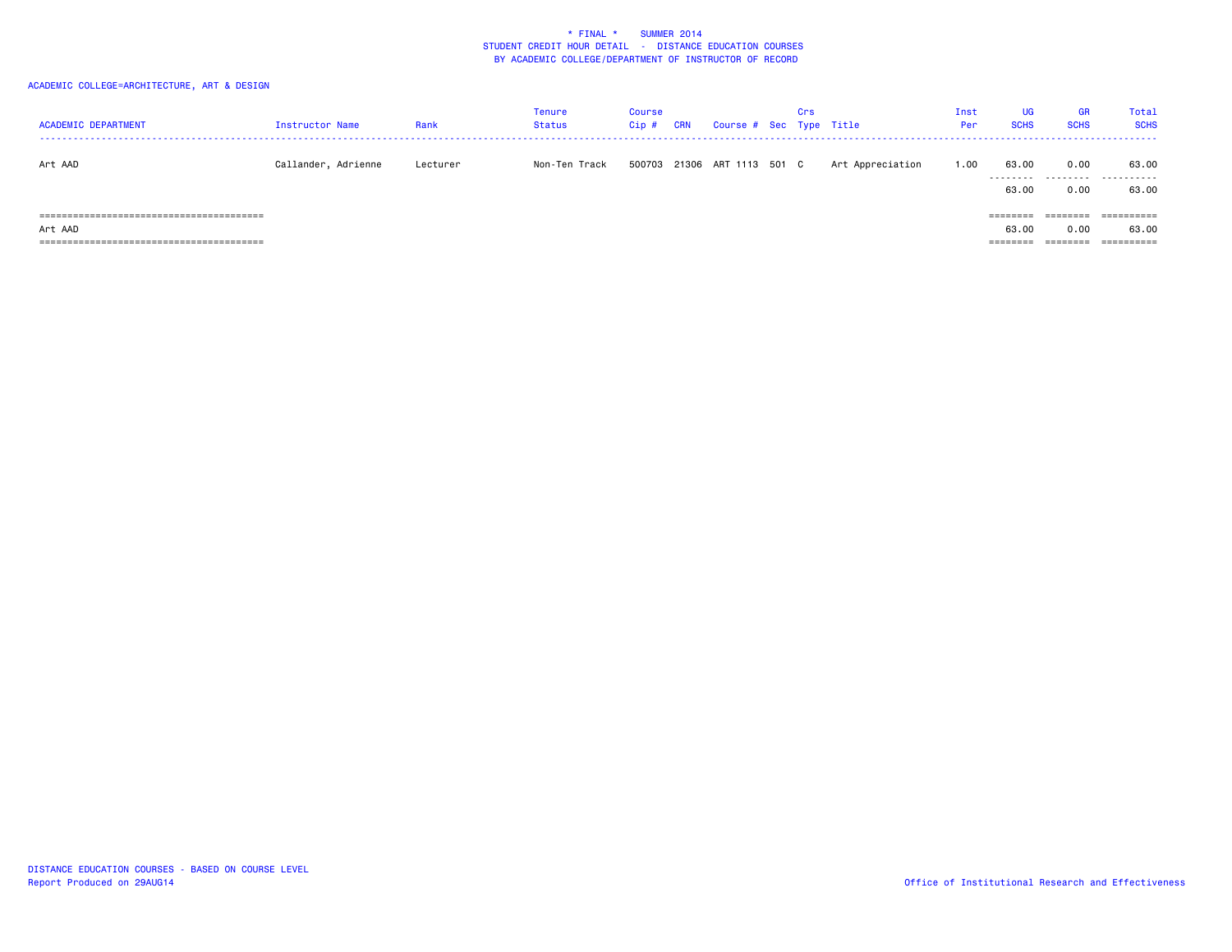| <b>ACADEMIC DEPARTMENT</b> | Instructor Name     | Rank     | Tenure<br><b>Status</b> | <b>Course</b><br>Cip# | CRN | Course # Sec Type Title     | Crs |                  | Inst<br>Per | UG<br><b>SCHS</b>             | <b>GR</b><br><b>SCHS</b>              | <b>Total</b><br><b>SCHS</b>                  |
|----------------------------|---------------------|----------|-------------------------|-----------------------|-----|-----------------------------|-----|------------------|-------------|-------------------------------|---------------------------------------|----------------------------------------------|
| Art AAD                    | Callander, Adrienne | Lecturer | Non-Ten Track           |                       |     | 500703 21306 ART 1113 501 C |     | Art Appreciation | 1.00        | 63.00<br>.<br>63.00           | 0.00<br>.<br>0.00                     | 63.00<br>.<br>63.00                          |
| Art AAD                    |                     |          |                         |                       |     |                             |     |                  |             | ========<br>63.00<br>======== | ========<br>0.00<br>$=$ = = = = = = = | ==========<br>63.00<br>$=$ = = = = = = = = = |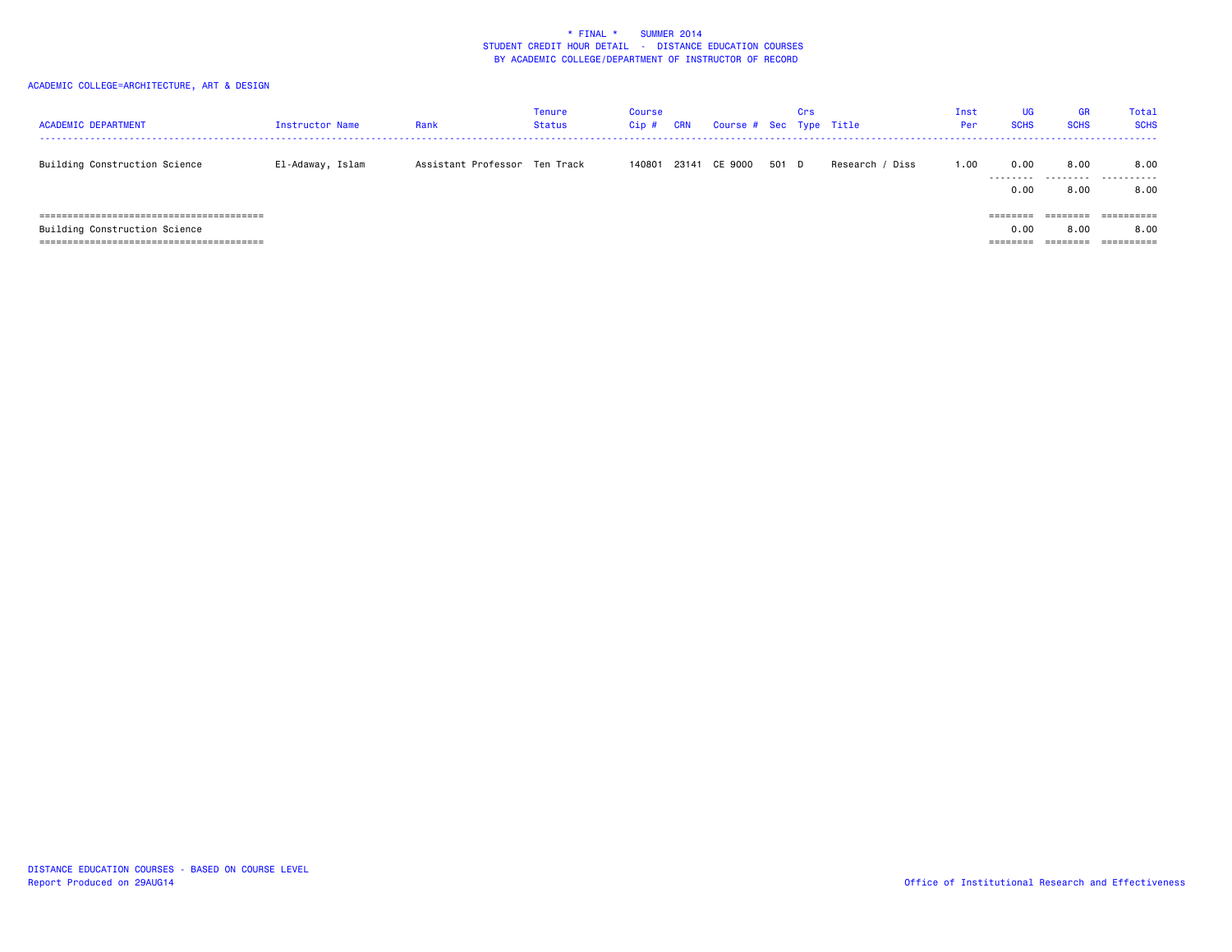| <b>ACADEMIC DEPARTMENT</b>                             | Instructor Name  | Rank                          | Tenure<br>Status | <b>Course</b><br>$Cip$ # | CRN | Course # Sec Type Title |       | Crs |                 | Inst<br>Per | UG<br><b>SCHS</b> | <b>GR</b><br><b>SCHS</b> | Total<br><b>SCHS</b>             |
|--------------------------------------------------------|------------------|-------------------------------|------------------|--------------------------|-----|-------------------------|-------|-----|-----------------|-------------|-------------------|--------------------------|----------------------------------|
| Building Construction Science                          | El-Adaway, Islam | Assistant Professor Ten Track |                  | 140801                   |     | 23141 CE 9000           | 501 D |     | Research / Diss | 1.00        | 0.00<br>.<br>0.00 | 8.00<br>.<br>8,00        | 8.00<br>.<br>8.00                |
| Building Construction Science<br>--------------------- |                  |                               |                  |                          |     |                         |       |     |                 |             | ========<br>0.00  | --------<br>8,00         | ==========<br>8.00<br>========== |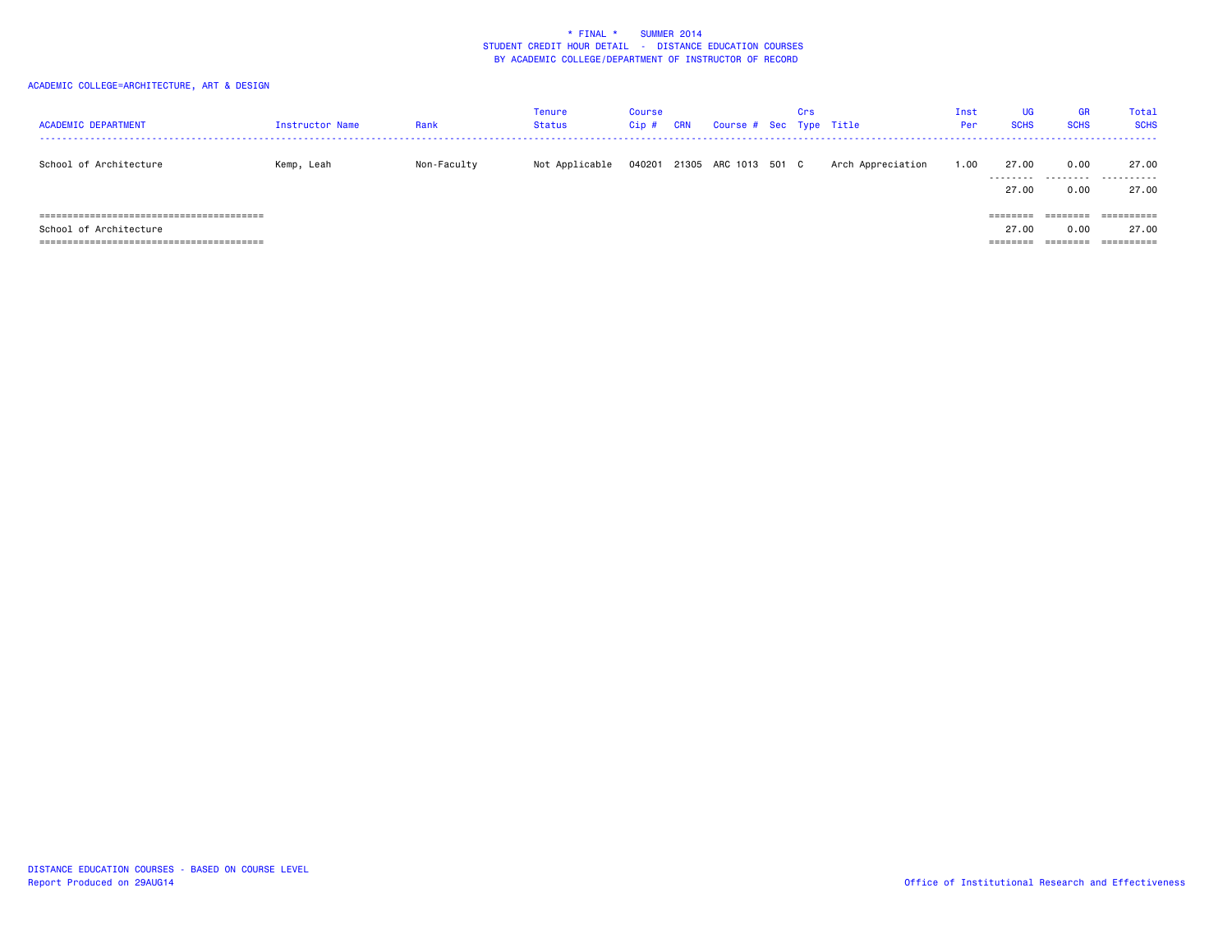| <b>ACADEMIC DEPARTMENT</b> | Instructor Name | Rank        | Tenure<br>Status | Course<br>$Cip$ # | CRN | Course # Sec Type Title     | Crs |                   | Inst<br>Per | <b>UG</b><br><b>SCHS</b> | <b>GR</b><br><b>SCHS</b> | Total<br><b>SCHS</b> |
|----------------------------|-----------------|-------------|------------------|-------------------|-----|-----------------------------|-----|-------------------|-------------|--------------------------|--------------------------|----------------------|
| School of Architecture     | Kemp, Leah      | Non-Faculty | Not Applicable   |                   |     | 040201 21305 ARC 1013 501 C |     | Arch Appreciation | 1.00        | 27.00                    | 0.00                     | 27.00<br>            |
|                            |                 |             |                  |                   |     |                             |     |                   |             | 27.00                    | 0.00                     | 27.00                |
|                            |                 |             |                  |                   |     |                             |     |                   |             |                          |                          | ==========           |
| School of Architecture     |                 |             |                  |                   |     |                             |     |                   |             | 27.00                    | 0.00                     | 27.00                |
|                            |                 |             |                  |                   |     |                             |     |                   |             | =======                  |                          | ==========           |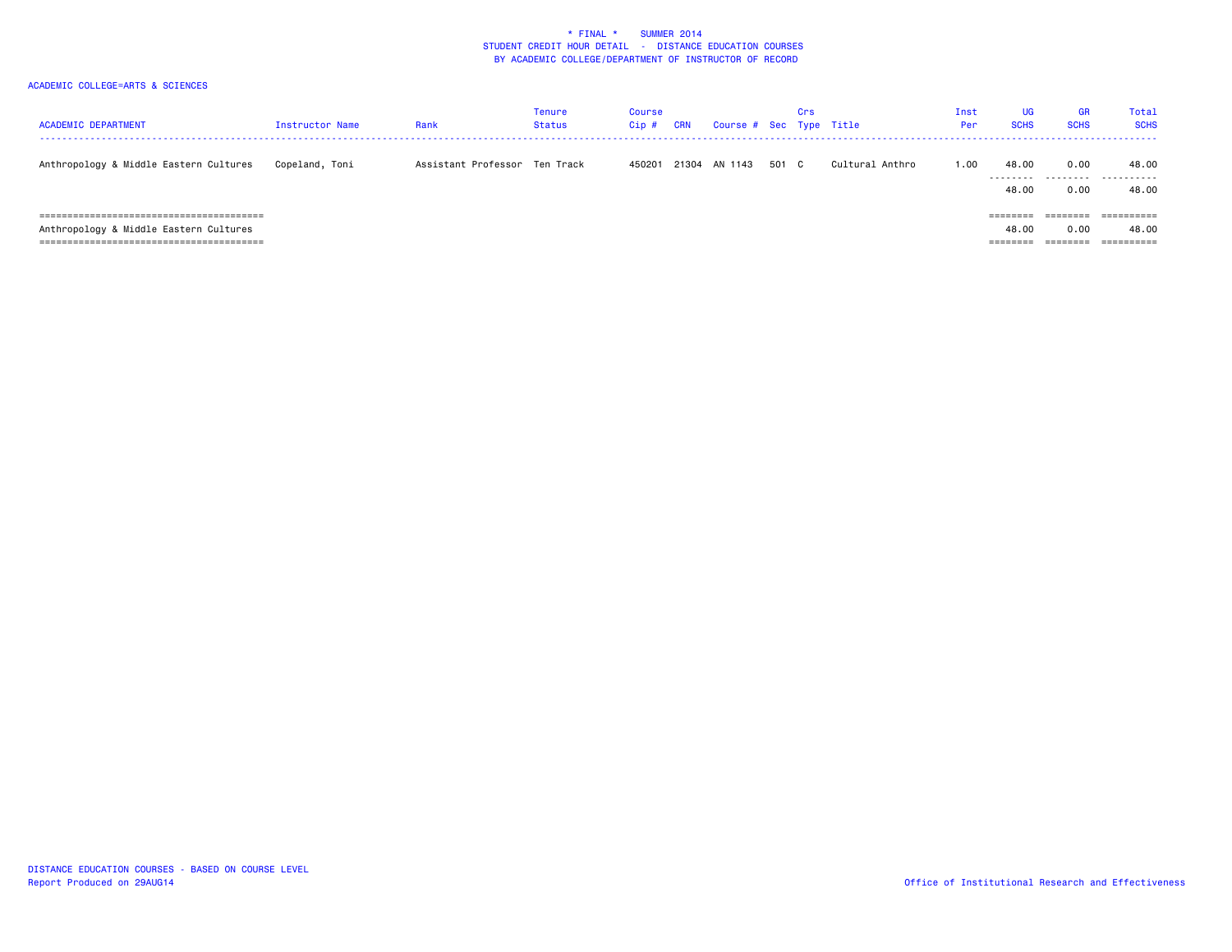| <b>ACADEMIC DEPARTMENT</b>                                      | Instructor Name | Rank                          | Tenure<br>Status | Course<br>$Cip$ # | CRN | Course # Sec Type Title |       | Crs |                 | Inst<br>Per | <b>UG</b><br><b>SCHS</b>    | <b>GR</b><br><b>SCHS</b> | Total<br><b>SCHS</b>         |
|-----------------------------------------------------------------|-----------------|-------------------------------|------------------|-------------------|-----|-------------------------|-------|-----|-----------------|-------------|-----------------------------|--------------------------|------------------------------|
| Anthropology & Middle Eastern Cultures                          | Copeland, Toni  | Assistant Professor Ten Track |                  | 450201            |     | 21304 AN 1143           | 501 C |     | Cultural Anthro | 1.00        | 48,00<br>---------<br>48.00 | 0.00<br>.<br>0.00        | 48.00<br>.<br>48.00          |
| Anthropology & Middle Eastern Cultures<br>--------------------- |                 |                               |                  |                   |     |                         |       |     |                 |             | 48.00                       | 0.00                     | =========<br>48.00<br>------ |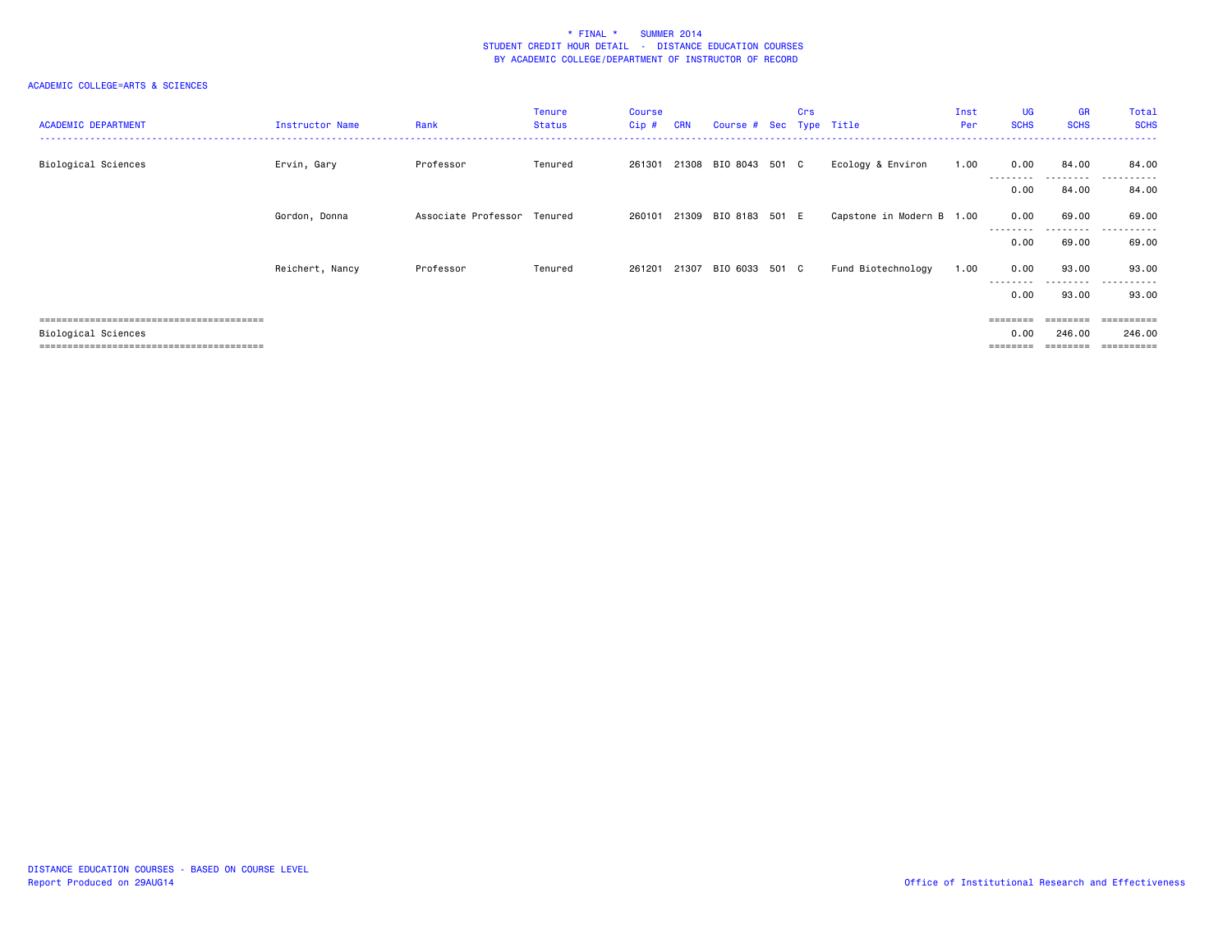| <b>ACADEMIC DEPARTMENT</b> | Instructor Name | Rank                        | <b>Tenure</b><br><b>Status</b> | <b>Course</b><br>$Cip$ # | <b>CRN</b> | Course # Sec Type Title | <b>Crs</b> |                           | Inst<br>Per | UG<br><b>SCHS</b> | <b>GR</b><br><b>SCHS</b> | Total<br><b>SCHS</b>    |
|----------------------------|-----------------|-----------------------------|--------------------------------|--------------------------|------------|-------------------------|------------|---------------------------|-------------|-------------------|--------------------------|-------------------------|
| Biological Sciences        | Ervin, Gary     | Professor                   | Tenured                        | 261301                   |            | 21308 BIO 8043 501 C    |            | Ecology & Environ         | 1.00        | 0.00<br>--------- | 84.00<br>---------       | 84.00<br>.<br>-------   |
|                            |                 |                             |                                |                          |            |                         |            |                           |             | 0.00              | 84.00                    | 84.00                   |
|                            | Gordon, Donna   | Associate Professor Tenured |                                | 260101                   |            | 21309 BIO 8183 501 E    |            | Capstone in Modern B 1.00 |             | 0.00              | 69.00                    | 69.00<br>. <b>.</b> .   |
|                            |                 |                             |                                |                          |            |                         |            |                           |             | 0.00              | 69.00                    | 69.00                   |
|                            | Reichert, Nancy | Professor                   | Tenured                        | 261201                   | 21307      | BIO 6033 501 C          |            | Fund Biotechnology        | 1.00        | 0.00<br>--------- | 93.00<br>.               | 93.00<br>.              |
|                            |                 |                             |                                |                          |            |                         |            |                           |             | 0.00              | 93.00                    | 93.00                   |
|                            |                 |                             |                                |                          |            |                         |            |                           |             |                   |                          | $=$ = = = = = = = = $=$ |
| Biological Sciences        |                 |                             |                                |                          |            |                         |            |                           |             | 0.00              | 246.00                   | 246,00                  |
|                            |                 |                             |                                |                          |            |                         |            |                           |             |                   | .=======                 | $=$ = = = = = = = = =   |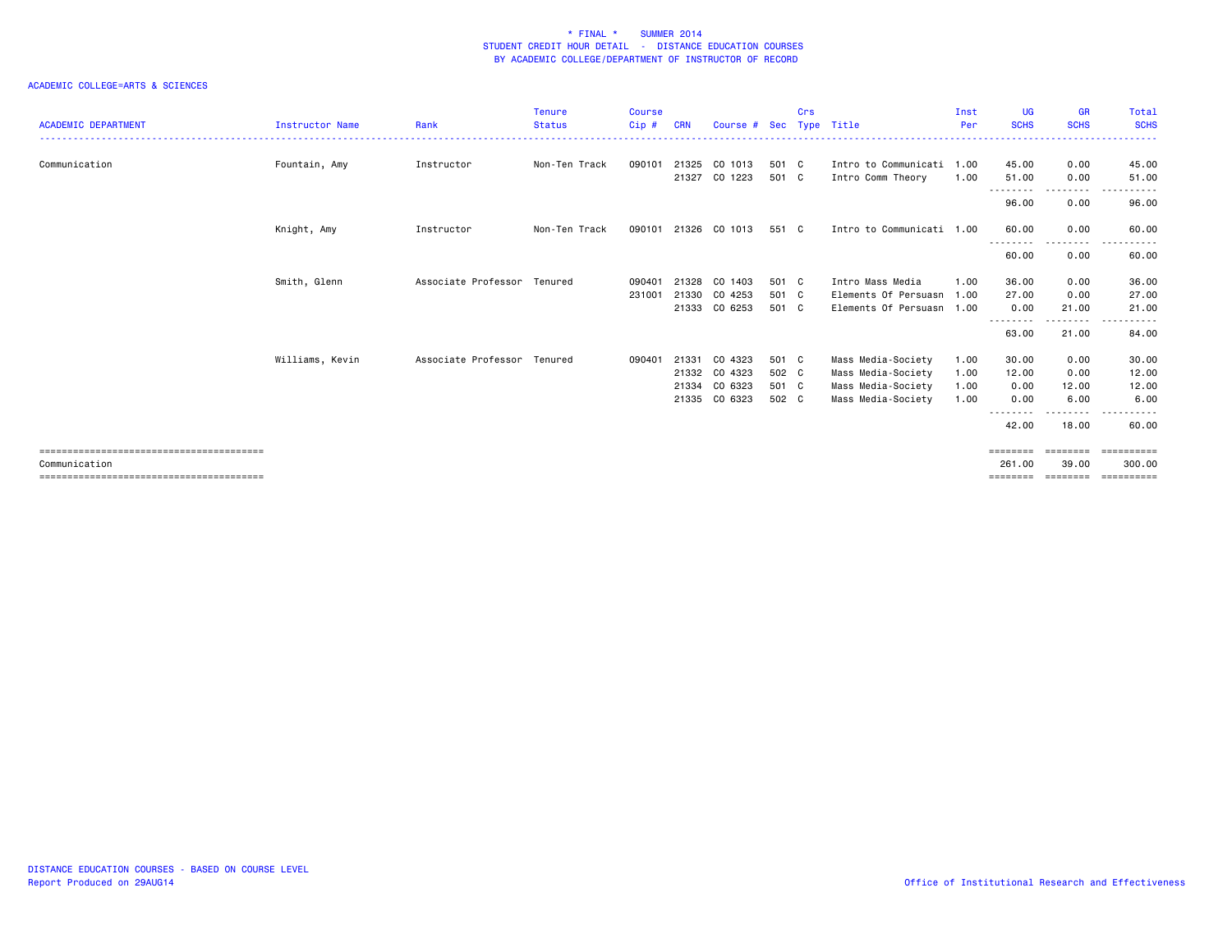| <b>ACADEMIC DEPARTMENT</b> | Instructor Name | Rank                        | <b>Tenure</b><br><b>Status</b> | <b>Course</b><br>Cip# | <b>CRN</b> | Course #      | Sec   | Crs | Type Title                | Inst<br>Per | <b>UG</b><br><b>SCHS</b> | <b>GR</b><br><b>SCHS</b> | Total<br><b>SCHS</b>   |
|----------------------------|-----------------|-----------------------------|--------------------------------|-----------------------|------------|---------------|-------|-----|---------------------------|-------------|--------------------------|--------------------------|------------------------|
| Communication              | Fountain, Amy   | Instructor                  | Non-Ten Track                  | 090101                | 21325      | CO 1013       | 501 C |     | Intro to Communicati 1.00 |             | 45.00                    | 0.00                     | 45.00                  |
|                            |                 |                             |                                |                       | 21327      | CO 1223       | 501 C |     | Intro Comm Theory         | 1.00        | 51.00                    | 0.00                     | 51.00                  |
|                            |                 |                             |                                |                       |            |               |       |     |                           |             | ---------<br>96.00       | -----<br>0.00            | 96.00                  |
|                            | Knight, Amy     | Instructor                  | Non-Ten Track                  | 090101                | 21326      | CO 1013       | 551 C |     | Intro to Communicati 1.00 |             | 60.00                    | 0.00                     | 60.00                  |
|                            |                 |                             |                                |                       |            |               |       |     |                           |             | ---------<br>60.00       | --------<br>0.00         | .<br>60.00             |
|                            | Smith, Glenn    | Associate Professor Tenured |                                | 090401                | 21328      | CO 1403       | 501 C |     | Intro Mass Media          | 1.00        | 36.00                    | 0.00                     | 36.00                  |
|                            |                 |                             |                                | 231001                | 21330      | CO 4253       | 501 C |     | Elements Of Persuasn 1.00 |             | 27.00                    | 0.00                     | 27.00                  |
|                            |                 |                             |                                |                       | 21333      | CO 6253       | 501 C |     | Elements Of Persuasn 1.00 |             | 0.00                     | 21.00                    | 21.00                  |
|                            |                 |                             |                                |                       |            |               |       |     |                           |             | --------<br>63.00        | .<br>21.00               | .<br>84.00             |
|                            | Williams, Kevin | Associate Professor Tenured |                                | 090401                | 21331      | CO 4323       | 501 C |     | Mass Media-Society        | 1.00        | 30.00                    | 0.00                     | 30.00                  |
|                            |                 |                             |                                |                       |            | 21332 CO 4323 | 502 C |     | Mass Media-Society        | 1.00        | 12.00                    | 0.00                     | 12.00                  |
|                            |                 |                             |                                |                       | 21334      | CO 6323       | 501 C |     | Mass Media-Society        | 1.00        | 0.00                     | 12.00                    | 12.00                  |
|                            |                 |                             |                                |                       | 21335      | CO 6323       | 502 C |     | Mass Media-Society        | 1.00        | 0.00                     | 6.00                     | 6.00                   |
|                            |                 |                             |                                |                       |            |               |       |     |                           |             | --------<br>42.00        | - - - - -<br>18.00       | .<br>$\cdots$<br>60.00 |
| Communication              |                 |                             |                                |                       |            |               |       |     |                           |             | 261,00                   | ========<br>39.00        | ==========<br>300,00   |
|                            |                 |                             |                                |                       |            |               |       |     |                           |             | ========                 | ========                 | ==========             |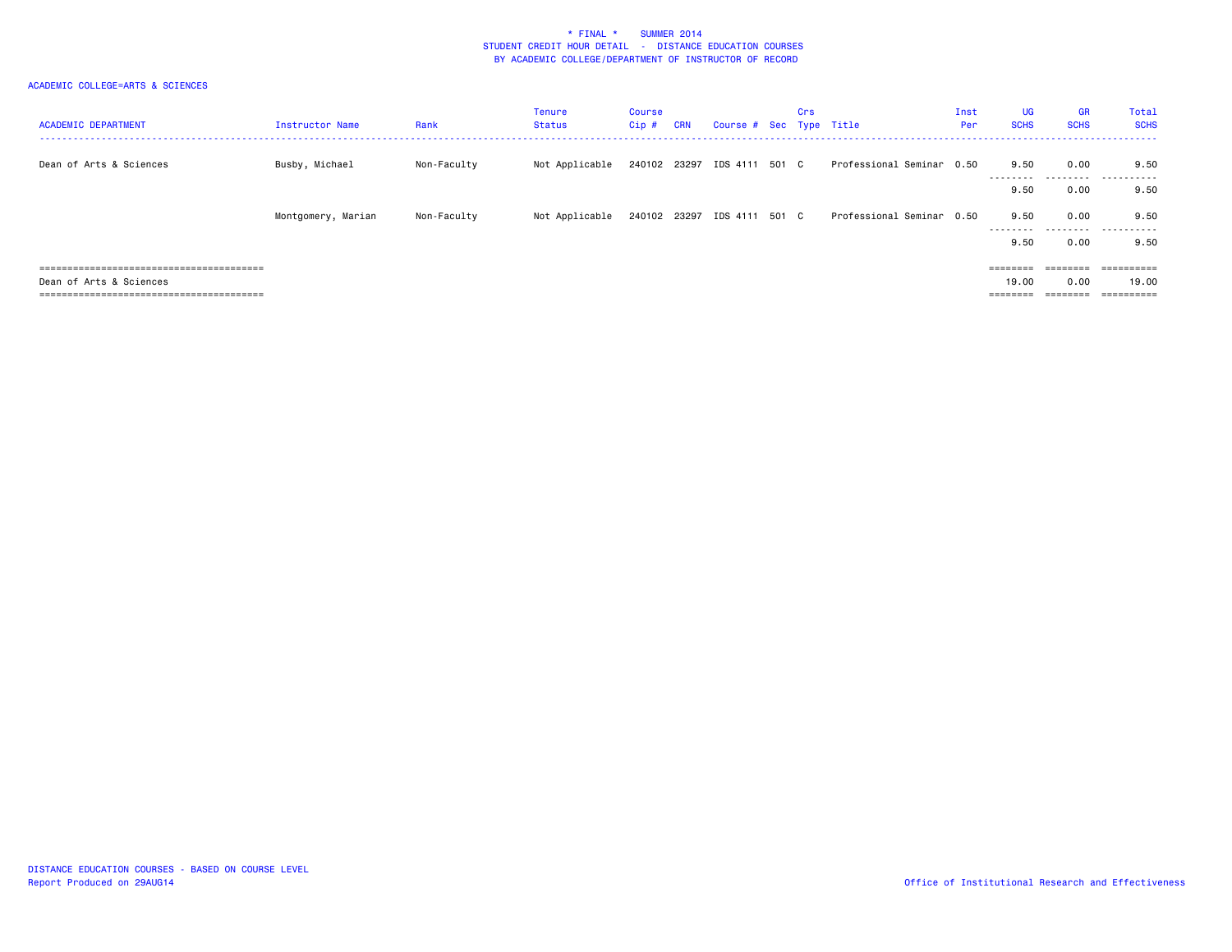| <b>ACADEMIC DEPARTMENT</b> | Instructor Name    | Rank        | Tenure<br>Status | Course<br>Cip# | <b>CRN</b> | Course # Sec Type Title     | Crs |                           | Inst<br>Per | UG<br><b>SCHS</b> | <b>GR</b><br><b>SCHS</b> | Total<br><b>SCHS</b> |
|----------------------------|--------------------|-------------|------------------|----------------|------------|-----------------------------|-----|---------------------------|-------------|-------------------|--------------------------|----------------------|
| Dean of Arts & Sciences    | Busby, Michael     | Non-Faculty | Not Applicable   |                |            | 240102 23297 IDS 4111 501 C |     | Professional Seminar 0.50 |             | 9.50<br>--------- | 0.00                     | 9.50<br>             |
|                            |                    |             |                  |                |            |                             |     |                           |             | 9.50              | 0.00                     | 9.50                 |
|                            | Montgomery, Marian | Non-Faculty | Not Applicable   |                |            | 240102 23297 IDS 4111 501 C |     | Professional Seminar 0.50 |             | 9.50<br>--------- | 0.00                     | 9.50<br>             |
|                            |                    |             |                  |                |            |                             |     |                           |             | 9.50              | 0.00                     | 9.50                 |
|                            |                    |             |                  |                |            |                             |     |                           |             | ========          |                          | ==========           |
| Dean of Arts & Sciences    |                    |             |                  |                |            |                             |     |                           |             | 19,00             | 0.00<br>________         | 19.00                |
|                            |                    |             |                  |                |            |                             |     |                           |             | ========          | --------                 |                      |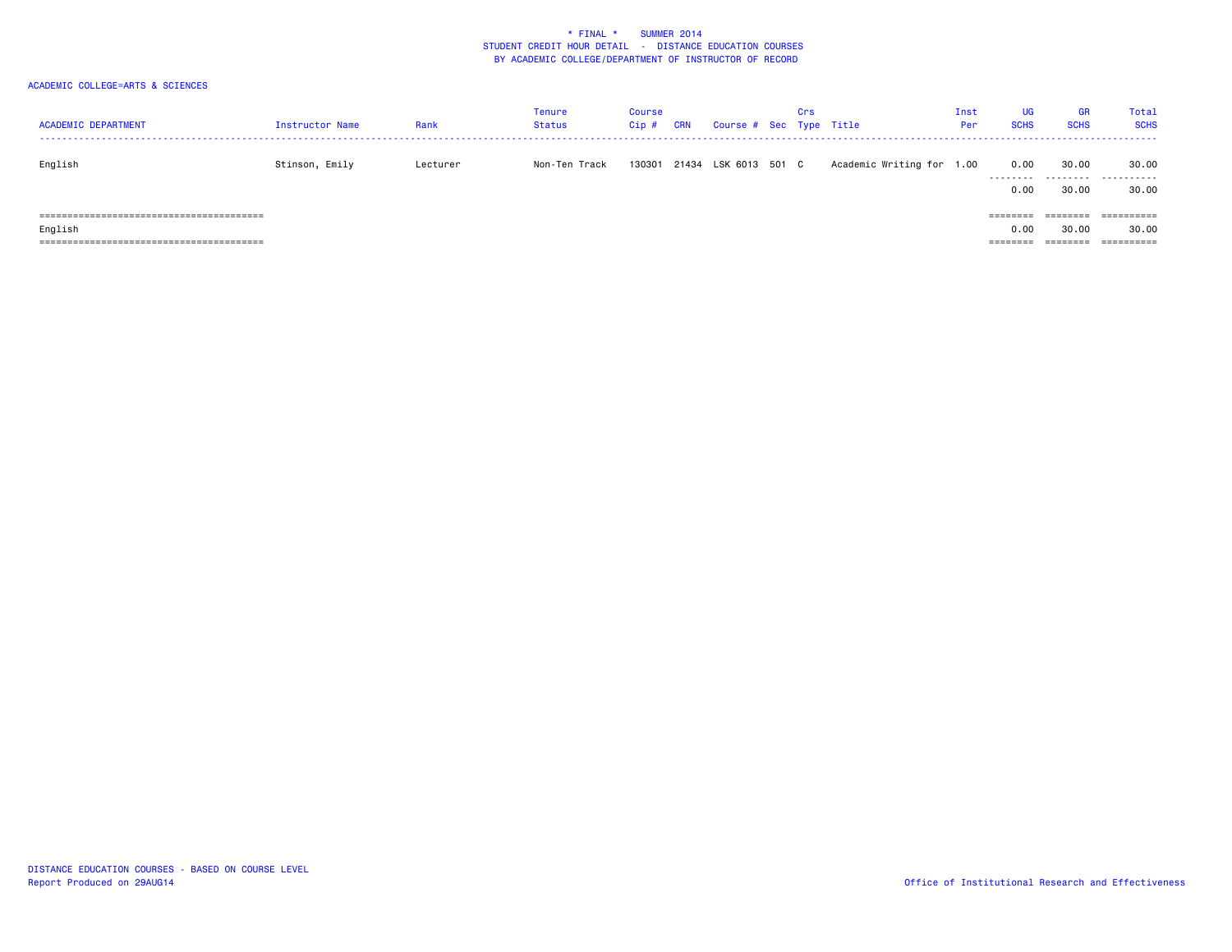| <b>ACADEMIC DEPARTMENT</b> | Instructor Name | Rank     | <b>Tenure</b><br><b>Status</b> | Course<br>Cip# | <b>CRN</b> | Course # Sec Type Title | Crs |                      | Inst<br>Per | UG<br><b>SCHS</b> | <b>GR</b><br><b>SCHS</b> | Total<br><b>SCHS</b> |
|----------------------------|-----------------|----------|--------------------------------|----------------|------------|-------------------------|-----|----------------------|-------------|-------------------|--------------------------|----------------------|
| English                    | Stinson, Emily  | Lecturer | Non-Ten Track                  | 130301         | 21434      | LSK 6013 501 C          |     | Academic Writing for | 1.00        | 0.00<br>.         | 30.00<br>.               | 30.00<br>.           |
|                            |                 |          |                                |                |            |                         |     |                      |             | 0.00              | 30,00                    | 30.00                |
|                            |                 |          |                                |                |            |                         |     |                      |             | ---------         | ========                 | ==========           |
| English                    |                 |          |                                |                |            |                         |     |                      |             | 0.00              | 30.00                    | 30.00                |
|                            |                 |          |                                |                |            |                         |     |                      |             | ========          | ========                 |                      |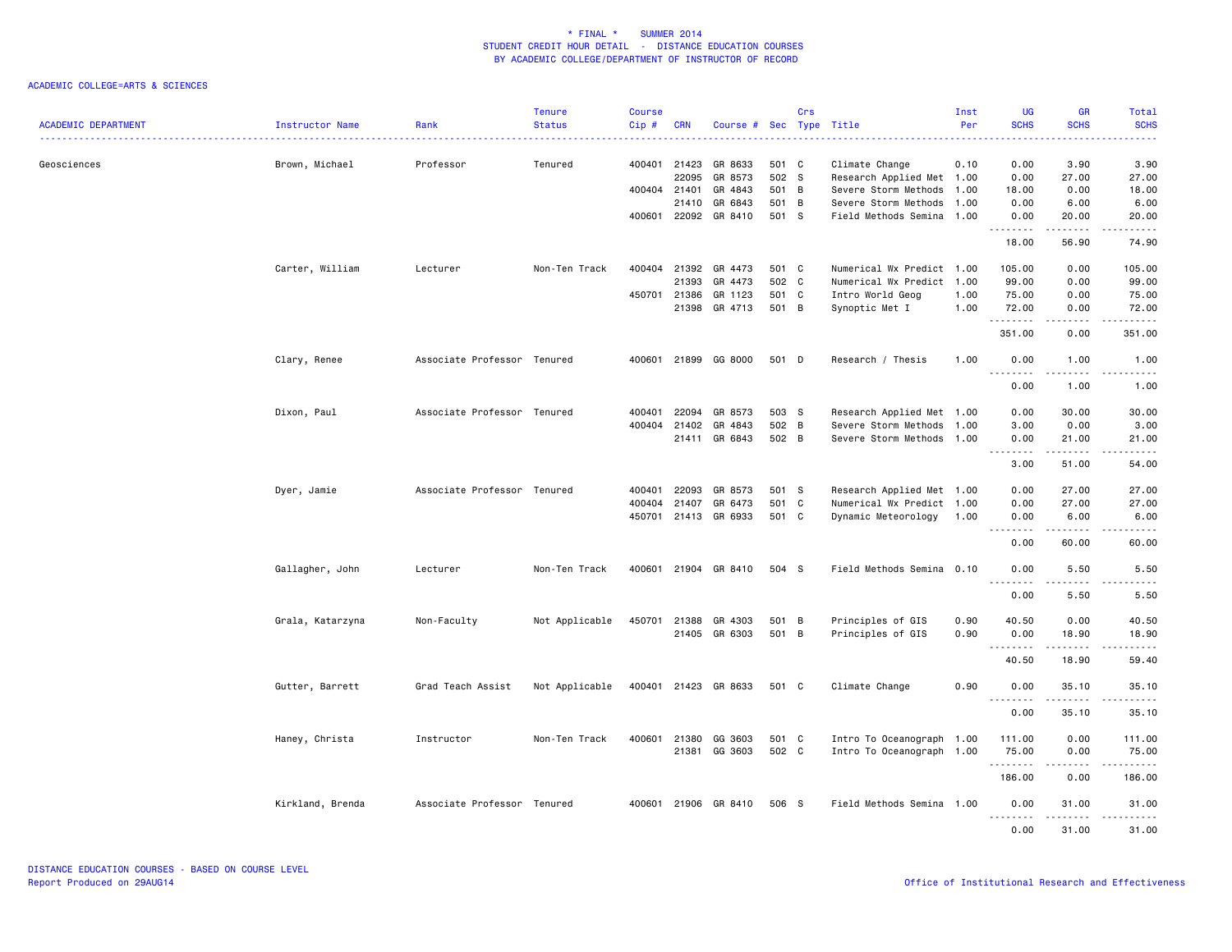| <b>ACADEMIC DEPARTMENT</b> | Instructor Name  | Rank                        | <b>Tenure</b><br><b>Status</b> | <b>Course</b><br>Cip# | <b>CRN</b>   | Course # Sec Type Title  |                | Crs |                                                   | Inst<br>Per | <b>UG</b><br><b>SCHS</b>   | <b>GR</b><br><b>SCHS</b> | Total<br><b>SCHS</b>                                                                                                                                          |
|----------------------------|------------------|-----------------------------|--------------------------------|-----------------------|--------------|--------------------------|----------------|-----|---------------------------------------------------|-------------|----------------------------|--------------------------|---------------------------------------------------------------------------------------------------------------------------------------------------------------|
|                            | .                |                             |                                |                       |              |                          |                |     |                                                   |             |                            |                          | .                                                                                                                                                             |
| Geosciences                | Brown, Michael   | Professor                   | Tenured                        |                       | 400401 21423 | GR 8633                  | 501 C          |     | Climate Change                                    | 0.10        | 0.00                       | 3.90                     | 3.90                                                                                                                                                          |
|                            |                  |                             |                                |                       | 22095        | GR 8573                  | 502 S          |     | Research Applied Met 1.00                         |             | 0.00                       | 27.00                    | 27.00                                                                                                                                                         |
|                            |                  |                             |                                | 400404 21401          |              | GR 4843                  | 501 B          |     | Severe Storm Methods                              | 1.00        | 18.00                      | 0.00                     | 18.00                                                                                                                                                         |
|                            |                  |                             |                                | 400601                | 21410        | GR 6843<br>22092 GR 8410 | 501 B<br>501 S |     | Severe Storm Methods<br>Field Methods Semina 1.00 | 1.00        | 0.00<br>0.00               | 6.00<br>20.00            | 6.00<br>20.00                                                                                                                                                 |
|                            |                  |                             |                                |                       |              |                          |                |     |                                                   |             | .                          | $- - - - -$              | .                                                                                                                                                             |
|                            |                  |                             |                                |                       |              |                          |                |     |                                                   |             | 18.00                      | 56.90                    | 74.90                                                                                                                                                         |
|                            | Carter, William  | Lecturer                    | Non-Ten Track                  | 400404                | 21392        | GR 4473                  | 501 C          |     | Numerical Wx Predict 1.00                         |             | 105.00                     | 0.00                     | 105.00                                                                                                                                                        |
|                            |                  |                             |                                |                       | 21393        | GR 4473                  | 502 C          |     | Numerical Wx Predict 1.00                         |             | 99.00                      | 0.00                     | 99.00                                                                                                                                                         |
|                            |                  |                             |                                |                       | 450701 21386 | GR 1123                  | 501 C          |     | Intro World Geog                                  | 1.00        | 75.00                      | 0.00                     | 75.00                                                                                                                                                         |
|                            |                  |                             |                                |                       | 21398        | GR 4713                  | 501 B          |     | Synoptic Met I                                    | 1.00        | 72.00<br>.                 | 0.00<br>.                | 72.00<br>.                                                                                                                                                    |
|                            |                  |                             |                                |                       |              |                          |                |     |                                                   |             | 351.00                     | 0.00                     | 351.00                                                                                                                                                        |
|                            | Clary, Renee     | Associate Professor Tenured |                                |                       |              | 400601 21899 GG 8000     | 501 D          |     | Research / Thesis                                 | 1.00        | 0.00                       | 1.00                     | 1.00                                                                                                                                                          |
|                            |                  |                             |                                |                       |              |                          |                |     |                                                   |             | . <b>.</b><br>0.00         | 22222<br>1.00            | .<br>.<br>1.00                                                                                                                                                |
|                            |                  |                             |                                |                       |              |                          |                |     |                                                   |             |                            |                          |                                                                                                                                                               |
|                            | Dixon, Paul      | Associate Professor Tenured |                                | 400401                | 22094        | GR 8573                  | 503 S          |     | Research Applied Met 1.00                         |             | 0.00                       | 30.00                    | 30.00                                                                                                                                                         |
|                            |                  |                             |                                | 400404                | 21402        | GR 4843                  | 502 B          |     | Severe Storm Methods                              | 1.00        | 3.00                       | 0.00                     | 3.00                                                                                                                                                          |
|                            |                  |                             |                                |                       | 21411        | GR 6843                  | 502 B          |     | Severe Storm Methods 1.00                         |             | 0.00<br>.                  | 21.00<br>$- - - - -$     | 21.00<br>.                                                                                                                                                    |
|                            |                  |                             |                                |                       |              |                          |                |     |                                                   |             | 3.00                       | 51.00                    | 54.00                                                                                                                                                         |
|                            | Dyer, Jamie      | Associate Professor Tenured |                                | 400401                | 22093        | GR 8573                  | 501 S          |     | Research Applied Met 1.00                         |             | 0.00                       | 27.00                    | 27.00                                                                                                                                                         |
|                            |                  |                             |                                | 400404                | 21407        | GR 6473                  | 501 C          |     | Numerical Wx Predict 1.00                         |             | 0.00                       | 27.00                    | 27.00                                                                                                                                                         |
|                            |                  |                             |                                |                       |              | 450701 21413 GR 6933     | 501 C          |     | Dynamic Meteorology                               | 1.00        | 0.00                       | 6.00                     | 6.00                                                                                                                                                          |
|                            |                  |                             |                                |                       |              |                          |                |     |                                                   |             | .<br>0.00                  | .<br>60.00               | .<br>60.00                                                                                                                                                    |
|                            | Gallagher, John  | Lecturer                    | Non-Ten Track                  | 400601                |              | 21904 GR 8410            | 504 S          |     | Field Methods Semina 0.10                         |             | 0.00                       | 5.50                     | 5.50                                                                                                                                                          |
|                            |                  |                             |                                |                       |              |                          |                |     |                                                   |             | .<br>0.00                  | 5.50                     | .<br>5.50                                                                                                                                                     |
|                            |                  |                             | Not Applicable                 | 450701                | 21388        | GR 4303                  | 501 B          |     |                                                   | 0.90        | 40.50                      | 0.00                     | 40.50                                                                                                                                                         |
|                            | Grala, Katarzyna | Non-Faculty                 |                                |                       |              | 21405 GR 6303            | 501 B          |     | Principles of GIS<br>Principles of GIS            | 0.90        | 0.00                       | 18.90                    | 18.90                                                                                                                                                         |
|                            |                  |                             |                                |                       |              |                          |                |     |                                                   |             | .                          | .                        | .                                                                                                                                                             |
|                            |                  |                             |                                |                       |              |                          |                |     |                                                   |             | 40.50                      | 18.90                    | 59.40                                                                                                                                                         |
|                            | Gutter, Barrett  | Grad Teach Assist           | Not Applicable                 |                       |              | 400401 21423 GR 8633     | 501 C          |     | Climate Change                                    | 0.90        | 0.00<br>$\sim$ $\sim$<br>. | 35.10                    | 35.10<br>$\frac{1}{2} \left( \frac{1}{2} \right) \left( \frac{1}{2} \right) \left( \frac{1}{2} \right) \left( \frac{1}{2} \right) \left( \frac{1}{2} \right)$ |
|                            |                  |                             |                                |                       |              |                          |                |     |                                                   |             | 0.00                       | 35.10                    | 35.10                                                                                                                                                         |
|                            | Haney, Christa   | Instructor                  | Non-Ten Track                  | 400601                | 21380        | GG 3603                  | 501 C          |     | Intro To Oceanograph 1.00                         |             | 111.00                     | 0.00                     | 111.00                                                                                                                                                        |
|                            |                  |                             |                                |                       |              | 21381 GG 3603            | 502 C          |     | Intro To Oceanograph 1.00                         |             | 75.00                      | 0.00                     | 75.00                                                                                                                                                         |
|                            |                  |                             |                                |                       |              |                          |                |     |                                                   |             | .                          | .                        |                                                                                                                                                               |
|                            |                  |                             |                                |                       |              |                          |                |     |                                                   |             | 186.00                     | 0.00                     | 186.00                                                                                                                                                        |
|                            | Kirkland, Brenda | Associate Professor Tenured |                                |                       |              | 400601 21906 GR 8410     | 506 S          |     | Field Methods Semina 1.00                         |             | 0.00<br>.                  | 31.00                    | 31.00<br>د د د د د                                                                                                                                            |
|                            |                  |                             |                                |                       |              |                          |                |     |                                                   |             | 0.00                       | 31.00                    | 31.00                                                                                                                                                         |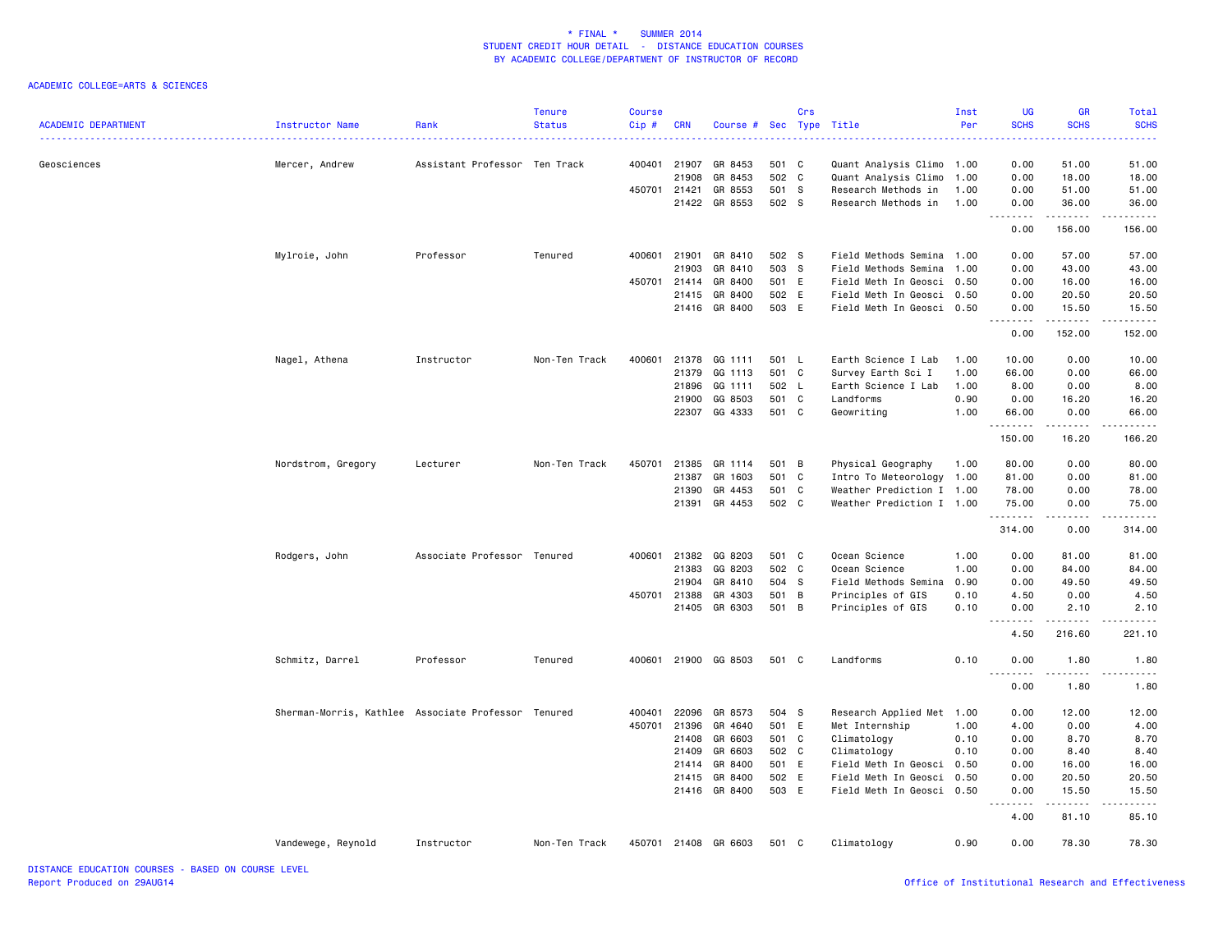| <b>ACADEMIC DEPARTMENT</b> | Instructor Name                                     | Rank                          | <b>Tenure</b><br><b>Status</b> | <b>Course</b><br>Cip# | <b>CRN</b> | Course #      | Sec   | Crs<br>Type | Title                     | Inst<br>Per | UG<br><b>SCHS</b>                                                                                                                                            | <b>GR</b><br><b>SCHS</b> | Total<br><b>SCHS</b>   |
|----------------------------|-----------------------------------------------------|-------------------------------|--------------------------------|-----------------------|------------|---------------|-------|-------------|---------------------------|-------------|--------------------------------------------------------------------------------------------------------------------------------------------------------------|--------------------------|------------------------|
| Geosciences                | Mercer, Andrew                                      | Assistant Professor Ten Track |                                | 400401                | 21907      | GR 8453       | 501 C |             | Quant Analysis Climo      | 1.00        | 0.00                                                                                                                                                         | 51.00                    | 51.00                  |
|                            |                                                     |                               |                                |                       | 21908      | GR 8453       | 502 C |             | Quant Analysis Climo      | 1.00        | 0.00                                                                                                                                                         | 18.00                    | 18.00                  |
|                            |                                                     |                               |                                | 450701                | 21421      | GR 8553       | 501 S |             | Research Methods in       | 1.00        | 0.00                                                                                                                                                         | 51.00                    | 51.00                  |
|                            |                                                     |                               |                                |                       | 21422      | GR 8553       | 502 S |             | Research Methods in       | 1.00        | 0.00<br>$\frac{1}{2} \left( \frac{1}{2} \right) \left( \frac{1}{2} \right) \left( \frac{1}{2} \right) \left( \frac{1}{2} \right) \left( \frac{1}{2} \right)$ | 36.00<br>.               | 36.00<br>.             |
|                            |                                                     |                               |                                |                       |            |               |       |             |                           |             | 0.00                                                                                                                                                         | 156.00                   | 156.00                 |
|                            | Mylroie, John                                       | Professor                     | Tenured                        | 400601                | 21901      | GR 8410       | 502 S |             | Field Methods Semina 1.00 |             | 0.00                                                                                                                                                         | 57.00                    | 57.00                  |
|                            |                                                     |                               |                                |                       | 21903      | GR 8410       | 503 S |             | Field Methods Semina 1.00 |             | 0.00                                                                                                                                                         | 43.00                    | 43.00                  |
|                            |                                                     |                               |                                | 450701                | 21414      | GR 8400       | 501 E |             | Field Meth In Geosci 0.50 |             | 0.00                                                                                                                                                         | 16.00                    | 16.00                  |
|                            |                                                     |                               |                                |                       | 21415      | GR 8400       | 502 E |             | Field Meth In Geosci 0.50 |             | 0.00                                                                                                                                                         | 20.50                    | 20.50                  |
|                            |                                                     |                               |                                |                       | 21416      | GR 8400       | 503 E |             | Field Meth In Geosci 0.50 |             | 0.00<br>.                                                                                                                                                    | 15.50                    | 15.50                  |
|                            |                                                     |                               |                                |                       |            |               |       |             |                           |             | 0.00                                                                                                                                                         | 152.00                   | 152.00                 |
|                            | Nagel, Athena                                       | Instructor                    | Non-Ten Track                  | 400601                |            | 21378 GG 1111 | 501 L |             | Earth Science I Lab       | 1.00        | 10.00                                                                                                                                                        | 0.00                     | 10.00                  |
|                            |                                                     |                               |                                |                       | 21379      | GG 1113       | 501 C |             | Survey Earth Sci I        | 1.00        | 66.00                                                                                                                                                        | 0.00                     | 66.00                  |
|                            |                                                     |                               |                                |                       | 21896      | GG 1111       | 502 L |             | Earth Science I Lab       | 1.00        | 8.00                                                                                                                                                         | 0.00                     | 8.00                   |
|                            |                                                     |                               |                                |                       | 21900      | GG 8503       | 501 C |             | Landforms                 | 0.90        | 0.00                                                                                                                                                         | 16.20                    | 16.20                  |
|                            |                                                     |                               |                                |                       |            | 22307 GG 4333 | 501 C |             | Geowriting                | 1.00        | 66.00<br>.                                                                                                                                                   | 0.00<br>.                | 66.00<br>.             |
|                            |                                                     |                               |                                |                       |            |               |       |             |                           |             | 150.00                                                                                                                                                       | 16.20                    | 166.20                 |
|                            | Nordstrom, Gregory                                  | Lecturer                      | Non-Ten Track                  | 450701                | 21385      | GR 1114       | 501 B |             | Physical Geography        | 1.00        | 80.00                                                                                                                                                        | 0.00                     | 80.00                  |
|                            |                                                     |                               |                                |                       | 21387      | GR 1603       | 501 C |             | Intro To Meteorology      | 1.00        | 81.00                                                                                                                                                        | 0.00                     | 81,00                  |
|                            |                                                     |                               |                                |                       | 21390      | GR 4453       | 501 C |             | Weather Prediction I 1.00 |             | 78.00                                                                                                                                                        | 0.00                     | 78.00                  |
|                            |                                                     |                               |                                |                       |            | 21391 GR 4453 | 502 C |             | Weather Prediction I 1.00 |             | 75.00<br>.                                                                                                                                                   | 0.00<br>.                | 75.00<br>$- - - - - -$ |
|                            |                                                     |                               |                                |                       |            |               |       |             |                           |             | 314.00                                                                                                                                                       | 0.00                     | 314.00                 |
|                            | Rodgers, John                                       | Associate Professor Tenured   |                                | 400601                | 21382      | GG 8203       | 501 C |             | Ocean Science             | 1.00        | 0.00                                                                                                                                                         | 81.00                    | 81.00                  |
|                            |                                                     |                               |                                |                       | 21383      | GG 8203       | 502 C |             | Ocean Science             | 1.00        | 0.00                                                                                                                                                         | 84.00                    | 84.00                  |
|                            |                                                     |                               |                                |                       | 21904      | GR 8410       | 504 S |             | Field Methods Semina      | 0.90        | 0.00                                                                                                                                                         | 49.50                    | 49.50                  |
|                            |                                                     |                               |                                | 450701                | 21388      | GR 4303       | 501 B |             | Principles of GIS         | 0.10        | 4.50                                                                                                                                                         | 0.00                     | 4.50                   |
|                            |                                                     |                               |                                |                       | 21405      | GR 6303       | 501 B |             | Principles of GIS         | 0.10        | 0.00                                                                                                                                                         | 2.10<br>.                | 2.10<br>$\frac{1}{2}$  |
|                            |                                                     |                               |                                |                       |            |               |       |             |                           |             | 4.50                                                                                                                                                         | 216.60                   | 221.10                 |
|                            | Schmitz, Darrel                                     | Professor                     | Tenured                        | 400601                |            | 21900 GG 8503 | 501 C |             | Landforms                 | 0.10        | 0.00<br>$\frac{1}{2}$<br>$  -$                                                                                                                               | 1.80<br>.                | 1.80<br>.              |
|                            |                                                     |                               |                                |                       |            |               |       |             |                           |             | 0.00                                                                                                                                                         | 1.80                     | 1.80                   |
|                            | Sherman-Morris, Kathlee Associate Professor Tenured |                               |                                | 400401                | 22096      | GR 8573       | 504 S |             | Research Applied Met 1.00 |             | 0.00                                                                                                                                                         | 12.00                    | 12.00                  |
|                            |                                                     |                               |                                | 450701                | 21396      | GR 4640       | 501 E |             | Met Internship            | 1.00        | 4.00                                                                                                                                                         | 0.00                     | 4.00                   |
|                            |                                                     |                               |                                |                       | 21408      | GR 6603       | 501 C |             | Climatology               | 0.10        | 0.00                                                                                                                                                         | 8.70                     | 8.70                   |
|                            |                                                     |                               |                                |                       | 21409      | GR 6603       | 502 C |             | Climatology               | 0.10        | 0.00                                                                                                                                                         | 8.40                     | 8.40                   |
|                            |                                                     |                               |                                |                       | 21414      | GR 8400       | 501 E |             | Field Meth In Geosci      | 0.50        | 0.00                                                                                                                                                         | 16.00                    | 16.00                  |
|                            |                                                     |                               |                                |                       | 21415      | GR 8400       | 502 E |             | Field Meth In Geosci      | 0.50        | 0.00                                                                                                                                                         | 20.50                    | 20.50                  |
|                            |                                                     |                               |                                |                       | 21416      | GR 8400       | 503 E |             | Field Meth In Geosci      | 0.50        | 0.00                                                                                                                                                         | 15.50                    | 15.50                  |
|                            |                                                     |                               |                                |                       |            |               |       |             |                           |             | 4.00                                                                                                                                                         | 81.10                    | 85.10                  |
|                            | Vandewege, Reynold                                  | Instructor                    | Non-Ten Track                  | 450701                |            | 21408 GR 6603 | 501 C |             | Climatology               | 0.90        | 0.00                                                                                                                                                         | 78.30                    | 78.30                  |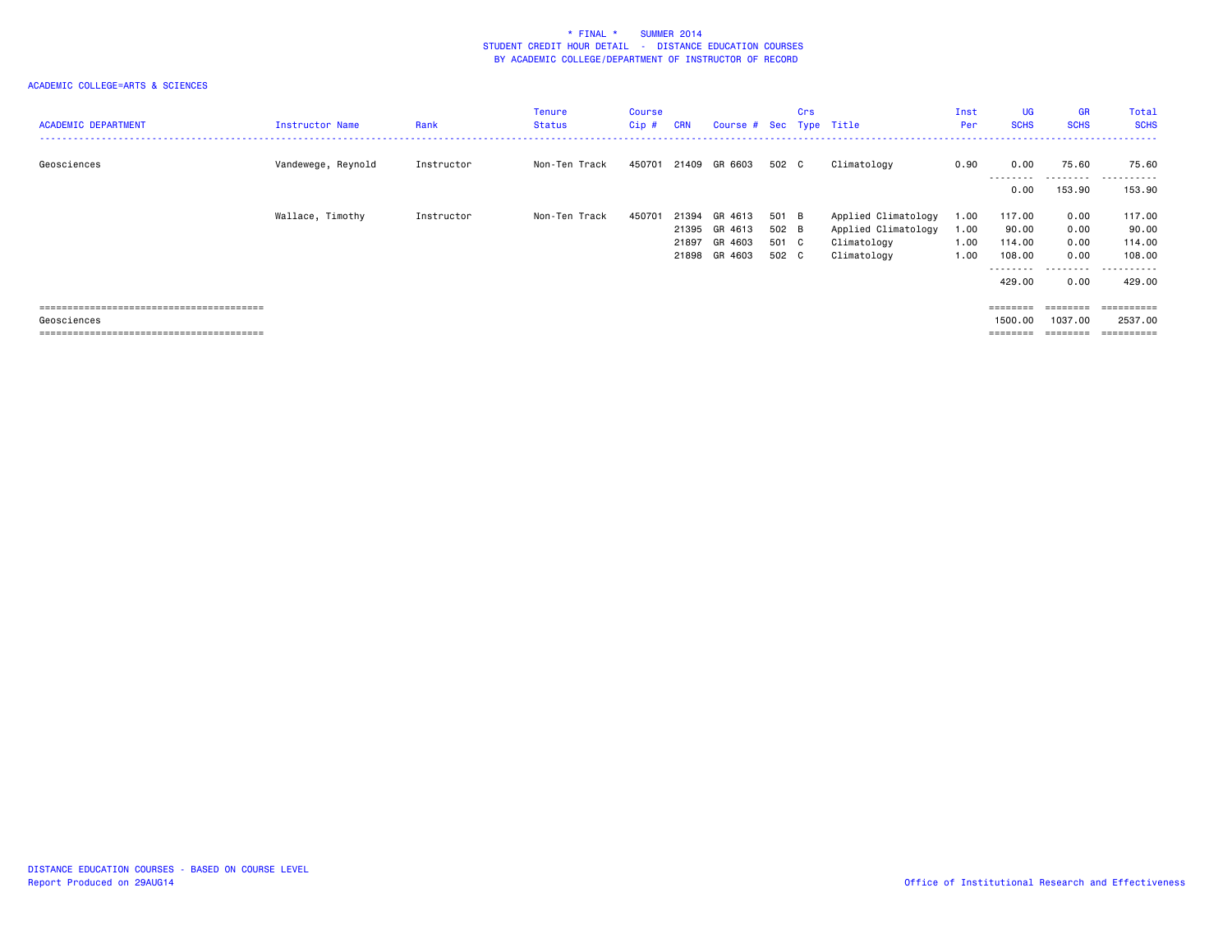| <b>ACADEMIC DEPARTMENT</b> | Instructor Name    | Rank       | <b>Tenure</b><br><b>Status</b> | <b>Course</b><br>$Cip$ # | <b>CRN</b> | Course # Sec Type Title  |                | Crs |                                            | Inst<br>Per  | UG<br><b>SCHS</b>           | <b>GR</b><br><b>SCHS</b> | Total<br><b>SCHS</b>    |
|----------------------------|--------------------|------------|--------------------------------|--------------------------|------------|--------------------------|----------------|-----|--------------------------------------------|--------------|-----------------------------|--------------------------|-------------------------|
| Geosciences                | Vandewege, Reynold | Instructor | Non-Ten Track                  | 450701                   |            | 21409 GR 6603            | 502 C          |     | Climatology                                | 0.90         | 0.00<br>- - - - - - - - -   | 75.60<br>---------       | 75.60<br>.<br>$ -$      |
|                            |                    |            |                                |                          |            |                          |                |     |                                            |              | 0.00                        | 153.90                   | 153.90                  |
|                            | Wallace, Timothy   | Instructor | Non-Ten Track                  | 450701                   | 21394      | GR 4613<br>21395 GR 4613 | 501 B<br>502 B |     | Applied Climatology<br>Applied Climatology | 1.00<br>1.00 | 117.00<br>90.00             | 0.00<br>0.00             | 117.00<br>90.00         |
|                            |                    |            |                                |                          | 21897      | GR 4603                  | 501 C          |     | Climatology                                | 1.00         | 114.00                      | 0.00                     | 114.00                  |
|                            |                    |            |                                |                          |            | 21898 GR 4603            | 502 C          |     | Climatology                                | 1.00         | 108.00<br>- - - - - - - - - | 0.00<br>.                | 108.00<br>- - - - - - - |
|                            |                    |            |                                |                          |            |                          |                |     |                                            |              | 429.00                      | 0.00                     | 429,00                  |
|                            |                    |            |                                |                          |            |                          |                |     |                                            |              | ========                    |                          | ==========              |
| Geosciences                |                    |            |                                |                          |            |                          |                |     |                                            |              | 1500.00                     | 1037.00                  | 2537.00                 |
|                            |                    |            |                                |                          |            |                          |                |     |                                            |              | ========                    | ---------                | ==========              |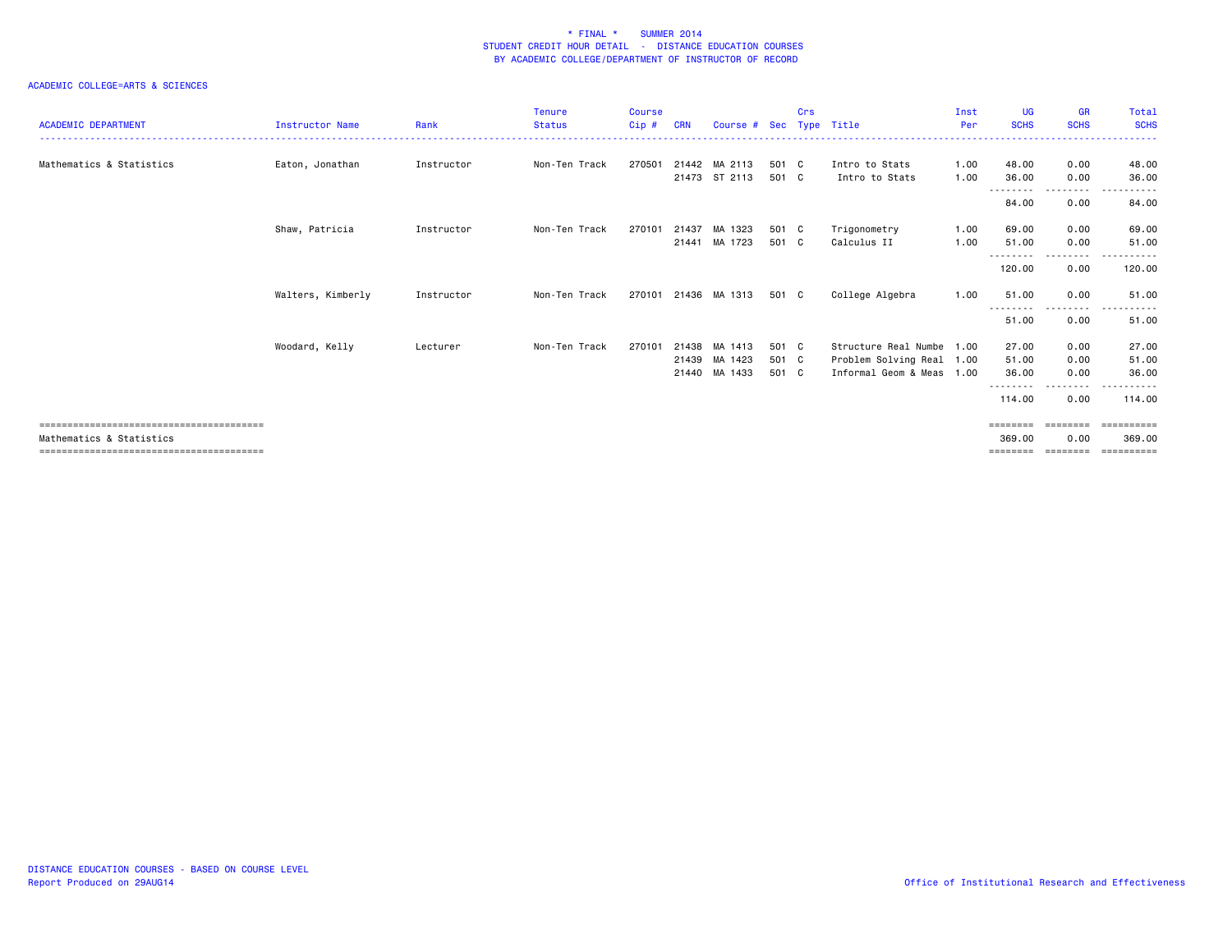| <b>ACADEMIC DEPARTMENT</b> | <b>Instructor Name</b> | Rank       | <b>Tenure</b><br><b>Status</b> | <b>Course</b><br>Cip# | <b>CRN</b> | Course # Sec         |       | Crs | Type Title                | Inst<br>Per | <b>UG</b><br><b>SCHS</b> | <b>GR</b><br><b>SCHS</b> | Total<br><b>SCHS</b> |
|----------------------------|------------------------|------------|--------------------------------|-----------------------|------------|----------------------|-------|-----|---------------------------|-------------|--------------------------|--------------------------|----------------------|
|                            |                        |            |                                |                       |            |                      |       |     |                           |             |                          |                          |                      |
| Mathematics & Statistics   | Eaton, Jonathan        | Instructor | Non-Ten Track                  | 270501                |            | 21442 MA 2113        | 501 C |     | Intro to Stats            | 1.00        | 48.00                    | 0.00                     | 48.00                |
|                            |                        |            |                                |                       |            | 21473 ST 2113        | 501 C |     | Intro to Stats            | 1.00        | 36.00                    | 0.00                     | 36.00                |
|                            |                        |            |                                |                       |            |                      |       |     |                           |             | ---------<br>84.00       | ---------<br>0.00        | .<br>84.00           |
|                            | Shaw, Patricia         | Instructor | Non-Ten Track                  | 270101                | 21437      | MA 1323              | 501 C |     | Trigonometry              | 1.00        | 69.00                    | 0.00                     | 69.00                |
|                            |                        |            |                                |                       |            | 21441 MA 1723        | 501 C |     | Calculus II               | 1.00        | 51.00<br>--------        | 0.00<br>---------        | 51.00<br>------      |
|                            |                        |            |                                |                       |            |                      |       |     |                           |             | 120.00                   | 0.00                     | 120.00               |
|                            | Walters, Kimberly      | Instructor | Non-Ten Track                  |                       |            | 270101 21436 MA 1313 | 501 C |     | College Algebra           | 1.00        | 51.00<br>- - - - - - - - | 0.00<br>- - - - - - - -  | 51.00<br>.           |
|                            |                        |            |                                |                       |            |                      |       |     |                           |             | 51.00                    | 0.00                     | 51.00                |
|                            | Woodard, Kelly         | Lecturer   | Non-Ten Track                  | 270101                | 21438      | MA 1413              | 501 C |     | Structure Real Numbe 1.00 |             | 27.00                    | 0.00                     | 27.00                |
|                            |                        |            |                                |                       |            | 21439 MA 1423        | 501 C |     | Problem Solving Real 1.00 |             | 51.00                    | 0.00                     | 51.00                |
|                            |                        |            |                                |                       |            | 21440 MA 1433        | 501 C |     | Informal Geom & Meas 1.00 |             | 36.00                    | 0.00                     | 36.00                |
|                            |                        |            |                                |                       |            |                      |       |     |                           |             | ---------                | - - - - -                | .                    |
|                            |                        |            |                                |                       |            |                      |       |     |                           |             | 114.00                   | 0.00                     | 114.00               |
|                            |                        |            |                                |                       |            |                      |       |     |                           |             | ========                 | ---------                | EEEEEEEEE            |
| Mathematics & Statistics   |                        |            |                                |                       |            |                      |       |     |                           |             | 369.00                   | 0.00                     | 369,00               |
|                            |                        |            |                                |                       |            |                      |       |     |                           |             | ========                 | ========                 | ==========           |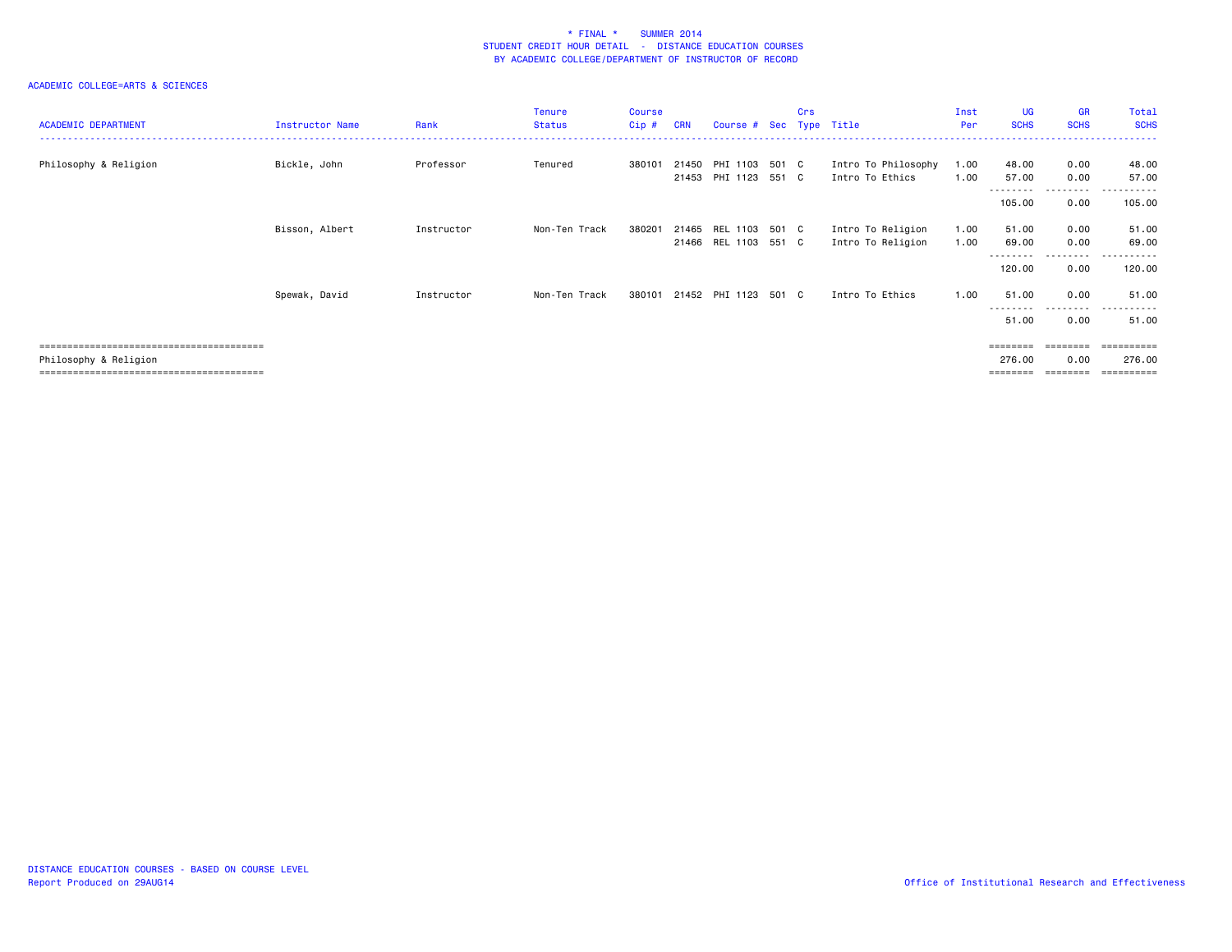| <b>ACADEMIC DEPARTMENT</b> | Instructor Name | Rank       | <b>Tenure</b><br>Status | Course<br>Cip # | <b>CRN</b> | Course # Sec Type Title |       | Crs |                     | Inst<br>Per | <b>UG</b><br><b>SCHS</b> | <b>GR</b><br><b>SCHS</b>  | Total<br><b>SCHS</b>                     |
|----------------------------|-----------------|------------|-------------------------|-----------------|------------|-------------------------|-------|-----|---------------------|-------------|--------------------------|---------------------------|------------------------------------------|
| Philosophy & Religion      | Bickle, John    | Professor  | Tenured                 | 380101          | 21450      | PHI 1103 501 C          |       |     | Intro To Philosophy | 1.00        | 48.00                    | 0.00                      | 48.00                                    |
|                            |                 |            |                         |                 |            | 21453 PHI 1123 551 C    |       |     | Intro To Ethics     | 1.00        | 57.00<br>---------       | 0.00<br>.                 | 57.00<br>.                               |
|                            |                 |            |                         |                 |            |                         |       |     |                     |             | 105.00                   | 0.00                      | 105.00                                   |
|                            | Bisson, Albert  | Instructor | Non-Ten Track           | 380201          |            | 21465 REL 1103          | 501 C |     | Intro To Religion   | 1.00        | 51.00                    | 0.00                      | 51.00                                    |
|                            |                 |            |                         |                 |            | 21466 REL 1103 551 C    |       |     | Intro To Religion   | 1.00        | 69.00<br>---------       | 0.00<br>.                 | 69.00<br>-------<br>$\sim$ $\sim$ $\sim$ |
|                            |                 |            |                         |                 |            |                         |       |     |                     |             | 120.00                   | 0.00                      | 120.00                                   |
|                            | Spewak, David   | Instructor | Non-Ten Track           | 380101          |            | 21452 PHI 1123 501 C    |       |     | Intro To Ethics     | 1.00        | 51.00                    | 0.00                      | 51.00                                    |
|                            |                 |            |                         |                 |            |                         |       |     |                     |             | 51.00                    | - - - - - - - - -<br>0.00 | ------<br>$\sim$ $\sim$<br>51.00         |
|                            |                 |            |                         |                 |            |                         |       |     |                     |             | ========                 | ========                  |                                          |
| Philosophy & Religion      |                 |            |                         |                 |            |                         |       |     |                     |             | 276.00<br>========       | 0.00<br>========          | 276.00<br>==========                     |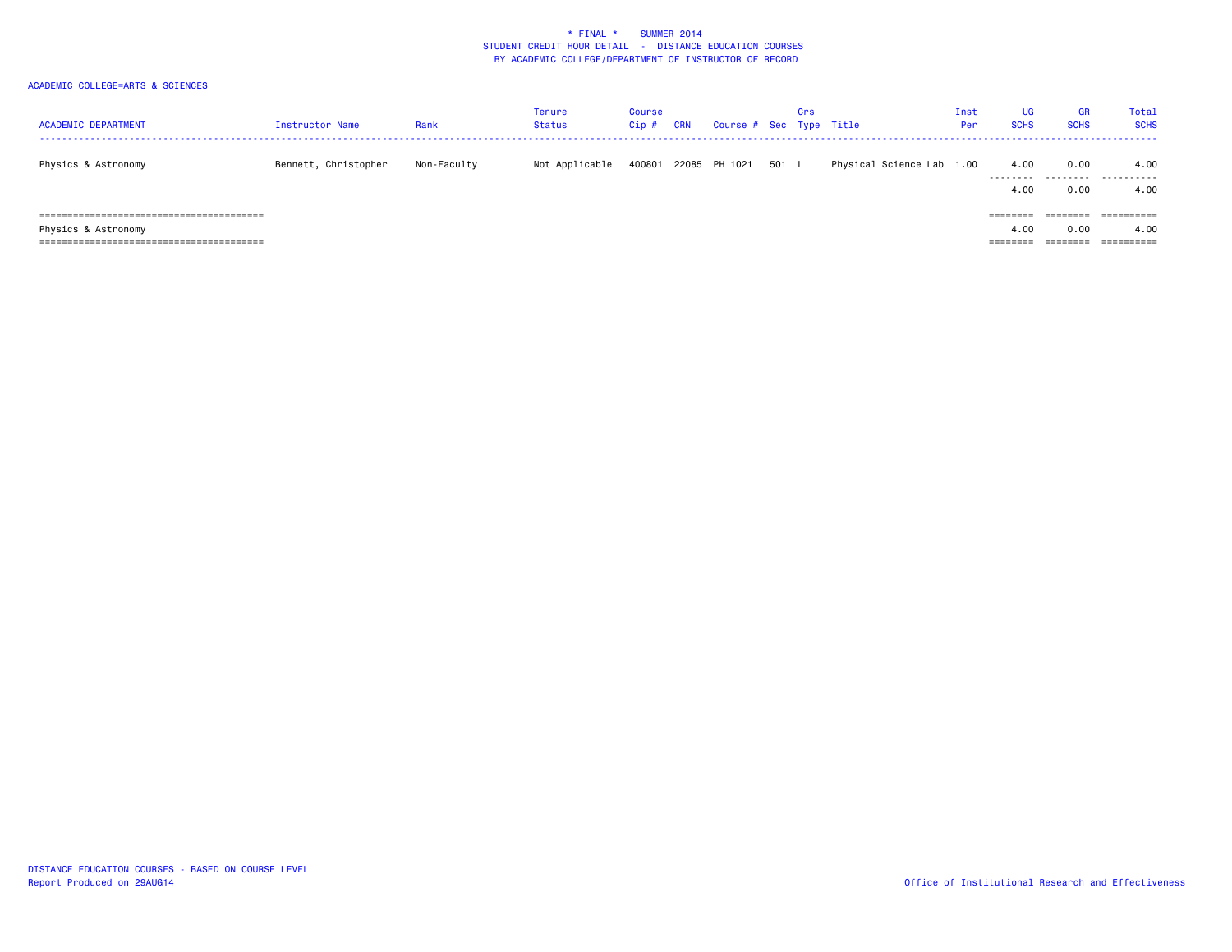| <b>ACADEMIC DEPARTMENT</b><br>------------------------------------ | Instructor Name      | Rank        | <b>Tenure</b><br>Status | Course<br>Cip# | <b>CRN</b> | Course # Sec Type Title |       | Crs |                           | Inst<br>Per | UG<br><b>SCHS</b> | <b>GR</b><br><b>SCHS</b> | Total<br><b>SCHS</b> |
|--------------------------------------------------------------------|----------------------|-------------|-------------------------|----------------|------------|-------------------------|-------|-----|---------------------------|-------------|-------------------|--------------------------|----------------------|
| Physics & Astronomy                                                | Bennett, Christopher | Non-Faculty | Not Applicable          | 400801         |            | 22085 PH 1021           | 501 L |     | Physical Science Lab 1.00 |             | 4.00<br>.         | 0.00                     | 4.00<br>             |
|                                                                    |                      |             |                         |                |            |                         |       |     |                           |             | 4.00              | 0.00                     | 4.00                 |
|                                                                    |                      |             |                         |                |            |                         |       |     |                           |             | ========          | ========                 | ==========           |
| Physics & Astronomy                                                |                      |             |                         |                |            |                         |       |     |                           |             | 4.00              | 0.00                     | 4.00                 |
|                                                                    |                      |             |                         |                |            |                         |       |     |                           |             | ========          | ========                 |                      |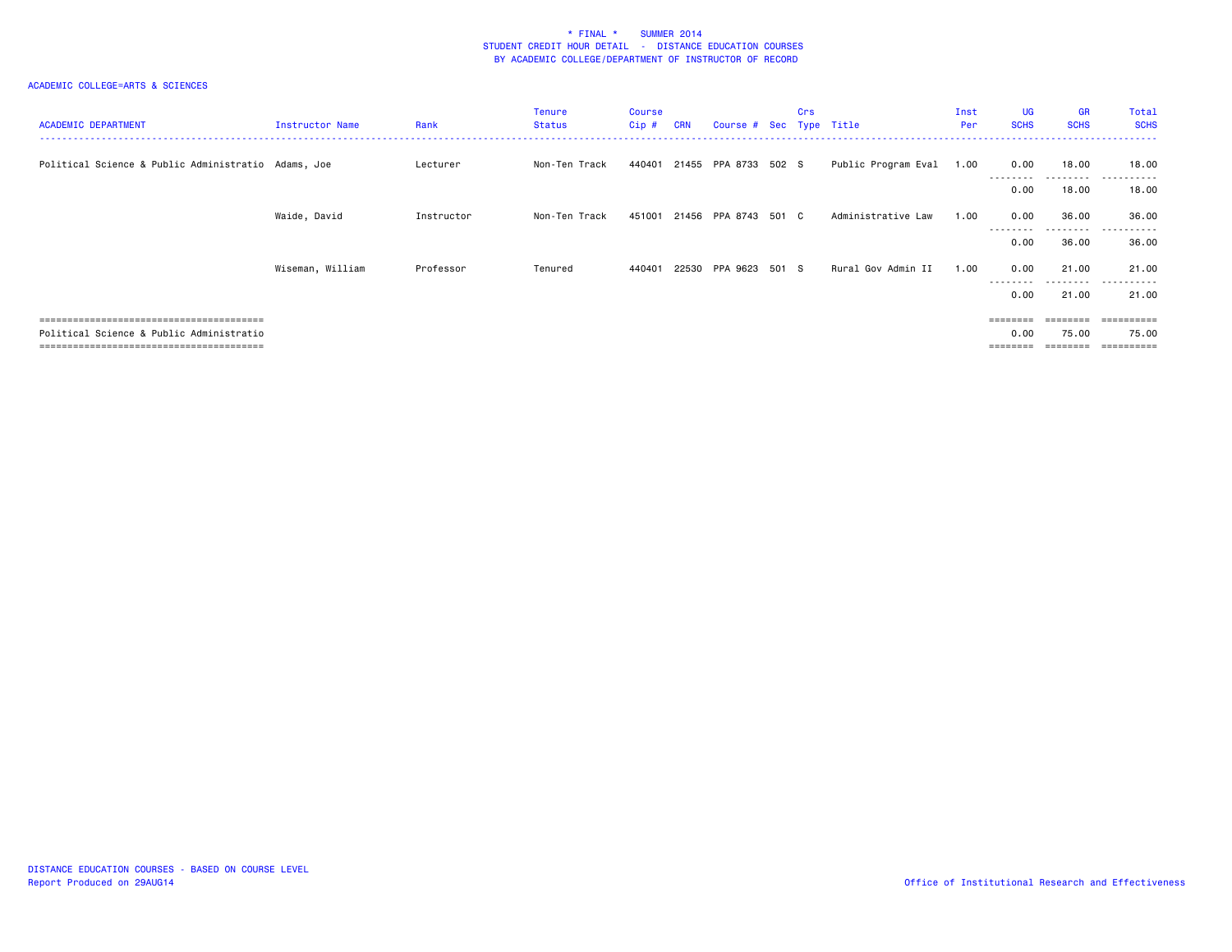| <b>ACADEMIC DEPARTMENT</b>                          | Instructor Name  | Rank       | <b>Tenure</b><br><b>Status</b> | <b>Course</b><br>$Cip$ # | <b>CRN</b> | Course # Sec Type Title     |       | Crs |                          | Inst<br>Per | <b>UG</b><br><b>SCHS</b> | <b>GR</b><br><b>SCHS</b> | Total<br><b>SCHS</b>  |
|-----------------------------------------------------|------------------|------------|--------------------------------|--------------------------|------------|-----------------------------|-------|-----|--------------------------|-------------|--------------------------|--------------------------|-----------------------|
| Political Science & Public Administratio Adams, Joe |                  | Lecturer   | Non-Ten Track                  |                          |            | 440401 21455 PPA 8733 502 S |       |     | Public Program Eval 1.00 |             | 0.00<br>.                | 18.00<br>---------       | 18.00<br>$- - -$<br>. |
|                                                     |                  |            |                                |                          |            |                             |       |     |                          |             | 0.00                     | 18.00                    | 18.00                 |
|                                                     | Waide, David     | Instructor | Non-Ten Track                  | 451001                   |            | 21456 PPA 8743 501 C        |       |     | Administrative Law       | 1.00        | 0.00                     | 36.00                    | 36.00<br>------       |
|                                                     |                  |            |                                |                          |            |                             |       |     |                          |             | 0.00                     | 36.00                    | 36.00                 |
|                                                     | Wiseman, William | Professor  | Tenured                        | 440401                   |            | 22530 PPA 9623              | 501 S |     | Rural Gov Admin II       | 1.00        | 0.00<br>---------        | 21.00<br>---------       | 21.00<br>.            |
|                                                     |                  |            |                                |                          |            |                             |       |     |                          |             | 0.00                     | 21.00                    | 21.00                 |
|                                                     |                  |            |                                |                          |            |                             |       |     |                          |             |                          |                          | =========             |
| Political Science & Public Administratio            |                  |            |                                |                          |            |                             |       |     |                          |             | 0.00                     | 75.00                    | 75.00                 |
|                                                     |                  |            |                                |                          |            |                             |       |     |                          |             |                          | .=======                 | $=$ = = = = = = = = = |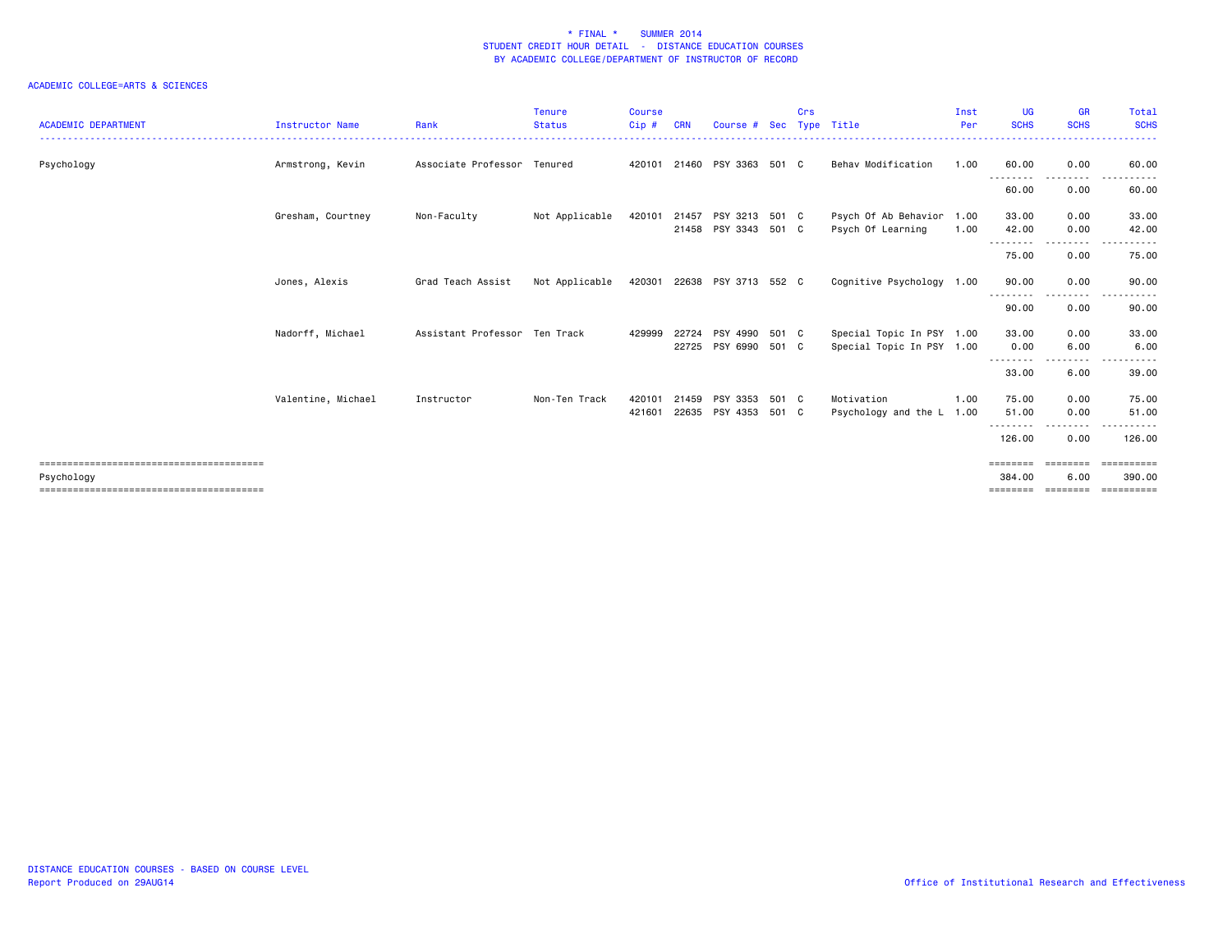| <b>ACADEMIC DEPARTMENT</b> | Instructor Name    | Rank                          | <b>Tenure</b><br><b>Status</b> | <b>Course</b><br>Cip# | <b>CRN</b> | Course # Sec                                 |       | Crs | Type Title                                             | Inst<br>Per | <b>UG</b><br><b>SCHS</b> | <b>GR</b><br><b>SCHS</b> | Total<br><b>SCHS</b>  |
|----------------------------|--------------------|-------------------------------|--------------------------------|-----------------------|------------|----------------------------------------------|-------|-----|--------------------------------------------------------|-------------|--------------------------|--------------------------|-----------------------|
| Psychology                 | Armstrong, Kevin   | Associate Professor Tenured   |                                | 420101                |            | 21460 PSY 3363 501 C                         |       |     | Behav Modification                                     | 1.00        | 60.00                    | 0.00                     | 60.00                 |
|                            |                    |                               |                                |                       |            |                                              |       |     |                                                        |             | ---------<br>60.00       | .<br>0.00                | . <b>.</b> .<br>60.00 |
|                            | Gresham, Courtney  | Non-Faculty                   | Not Applicable                 | 420101                |            | 21457 PSY 3213 501 C<br>21458 PSY 3343 501 C |       |     | Psych Of Ab Behavior 1.00<br>Psych Of Learning         | 1.00        | 33.00<br>42.00           | 0.00<br>0.00             | 33.00<br>42.00        |
|                            |                    |                               |                                |                       |            |                                              |       |     |                                                        |             | .<br>75.00               | - - - - - - - -<br>0.00  | 75.00                 |
|                            | Jones, Alexis      | Grad Teach Assist             | Not Applicable                 |                       |            | 420301 22638 PSY 3713 552 C                  |       |     | Cognitive Psychology 1.00                              |             | 90.00                    | 0.00                     | 90.00                 |
|                            |                    |                               |                                |                       |            |                                              |       |     |                                                        |             | 90.00                    | 0.00                     | 90.00                 |
|                            | Nadorff, Michael   | Assistant Professor Ten Track |                                | 429999                | 22725      | 22724 PSY 4990 501 C<br>PSY 6990 501 C       |       |     | Special Topic In PSY 1.00<br>Special Topic In PSY 1.00 |             | 33.00<br>0.00            | 0.00<br>6.00             | 33.00<br>6.00         |
|                            |                    |                               |                                |                       |            |                                              |       |     |                                                        |             | .<br>33.00               | 6.00                     | 39.00                 |
|                            | Valentine, Michael | Instructor                    | Non-Ten Track                  | 420101<br>421601      | 21459      | PSY 3353<br>22635 PSY 4353 501 C             | 501 C |     | Motivation<br>Psychology and the L 1.00                | 1.00        | 75.00<br>51.00<br>.      | 0.00<br>0.00             | 75.00<br>51.00        |
|                            |                    |                               |                                |                       |            |                                              |       |     |                                                        |             | 126.00                   | 0.00                     | 126.00                |
| Psychology                 |                    |                               |                                |                       |            |                                              |       |     |                                                        |             | 384.00<br>========       | 6.00<br>========         | 390,00<br>==========  |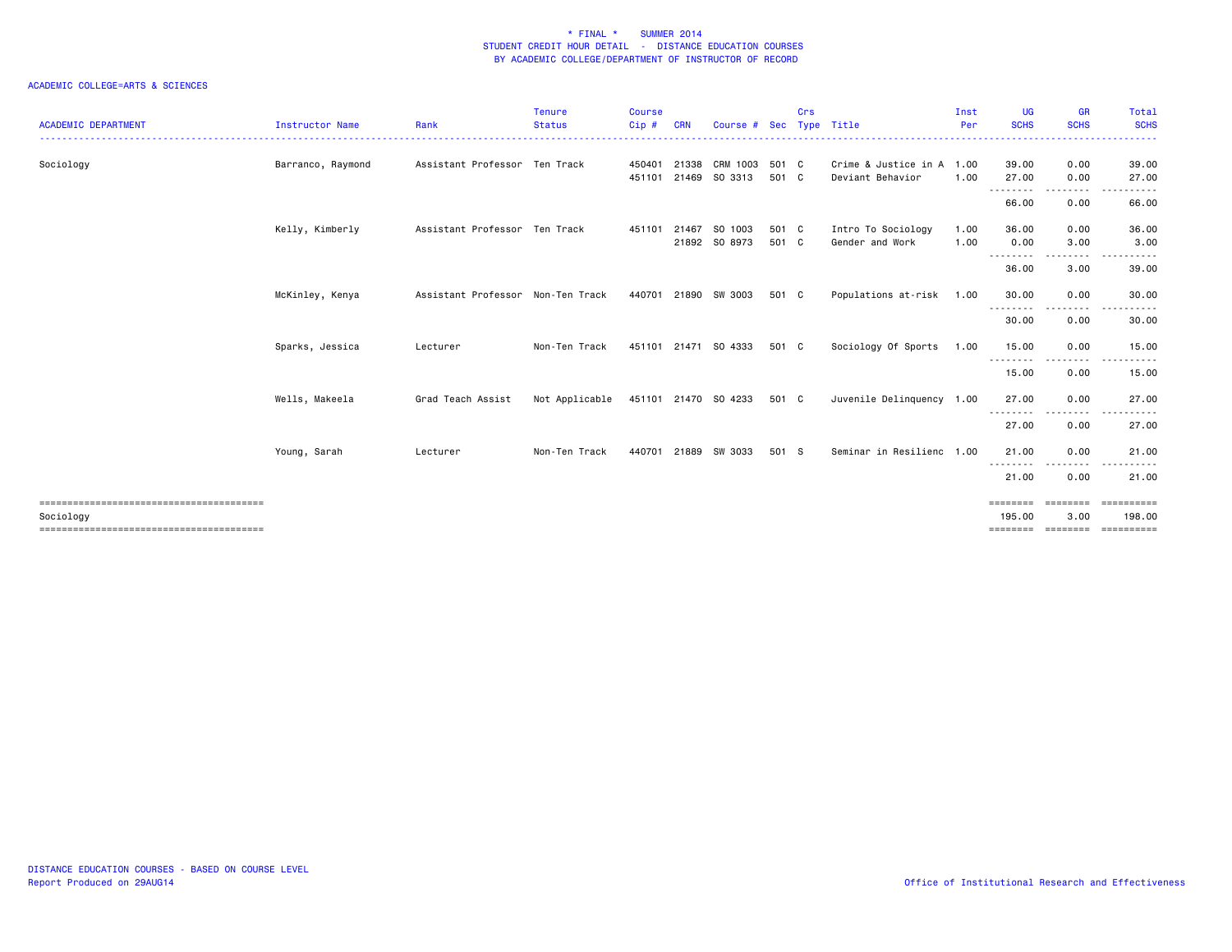| <b>ACADEMIC DEPARTMENT</b> | <b>Instructor Name</b> | Rank                              | <b>Tenure</b><br><b>Status</b> | <b>Course</b><br>Cip# | <b>CRN</b> | Course #                        | <b>Sec</b>     | Crs | Type Title                                    | Inst<br>Per  | UG<br><b>SCHS</b>          | <b>GR</b><br><b>SCHS</b> | Total<br><b>SCHS</b>  |
|----------------------------|------------------------|-----------------------------------|--------------------------------|-----------------------|------------|---------------------------------|----------------|-----|-----------------------------------------------|--------------|----------------------------|--------------------------|-----------------------|
|                            |                        |                                   |                                |                       |            |                                 |                |     |                                               |              |                            |                          |                       |
| Sociology                  | Barranco, Raymond      | Assistant Professor Ten Track     |                                | 450401<br>451101      |            | 21338 CRM 1003<br>21469 SO 3313 | 501 C<br>501 C |     | Crime & Justice in A 1.00<br>Deviant Behavior | 1.00         | 39.00<br>27.00             | 0.00<br>0.00             | 39.00<br>27.00        |
|                            |                        |                                   |                                |                       |            |                                 |                |     |                                               |              | - - - - - - - - -<br>66.00 | -----<br>0.00            | 66.00                 |
|                            | Kelly, Kimberly        | Assistant Professor Ten Track     |                                | 451101                |            | 21467 SO 1003<br>21892 SO 8973  | 501 C<br>501 C |     | Intro To Sociology<br>Gender and Work         | 1.00<br>1.00 | 36.00<br>0.00              | 0.00<br>3.00             | 36.00<br>3.00         |
|                            |                        |                                   |                                |                       |            |                                 |                |     |                                               |              | --------<br>36.00          | $\cdots$<br>3.00         | . <b>.</b> .<br>39.00 |
|                            | McKinley, Kenya        | Assistant Professor Non-Ten Track |                                |                       |            | 440701 21890 SW 3003            | 501 C          |     | Populations at-risk 1.00                      |              | 30.00                      | 0.00                     | 30.00                 |
|                            |                        |                                   |                                |                       |            |                                 |                |     |                                               |              | ---------<br>30.00         | --------<br>0.00         | .<br>30.00            |
|                            | Sparks, Jessica        | Lecturer                          | Non-Ten Track                  |                       |            | 451101 21471 SO 4333            | 501 C          |     | Sociology Of Sports                           | 1.00         | 15.00                      | 0.00                     | 15.00                 |
|                            |                        |                                   |                                |                       |            |                                 |                |     |                                               |              | --------<br>15.00          | -----<br>0.00            | 15.00                 |
|                            | Wells, Makeela         | Grad Teach Assist                 | Not Applicable                 |                       |            | 451101 21470 SO 4233            | 501 C          |     | Juvenile Delinquency 1.00                     |              | 27.00                      | 0.00                     | 27.00                 |
|                            |                        |                                   |                                |                       |            |                                 |                |     |                                               |              | --------<br>27.00          | 0.00                     | 27.00                 |
|                            | Young, Sarah           | Lecturer                          | Non-Ten Track                  | 440701                | 21889      | SW 3033                         | 501 S          |     | Seminar in Resilienc 1.00                     |              | 21,00                      | 0.00                     | 21.00                 |
|                            |                        |                                   |                                |                       |            |                                 |                |     |                                               |              | --------<br>21.00          | .<br>0.00                | 21.00                 |
|                            |                        |                                   |                                |                       |            |                                 |                |     |                                               |              | ========                   | ---------                | ==========            |
| Sociology                  |                        |                                   |                                |                       |            |                                 |                |     |                                               |              | 195,00                     | 3.00                     | 198.00<br>==========  |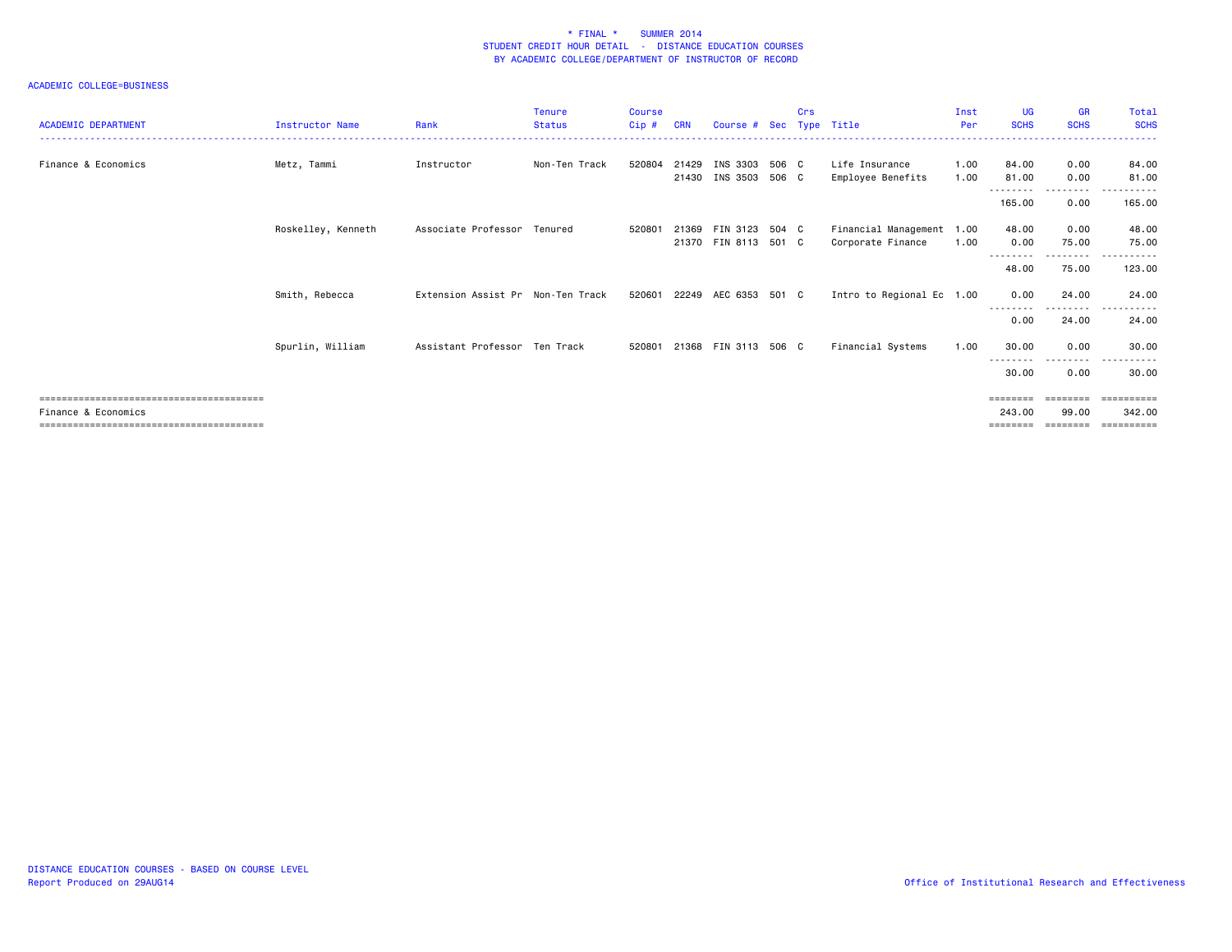| <b>ACADEMIC DEPARTMENT</b> | Instructor Name    | Rank                              | <b>Tenure</b><br><b>Status</b> | <b>Course</b><br>$Cip$ # | <b>CRN</b> | Course # Sec Type Title                      | Crs |                                                | Inst<br>Per  | <b>UG</b><br><b>SCHS</b> | <b>GR</b><br><b>SCHS</b> | Total<br><b>SCHS</b>           |
|----------------------------|--------------------|-----------------------------------|--------------------------------|--------------------------|------------|----------------------------------------------|-----|------------------------------------------------|--------------|--------------------------|--------------------------|--------------------------------|
| Finance & Economics        | Metz, Tammi        | Instructor                        | Non-Ten Track                  | 520804                   | 21429      | INS 3303 506 C<br>21430 INS 3503 506 C       |     | Life Insurance<br>Employee Benefits            | 1.00<br>1.00 | 84.00<br>81.00           | 0.00<br>0.00             | 84.00<br>81.00<br>. <b>.</b> . |
|                            |                    |                                   |                                |                          |            |                                              |     |                                                |              | ---------<br>165.00      | ---------<br>0.00        | 165.00                         |
|                            | Roskelley, Kenneth | Associate Professor Tenured       |                                | 520801                   |            | 21369 FIN 3123 504 C<br>21370 FIN 8113 501 C |     | Financial Management 1.00<br>Corporate Finance | 1.00         | 48.00<br>0.00            | 0.00<br>75.00<br>.       | 48.00<br>75.00<br>$- - -$      |
|                            |                    |                                   |                                |                          |            |                                              |     |                                                |              | 48.00                    | 75.00                    | . <b>.</b><br>123.00           |
|                            | Smith, Rebecca     | Extension Assist Pr Non-Ten Track |                                | 520601                   |            | 22249 AEC 6353 501 C                         |     | Intro to Regional Ec 1.00                      |              | 0.00                     | 24.00<br>---------       | 24.00                          |
|                            |                    |                                   |                                |                          |            |                                              |     |                                                |              | 0.00                     | 24,00                    | 24.00                          |
|                            | Spurlin, William   | Assistant Professor Ten Track     |                                | 520801                   |            | 21368 FIN 3113 506 C                         |     | Financial Systems                              | 1.00         | 30.00                    | 0.00<br>.                | 30.00                          |
|                            |                    |                                   |                                |                          |            |                                              |     |                                                |              | 30.00                    | 0.00                     | 30.00                          |
| Finance & Economics        |                    |                                   |                                |                          |            |                                              |     |                                                |              | ========<br>243,00       | 99.00                    | ========<br>$=$<br>342.00      |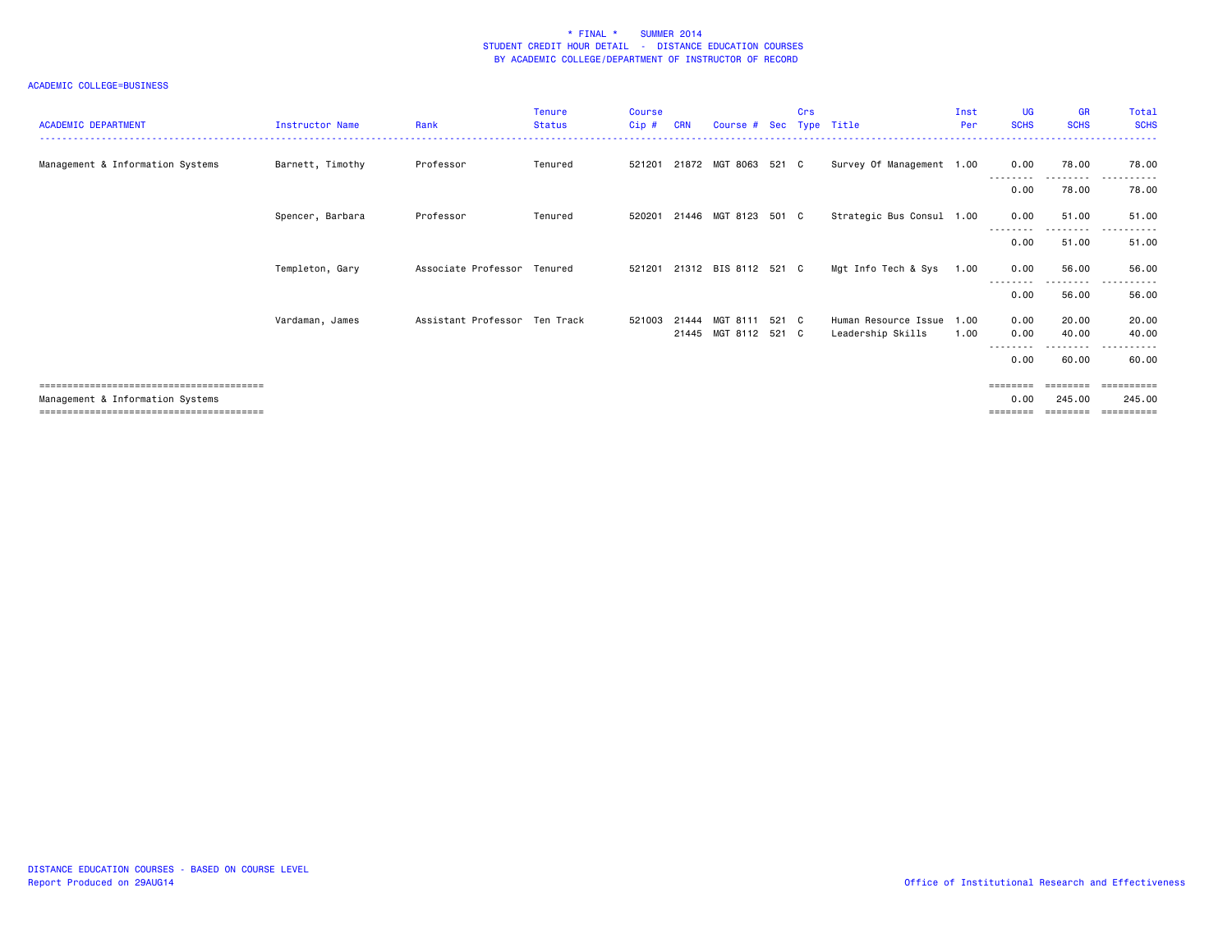| <b>ACADEMIC DEPARTMENT</b>       | Instructor Name  | Rank                          | Tenure<br><b>Status</b> | <b>Course</b><br>$Cip$ # | <b>CRN</b> | Course # Sec Type Title |       | <b>Crs</b> |                           | Inst<br>Per | <b>UG</b><br><b>SCHS</b> | <b>GR</b><br><b>SCHS</b> | Total<br><b>SCHS</b>  |
|----------------------------------|------------------|-------------------------------|-------------------------|--------------------------|------------|-------------------------|-------|------------|---------------------------|-------------|--------------------------|--------------------------|-----------------------|
| Management & Information Systems | Barnett, Timothy | Professor                     | Tenured                 | 521201                   |            | 21872 MGT 8063 521 C    |       |            | Survey Of Management 1.00 |             | 0.00                     | 78.00                    | 78.00                 |
|                                  |                  |                               |                         |                          |            |                         |       |            |                           |             | 0.00                     | ---------<br>78.00       | $- - -$<br>78.00      |
|                                  | Spencer, Barbara | Professor                     | Tenured                 | 520201                   |            | 21446 MGT 8123 501 C    |       |            | Strategic Bus Consul 1.00 |             | 0.00                     | 51.00                    | 51.00                 |
|                                  |                  |                               |                         |                          |            |                         |       |            |                           |             | 0.00                     | --------<br>51.00        | 51.00                 |
|                                  | Templeton, Gary  | Associate Professor Tenured   |                         | 521201                   |            | 21312 BIS 8112 521 C    |       |            | Mgt Info Tech & Sys       | 1.00        | 0.00                     | 56.00                    | 56.00                 |
|                                  |                  |                               |                         |                          |            |                         |       |            |                           |             | 0.00                     | ---------<br>56.00       | .<br>$- - -$<br>56.00 |
|                                  | Vardaman, James  | Assistant Professor Ten Track |                         | 521003                   | 21444      | MGT 8111                | 521 C |            | Human Resource Issue      | 1.00        | 0.00                     | 20.00                    | 20.00                 |
|                                  |                  |                               |                         |                          |            | 21445 MGT 8112 521 C    |       |            | Leadership Skills         | 1.00        | 0.00                     | 40.00                    | 40.00                 |
|                                  |                  |                               |                         |                          |            |                         |       |            |                           |             | 0.00                     | ---------<br>60.00       | ------<br>.<br>60.00  |
|                                  |                  |                               |                         |                          |            |                         |       |            |                           |             | =======                  |                          | eeeeeeeee             |
| Management & Information Systems |                  |                               |                         |                          |            |                         |       |            |                           |             | 0.00                     | 245.00<br>========       | 245.00<br>==========  |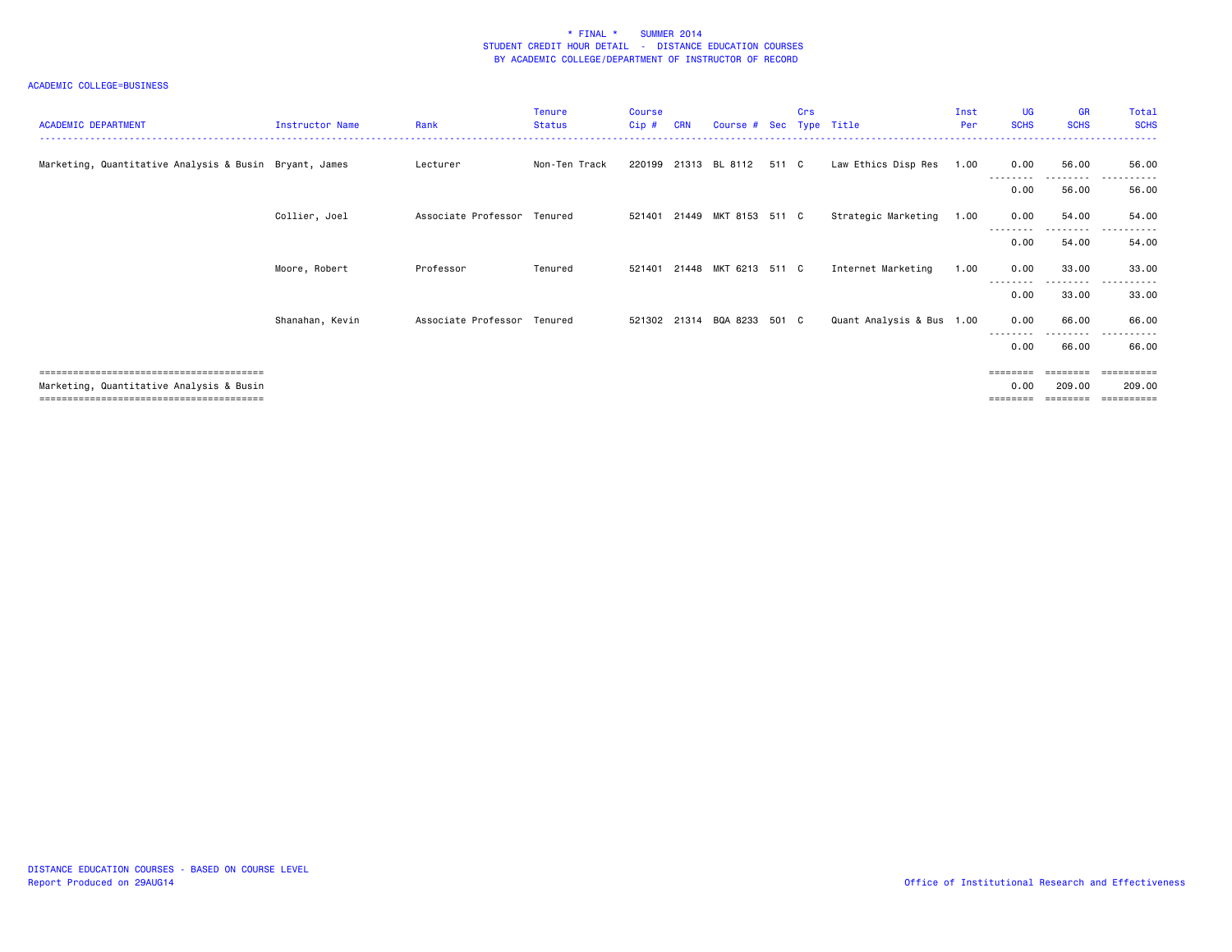| <b>ACADEMIC DEPARTMENT</b>                             | Instructor Name | Rank                        | Tenure<br><b>Status</b> | <b>Course</b><br>Cip# | <b>CRN</b> | Course # Sec Type Title     |       | <b>Crs</b> |                           | Inst<br>Per | <b>UG</b><br><b>SCHS</b> | <b>GR</b><br><b>SCHS</b> | Total<br><b>SCHS</b>       |
|--------------------------------------------------------|-----------------|-----------------------------|-------------------------|-----------------------|------------|-----------------------------|-------|------------|---------------------------|-------------|--------------------------|--------------------------|----------------------------|
| Marketing, Quantitative Analysis & Busin Bryant, James |                 | Lecturer                    | Non-Ten Track           |                       |            | 220199 21313 BL 8112        | 511 C |            | Law Ethics Disp Res       | 1.00        | 0.00                     | 56.00<br>---------       | 56.00<br>$- - -$           |
|                                                        |                 |                             |                         |                       |            |                             |       |            |                           |             | 0.00                     | 56.00                    | 56.00                      |
|                                                        | Collier, Joel   | Associate Professor Tenured |                         | 521401                |            | 21449 MKT 8153 511 C        |       |            | Strategic Marketing       | 1.00        | 0.00                     | 54.00<br>- - - - - -     | 54.00                      |
|                                                        |                 |                             |                         |                       |            |                             |       |            |                           |             | 0.00                     | 54.00                    | 54.00                      |
|                                                        | Moore, Robert   | Professor                   | Tenured                 | 521401                |            | 21448 MKT 6213 511 C        |       |            | Internet Marketing        | 1.00        | 0.00                     | 33.00                    | 33.00                      |
|                                                        |                 |                             |                         |                       |            |                             |       |            |                           |             | 0.00                     | .<br>33.00               | ------<br>$- - -$<br>33.00 |
|                                                        | Shanahan, Kevin | Associate Professor Tenured |                         |                       |            | 521302 21314 BQA 8233 501 C |       |            | Quant Analysis & Bus 1.00 |             | 0.00                     | 66.00                    | 66.00                      |
|                                                        |                 |                             |                         |                       |            |                             |       |            |                           |             | 0.00                     | --------<br>66.00        | $ -$<br>66.00              |
|                                                        |                 |                             |                         |                       |            |                             |       |            |                           |             | $=$ = = = = = = =        |                          | ==========                 |
| Marketing, Quantitative Analysis & Busin               |                 |                             |                         |                       |            |                             |       |            |                           |             | 0.00                     | 209,00                   | 209,00                     |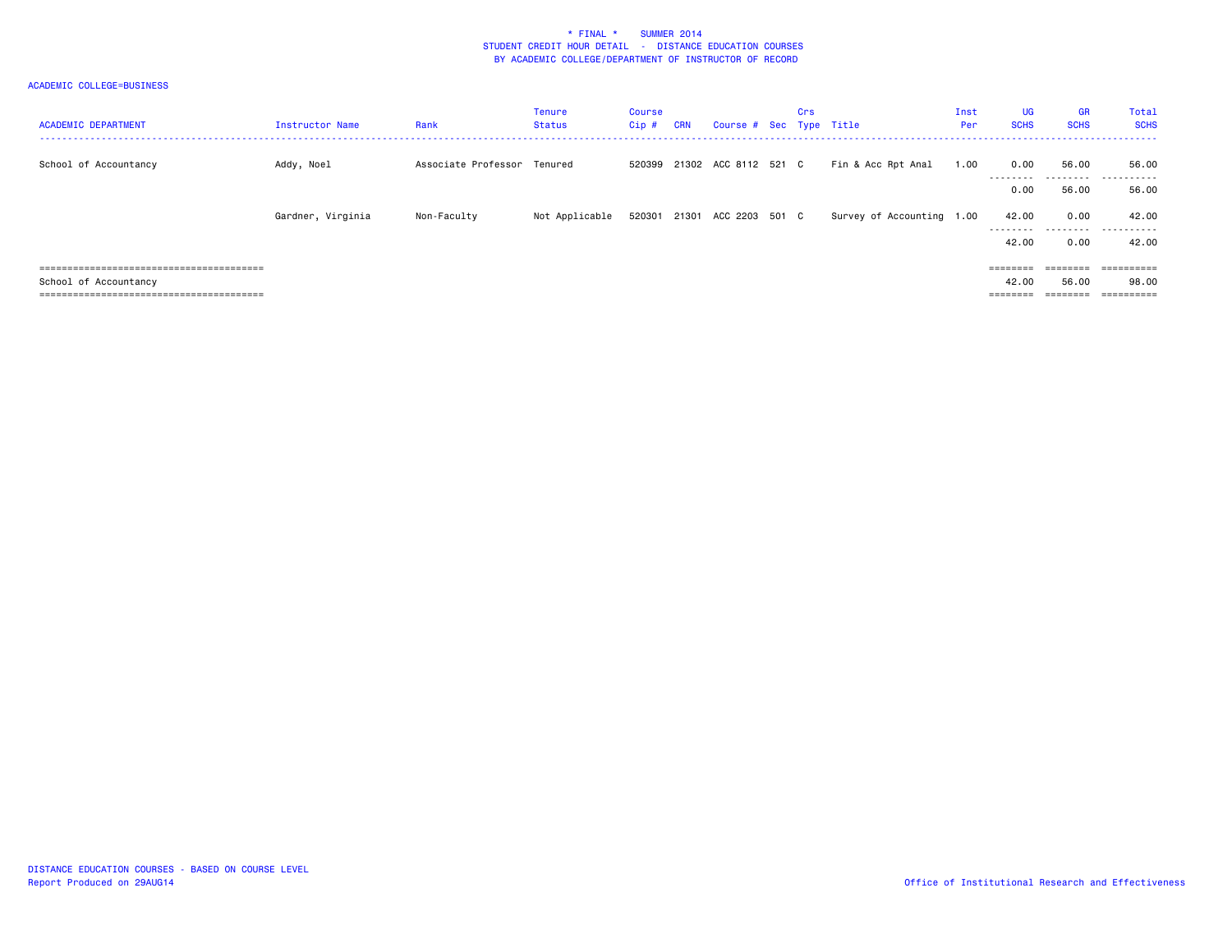| <b>ACADEMIC DEPARTMENT</b> | Instructor Name   | Rank                        | Tenure<br>Status | Course<br>$Cip$ # | <b>CRN</b> | Course # Sec Type Title     | Crs |                           | Inst<br>Per | <b>UG</b><br><b>SCHS</b>                                                | <b>GR</b><br><b>SCHS</b> | Total<br><b>SCHS</b>          |
|----------------------------|-------------------|-----------------------------|------------------|-------------------|------------|-----------------------------|-----|---------------------------|-------------|-------------------------------------------------------------------------|--------------------------|-------------------------------|
| School of Accountancy      | Addy, Noel        | Associate Professor Tenured |                  |                   |            | 520399 21302 ACC 8112 521 C |     | Fin & Acc Rpt Anal        | 1.00        | 0.00<br>---------                                                       | 56.00<br>.               | 56.00<br>.                    |
|                            |                   |                             |                  |                   |            |                             |     |                           |             | 0.00                                                                    | 56.00                    | 56.00                         |
|                            | Gardner, Virginia | Non-Faculty                 | Not Applicable   |                   |            | 520301 21301 ACC 2203 501 C |     | Survey of Accounting 1.00 |             | 42.00                                                                   | 0.00<br>---------        | 42.00<br>-------<br>$- - - -$ |
|                            |                   |                             |                  |                   |            |                             |     |                           |             | 42.00                                                                   | 0.00                     | 42.00                         |
|                            |                   |                             |                  |                   |            |                             |     |                           |             | $\qquad \qquad \equiv \equiv \equiv \equiv \equiv \equiv \equiv \equiv$ | $=$ = = = = = = =        | $=$ = = = = = = = = =         |
| School of Accountancy      |                   |                             |                  |                   |            |                             |     |                           |             | 42.00                                                                   | 56.00                    | 98.00                         |
|                            |                   |                             |                  |                   |            |                             |     |                           |             |                                                                         |                          |                               |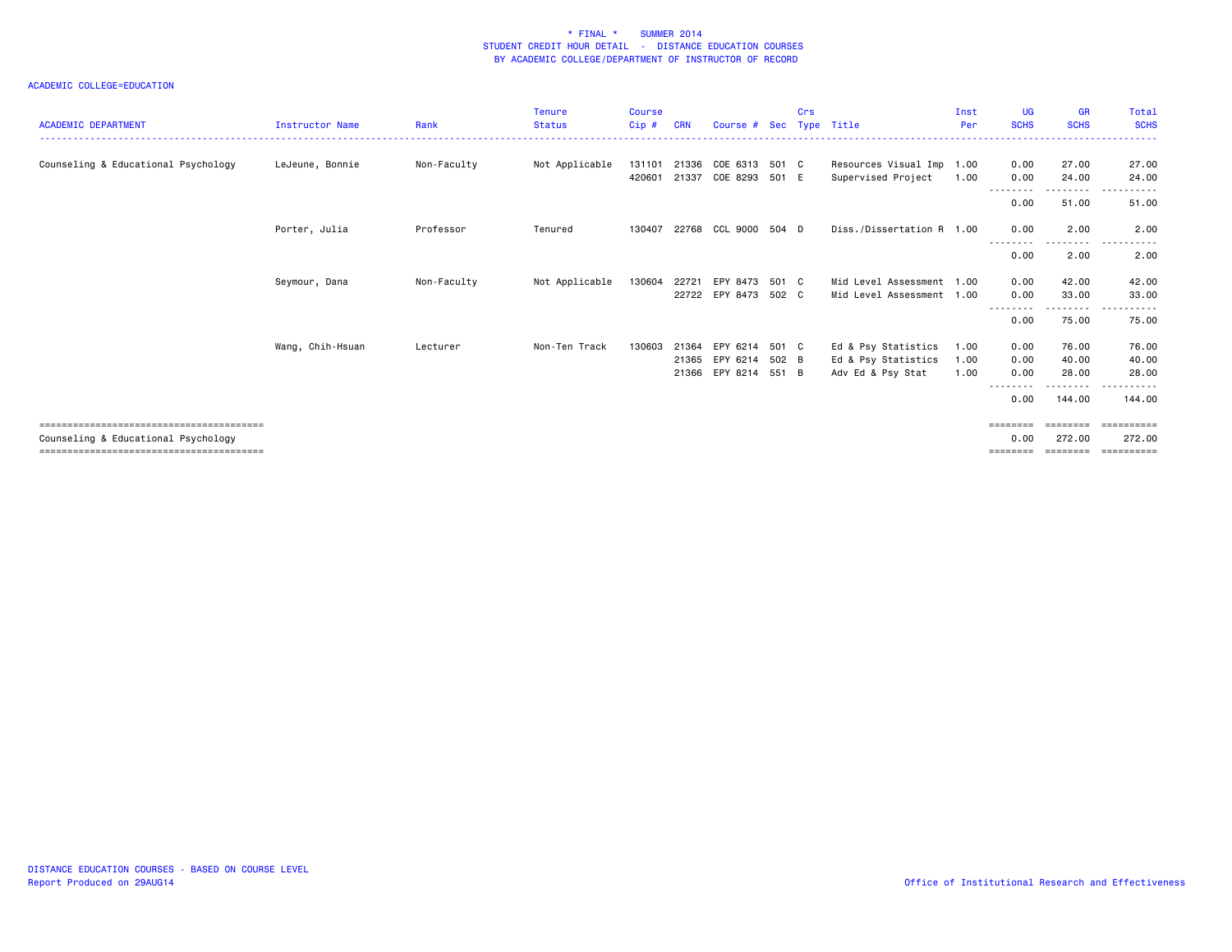| <b>ACADEMIC DEPARTMENT</b>          | Instructor Name  | Rank        | Tenure<br><b>Status</b> | <b>Course</b><br>Cip# | <b>CRN</b> | Course # Sec         |       | Crs | Type Title                | Inst<br>Per | <b>UG</b><br><b>SCHS</b> | <b>GR</b><br><b>SCHS</b> | Total<br><b>SCHS</b> |
|-------------------------------------|------------------|-------------|-------------------------|-----------------------|------------|----------------------|-------|-----|---------------------------|-------------|--------------------------|--------------------------|----------------------|
| Counseling & Educational Psychology | LeJeune, Bonnie  | Non-Faculty | Not Applicable          | 131101                | 21336      | COE 6313 501 C       |       |     | Resources Visual Imp 1.00 |             | 0.00                     | 27.00                    | 27.00                |
|                                     |                  |             |                         | 420601                | 21337      | COE 8293             | 501 E |     | Supervised Project        | 1.00        | 0.00                     | 24.00                    | 24.00                |
|                                     |                  |             |                         |                       |            |                      |       |     |                           |             | 0.00                     | .<br>51.00               | .<br>51.00           |
|                                     | Porter, Julia    | Professor   | Tenured                 | 130407                | 22768      | CCL 9000 504 D       |       |     | Diss./Dissertation R 1.00 |             | 0.00                     | 2.00                     | 2.00                 |
|                                     |                  |             |                         |                       |            |                      |       |     |                           |             | 0.00                     | ----<br>2.00             | 2.00                 |
|                                     | Seymour, Dana    | Non-Faculty | Not Applicable          | 130604                | 22721      | EPY 8473 501 C       |       |     | Mid Level Assessment 1.00 |             | 0.00                     | 42.00                    | 42.00                |
|                                     |                  |             |                         |                       |            | 22722 EPY 8473 502 C |       |     | Mid Level Assessment 1.00 |             | 0.00                     | 33.00                    | 33,00                |
|                                     |                  |             |                         |                       |            |                      |       |     |                           |             | 0.00                     | $\frac{1}{2}$<br>75.00   | 75.00                |
|                                     | Wang, Chih-Hsuan | Lecturer    | Non-Ten Track           | 130603                | 21364      | EPY 6214             | 501 C |     | Ed & Psy Statistics       | 1.00        | 0.00                     | 76.00                    | 76.00                |
|                                     |                  |             |                         |                       | 21365      | EPY 6214             | 502 B |     | Ed & Psy Statistics       | 1.00        | 0.00                     | 40.00                    | 40.00                |
|                                     |                  |             |                         |                       | 21366      | EPY 8214 551 B       |       |     | Adv Ed & Psy Stat         | 1.00        | 0.00                     | 28.00                    | 28.00                |
|                                     |                  |             |                         |                       |            |                      |       |     |                           |             | 0.00                     | 144.00                   | .<br>144.00          |
|                                     |                  |             |                         |                       |            |                      |       |     |                           |             | ========                 | ========                 | ==========           |
| Counseling & Educational Psychology |                  |             |                         |                       |            |                      |       |     |                           |             | 0.00                     | 272.00                   | 272.00               |
|                                     |                  |             |                         |                       |            |                      |       |     |                           |             | ========                 | ========                 | ==========           |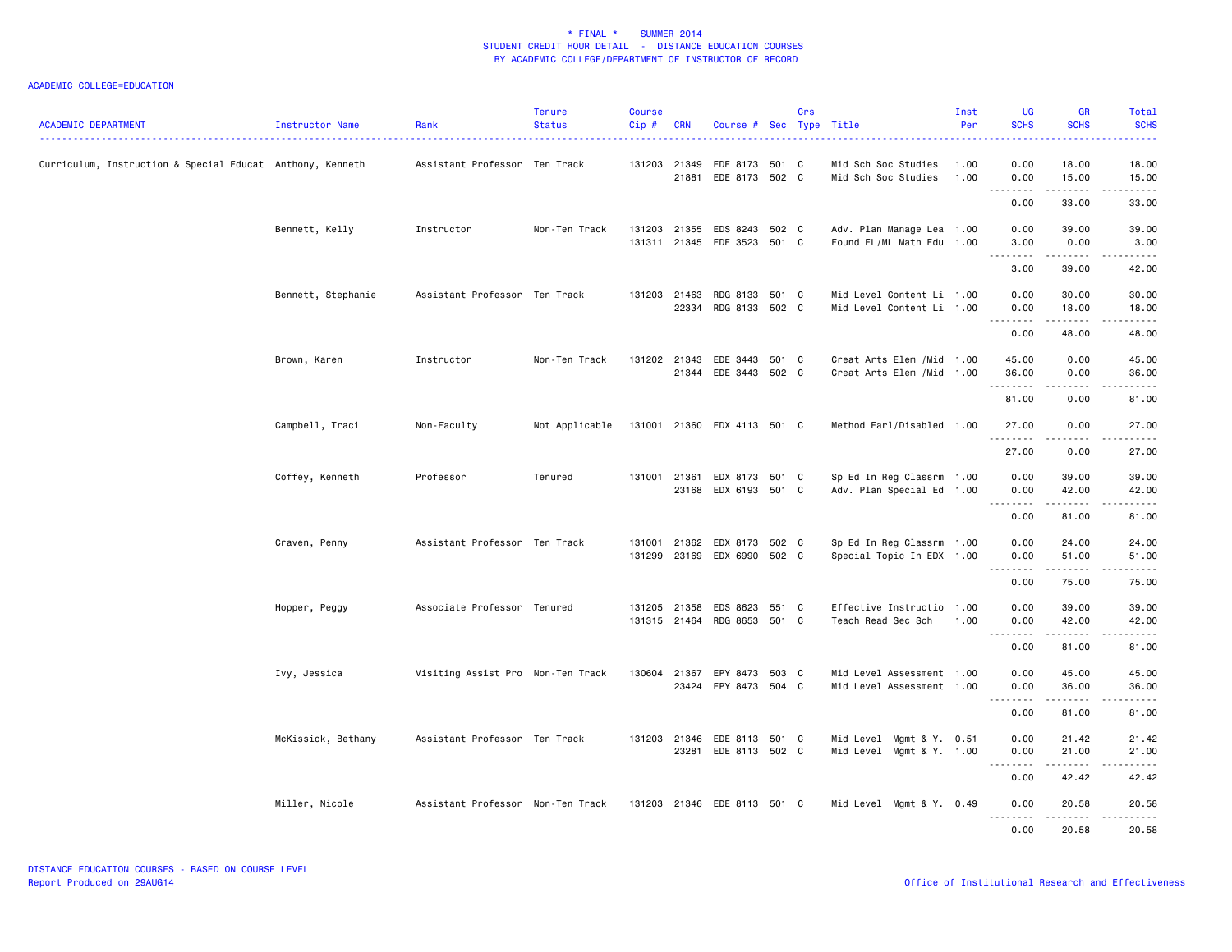| <b>ACADEMIC DEPARTMENT</b>                                | Instructor Name    | Rank                              | <b>Tenure</b><br><b>Status</b> | <b>Course</b><br>Cip# | <b>CRN</b> | Course # Sec Type Title                              |       | Crs |                                                          | Inst<br>Per  | UG<br><b>SCHS</b>      | <b>GR</b><br><b>SCHS</b> | Total<br><b>SCHS</b>                                                                                                                                                   |
|-----------------------------------------------------------|--------------------|-----------------------------------|--------------------------------|-----------------------|------------|------------------------------------------------------|-------|-----|----------------------------------------------------------|--------------|------------------------|--------------------------|------------------------------------------------------------------------------------------------------------------------------------------------------------------------|
| Curriculum, Instruction & Special Educat Anthony, Kenneth |                    | Assistant Professor Ten Track     |                                |                       | 21881      | 131203 21349 EDE 8173 501 C<br>EDE 8173 502 C        |       |     | Mid Sch Soc Studies<br>Mid Sch Soc Studies               | 1.00<br>1.00 | 0.00<br>0.00           | 18.00<br>15.00           | 18.00<br>15.00                                                                                                                                                         |
|                                                           |                    |                                   |                                |                       |            |                                                      |       |     |                                                          |              | .<br>0.00              | .<br>33.00               | .<br>33.00                                                                                                                                                             |
|                                                           | Bennett, Kelly     | Instructor                        | Non-Ten Track                  | 131203                |            | 21355 EDS 8243<br>131311 21345 EDE 3523 501 C        | 502 C |     | Adv. Plan Manage Lea 1.00<br>Found EL/ML Math Edu 1.00   |              | 0.00<br>3.00<br>.      | 39.00<br>0.00<br>.       | 39.00<br>3.00<br>.                                                                                                                                                     |
|                                                           |                    |                                   |                                |                       |            |                                                      |       |     |                                                          |              | 3.00                   | 39.00                    | 42.00                                                                                                                                                                  |
|                                                           | Bennett, Stephanie | Assistant Professor Ten Track     |                                |                       |            | 131203 21463 RDG 8133 501 C<br>22334 RDG 8133 502 C  |       |     | Mid Level Content Li 1.00<br>Mid Level Content Li 1.00   |              | 0.00<br>0.00           | 30.00<br>18.00<br>.      | 30.00<br>18,00<br>.                                                                                                                                                    |
|                                                           |                    |                                   |                                |                       |            |                                                      |       |     |                                                          |              | .<br>0.00              | 48.00                    | 48.00                                                                                                                                                                  |
|                                                           | Brown, Karen       | Instructor                        | Non-Ten Track                  |                       |            | 131202 21343 EDE 3443<br>21344 EDE 3443 502 C        | 501 C |     | Creat Arts Elem / Mid 1.00<br>Creat Arts Elem / Mid 1.00 |              | 45.00<br>36.00<br>.    | 0.00<br>0.00<br>.        | 45.00<br>36.00<br>.                                                                                                                                                    |
|                                                           |                    |                                   |                                |                       |            |                                                      |       |     |                                                          |              | 81.00                  | 0.00                     | 81.00                                                                                                                                                                  |
|                                                           | Campbell, Traci    | Non-Faculty                       | Not Applicable                 |                       |            | 131001 21360 EDX 4113 501 C                          |       |     | Method Earl/Disabled 1.00                                |              | 27.00<br>.             | 0.00                     | 27.00<br>.                                                                                                                                                             |
|                                                           |                    |                                   |                                |                       |            |                                                      |       |     |                                                          |              | 27.00                  | 0.00                     | 27.00                                                                                                                                                                  |
|                                                           | Coffey, Kenneth    | Professor                         | Tenured                        | 131001                |            | 21361 EDX 8173 501 C<br>23168 EDX 6193 501 C         |       |     | Sp Ed In Reg Classrm 1.00<br>Adv. Plan Special Ed 1.00   |              | 0.00<br>0.00<br>.      | 39.00<br>42.00<br>.      | 39.00<br>42.00<br>.                                                                                                                                                    |
|                                                           |                    |                                   |                                |                       |            |                                                      |       |     |                                                          |              | 0.00                   | 81.00                    | 81.00                                                                                                                                                                  |
|                                                           | Craven, Penny      | Assistant Professor Ten Track     |                                | 131001<br>131299      | 21362      | EDX 8173 502 C<br>23169 EDX 6990 502 C               |       |     | Sp Ed In Reg Classrm 1.00<br>Special Topic In EDX 1.00   |              | 0.00<br>0.00<br>.      | 24.00<br>51.00<br>.      | 24.00<br>51.00<br>.                                                                                                                                                    |
|                                                           |                    |                                   |                                |                       |            |                                                      |       |     |                                                          |              | 0.00                   | 75.00                    | 75.00                                                                                                                                                                  |
|                                                           | Hopper, Peggy      | Associate Professor Tenured       |                                |                       |            | 131205 21358 EDS 8623<br>131315 21464 RDG 8653 501 C | 551 C |     | Effective Instructio 1.00<br>Teach Read Sec Sch          | 1.00         | 0.00<br>0.00           | 39.00<br>42.00           | 39.00<br>42.00<br>$\frac{1}{2} \left( \frac{1}{2} \right) \left( \frac{1}{2} \right) \left( \frac{1}{2} \right) \left( \frac{1}{2} \right) \left( \frac{1}{2} \right)$ |
|                                                           |                    |                                   |                                |                       |            |                                                      |       |     |                                                          |              | 0.00                   | 81.00                    | 81.00                                                                                                                                                                  |
|                                                           | Ivy, Jessica       | Visiting Assist Pro Non-Ten Track |                                | 130604                |            | 21367 EPY 8473<br>23424 EPY 8473 504 C               | 503 C |     | Mid Level Assessment 1.00<br>Mid Level Assessment 1.00   |              | 0.00<br>0.00<br>.      | 45.00<br>36.00<br>.      | 45.00<br>36.00<br>.                                                                                                                                                    |
|                                                           |                    |                                   |                                |                       |            |                                                      |       |     |                                                          |              | 0.00                   | 81.00                    | 81.00                                                                                                                                                                  |
|                                                           | McKissick, Bethany | Assistant Professor Ten Track     |                                | 131203                |            | 21346 EDE 8113 501 C<br>23281 EDE 8113 502 C         |       |     | Mid Level Mgmt & Y. 0.51<br>Mid Level Mgmt & Y. 1.00     |              | 0.00<br>0.00<br>.      | 21.42<br>21.00<br>.      | 21.42<br>21.00<br>.                                                                                                                                                    |
|                                                           |                    |                                   |                                |                       |            |                                                      |       |     |                                                          |              | 0.00                   | 42.42                    | 42.42                                                                                                                                                                  |
|                                                           | Miller, Nicole     | Assistant Professor Non-Ten Track |                                |                       |            | 131203 21346 EDE 8113 501 C                          |       |     | Mid Level Mgmt & Y. 0.49                                 |              | 0.00<br>$  -$<br>----- | 20.58<br>. <b>.</b>      | 20.58<br>.                                                                                                                                                             |
|                                                           |                    |                                   |                                |                       |            |                                                      |       |     |                                                          |              | 0.00                   | 20.58                    | 20.58                                                                                                                                                                  |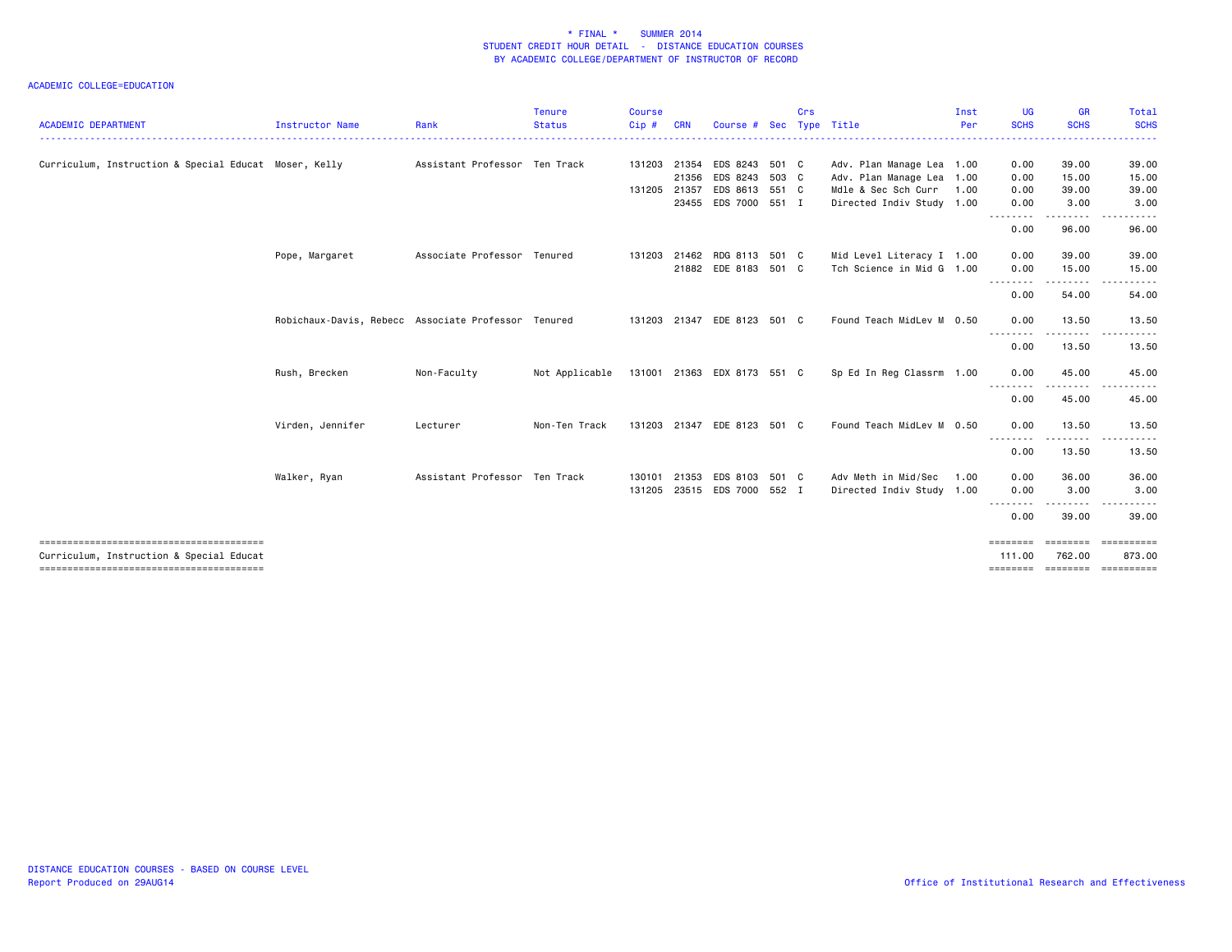| <b>ACADEMIC DEPARTMENT</b>                            | Instructor Name                                     | Rank                          | <b>Tenure</b><br><b>Status</b> | <b>Course</b><br>Cip # | <b>CRN</b>            | Course #                         | <b>Sec</b> | Crs | Type Title                                       | Inst<br>Per | <b>UG</b><br><b>SCHS</b> | GR<br><b>SCHS</b>     | Total<br><b>SCHS</b>                                                                                                                                                                                                                                                                                                                                                                                                                                                            |
|-------------------------------------------------------|-----------------------------------------------------|-------------------------------|--------------------------------|------------------------|-----------------------|----------------------------------|------------|-----|--------------------------------------------------|-------------|--------------------------|-----------------------|---------------------------------------------------------------------------------------------------------------------------------------------------------------------------------------------------------------------------------------------------------------------------------------------------------------------------------------------------------------------------------------------------------------------------------------------------------------------------------|
|                                                       |                                                     |                               |                                |                        |                       |                                  |            |     |                                                  |             |                          |                       | .                                                                                                                                                                                                                                                                                                                                                                                                                                                                               |
| Curriculum, Instruction & Special Educat Moser, Kelly |                                                     | Assistant Professor Ten Track |                                | 131203                 |                       | 21354 EDS 8243 501 C             |            |     | Adv. Plan Manage Lea 1.00                        |             | 0.00                     | 39.00                 | 39.00                                                                                                                                                                                                                                                                                                                                                                                                                                                                           |
|                                                       |                                                     |                               |                                |                        | 21356<br>131205 21357 | EDS 8243 503 C<br>EDS 8613 551 C |            |     | Adv. Plan Manage Lea 1.00<br>Mdle & Sec Sch Curr | 1.00        | 0.00<br>0.00             | 15.00<br>39.00        | 15.00<br>39.00                                                                                                                                                                                                                                                                                                                                                                                                                                                                  |
|                                                       |                                                     |                               |                                |                        |                       | 23455 EDS 7000 551 I             |            |     | Directed Indiv Study 1.00                        |             | 0.00                     | 3.00                  | 3.00                                                                                                                                                                                                                                                                                                                                                                                                                                                                            |
|                                                       |                                                     |                               |                                |                        |                       |                                  |            |     |                                                  |             | .                        | $\cdots$              |                                                                                                                                                                                                                                                                                                                                                                                                                                                                                 |
|                                                       |                                                     |                               |                                |                        |                       |                                  |            |     |                                                  |             | 0.00                     | 96.00                 | 96.00                                                                                                                                                                                                                                                                                                                                                                                                                                                                           |
|                                                       | Pope, Margaret                                      | Associate Professor Tenured   |                                |                        |                       | 131203 21462 RDG 8113 501 C      |            |     | Mid Level Literacy I 1.00                        |             | 0.00                     | 39.00                 | 39.00                                                                                                                                                                                                                                                                                                                                                                                                                                                                           |
|                                                       |                                                     |                               |                                |                        |                       | 21882 EDE 8183 501 C             |            |     | Tch Science in Mid G 1.00                        |             | 0.00                     | 15.00                 | 15.00                                                                                                                                                                                                                                                                                                                                                                                                                                                                           |
|                                                       |                                                     |                               |                                |                        |                       |                                  |            |     |                                                  |             | .<br>0.00                | .<br>54.00            | 54.00                                                                                                                                                                                                                                                                                                                                                                                                                                                                           |
|                                                       |                                                     |                               |                                |                        |                       |                                  |            |     |                                                  |             |                          |                       |                                                                                                                                                                                                                                                                                                                                                                                                                                                                                 |
|                                                       | Robichaux-Davis, Rebecc Associate Professor Tenured |                               |                                |                        |                       | 131203 21347 EDE 8123 501 C      |            |     | Found Teach MidLev M 0.50                        |             | 0.00                     | 13.50                 | 13.50                                                                                                                                                                                                                                                                                                                                                                                                                                                                           |
|                                                       |                                                     |                               |                                |                        |                       |                                  |            |     |                                                  |             | 0.00                     | .<br>13.50            | 13.50                                                                                                                                                                                                                                                                                                                                                                                                                                                                           |
|                                                       | Rush, Brecken                                       | Non-Faculty                   | Not Applicable                 |                        |                       | 131001 21363 EDX 8173 551 C      |            |     | Sp Ed In Reg Classrm 1.00                        |             | 0.00                     | 45.00                 | 45.00                                                                                                                                                                                                                                                                                                                                                                                                                                                                           |
|                                                       |                                                     |                               |                                |                        |                       |                                  |            |     |                                                  |             | 0.00                     | 45.00                 | 45.00                                                                                                                                                                                                                                                                                                                                                                                                                                                                           |
|                                                       |                                                     |                               |                                |                        |                       |                                  |            |     |                                                  |             |                          |                       |                                                                                                                                                                                                                                                                                                                                                                                                                                                                                 |
|                                                       | Virden, Jennifer                                    | Lecturer                      | Non-Ten Track                  |                        | 131203 21347          | EDE 8123 501 C                   |            |     | Found Teach MidLev M 0.50                        |             | 0.00                     | 13.50                 | 13.50                                                                                                                                                                                                                                                                                                                                                                                                                                                                           |
|                                                       |                                                     |                               |                                |                        |                       |                                  |            |     |                                                  |             | --------<br>0.00         | .<br>13.50            | .<br>13.50                                                                                                                                                                                                                                                                                                                                                                                                                                                                      |
|                                                       |                                                     |                               |                                |                        |                       |                                  |            |     |                                                  |             |                          |                       |                                                                                                                                                                                                                                                                                                                                                                                                                                                                                 |
|                                                       | Walker, Ryan                                        | Assistant Professor Ten Track |                                | 130101                 |                       | 21353 EDS 8103 501 C             |            |     | Adv Meth in Mid/Sec                              | 1.00        | 0.00                     | 36.00                 | 36.00                                                                                                                                                                                                                                                                                                                                                                                                                                                                           |
|                                                       |                                                     |                               |                                | 131205                 |                       | 23515 EDS 7000 552 I             |            |     | Directed Indiv Study 1.00                        |             | 0.00<br>.                | 3.00<br>$\frac{1}{2}$ | 3.00                                                                                                                                                                                                                                                                                                                                                                                                                                                                            |
|                                                       |                                                     |                               |                                |                        |                       |                                  |            |     |                                                  |             | 0.00                     | 39.00                 | 39.00                                                                                                                                                                                                                                                                                                                                                                                                                                                                           |
|                                                       |                                                     |                               |                                |                        |                       |                                  |            |     |                                                  |             | $=$ = = = = = = =        |                       |                                                                                                                                                                                                                                                                                                                                                                                                                                                                                 |
| Curriculum, Instruction & Special Educat              |                                                     |                               |                                |                        |                       |                                  |            |     |                                                  |             | 111.00                   | 762,00                | 873.00                                                                                                                                                                                                                                                                                                                                                                                                                                                                          |
|                                                       |                                                     |                               |                                |                        |                       |                                  |            |     |                                                  |             | ========                 |                       | $\begin{minipage}{0.03\linewidth} \hspace*{0.03\linewidth} \hspace*{0.03\linewidth} \hspace*{0.03\linewidth} \hspace*{0.03\linewidth} \hspace*{0.03\linewidth} \hspace*{0.03\linewidth} \hspace*{0.03\linewidth} \hspace*{0.03\linewidth} \hspace*{0.03\linewidth} \hspace*{0.03\linewidth} \hspace*{0.03\linewidth} \hspace*{0.03\linewidth} \hspace*{0.03\linewidth} \hspace*{0.03\linewidth} \hspace*{0.03\linewidth} \hspace*{0.03\linewidth} \hspace*{0.03\linewidth} \hs$ |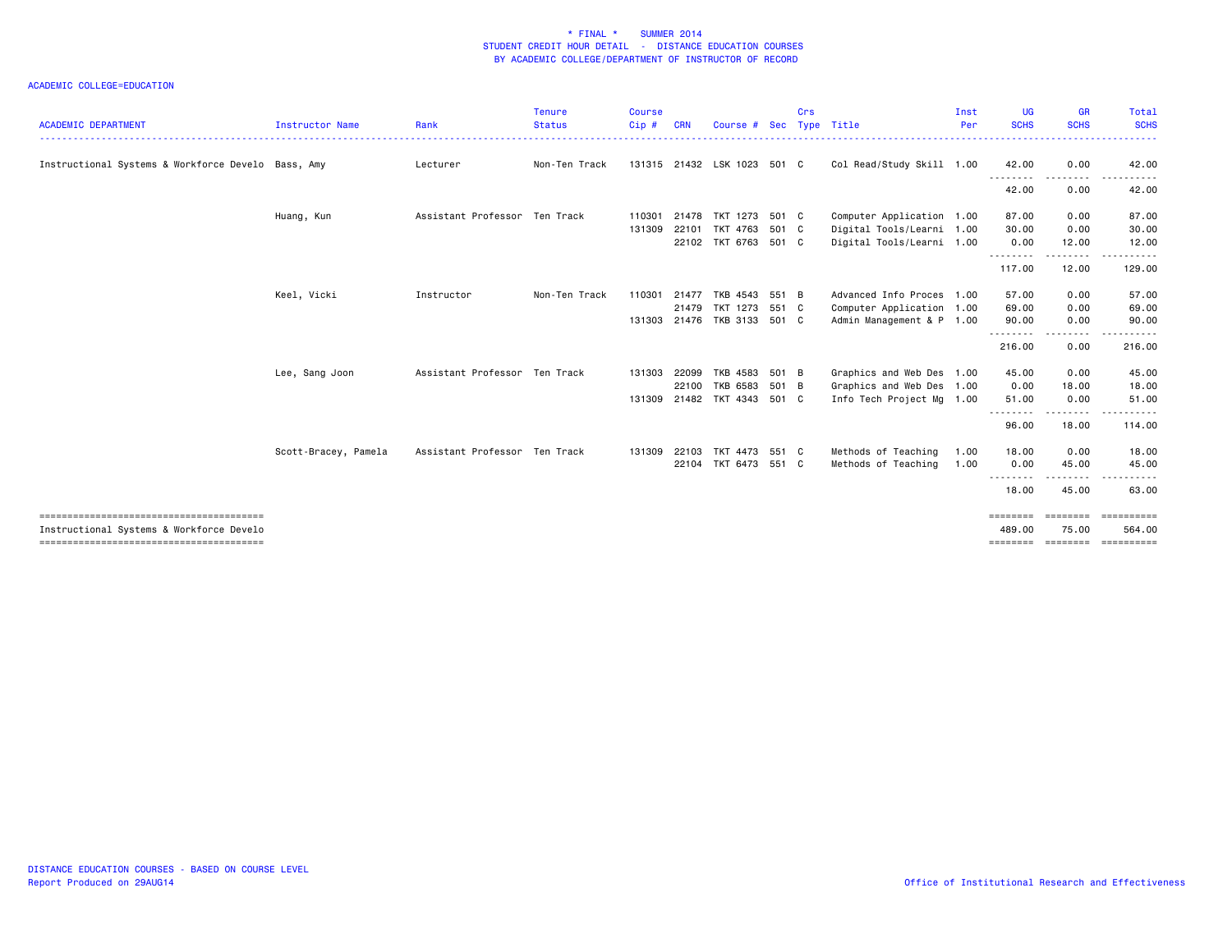| <b>ACADEMIC DEPARTMENT</b>                         | Instructor Name      | Rank                          | Tenure<br><b>Status</b> | <b>Course</b><br>Cip # | <b>CRN</b>   | Course #                    | Sec   | Crs | Type Title                | Inst<br>Per | <b>UG</b><br><b>SCHS</b> | <b>GR</b><br><b>SCHS</b>  | Total<br><b>SCHS</b>  |
|----------------------------------------------------|----------------------|-------------------------------|-------------------------|------------------------|--------------|-----------------------------|-------|-----|---------------------------|-------------|--------------------------|---------------------------|-----------------------|
|                                                    |                      |                               |                         |                        |              |                             |       |     |                           |             |                          |                           | . <u>.</u> .          |
| Instructional Systems & Workforce Develo Bass, Amy |                      | Lecturer                      | Non-Ten Track           |                        |              | 131315 21432 LSK 1023 501 C |       |     | Col Read/Study Skill 1.00 |             | 42.00<br>---------       | 0.00<br>$\frac{1}{2}$     | 42.00                 |
|                                                    |                      |                               |                         |                        |              |                             |       |     |                           |             | 42.00                    | 0.00                      | 42.00                 |
|                                                    | Huang, Kun           | Assistant Professor Ten Track |                         | 110301                 | 21478        | TKT 1273 501 C              |       |     | Computer Application 1.00 |             | 87.00                    | 0.00                      | 87.00                 |
|                                                    |                      |                               |                         | 131309                 | 22101        | TKT 4763                    | 501 C |     | Digital Tools/Learni 1.00 |             | 30.00                    | 0.00                      | 30.00                 |
|                                                    |                      |                               |                         |                        |              | 22102 TKT 6763 501 C        |       |     | Digital Tools/Learni 1.00 |             | 0.00                     | 12.00                     | 12.00                 |
|                                                    |                      |                               |                         |                        |              |                             |       |     |                           |             | --------<br>117.00       | .<br>12.00                | .<br>129.00           |
|                                                    | Keel, Vicki          | Instructor                    | Non-Ten Track           | 110301                 |              | 21477 TKB 4543 551 B        |       |     | Advanced Info Proces 1.00 |             | 57.00                    | 0.00                      | 57.00                 |
|                                                    |                      |                               |                         |                        |              | 21479 TKT 1273 551 C        |       |     | Computer Application 1.00 |             | 69.00                    | 0.00                      | 69.00                 |
|                                                    |                      |                               |                         |                        |              | 131303 21476 TKB 3133 501 C |       |     | Admin Management & P 1.00 |             | 90.00                    | 0.00                      | 90.00                 |
|                                                    |                      |                               |                         |                        |              |                             |       |     |                           |             | --------<br>216.00       | .<br>0.00                 | <u>.</u><br>216.00    |
|                                                    | Lee, Sang Joon       | Assistant Professor Ten Track |                         | 131303                 | 22099        | TKB 4583                    | 501 B |     | Graphics and Web Des 1.00 |             | 45.00                    | 0.00                      | 45.00                 |
|                                                    |                      |                               |                         |                        |              | 22100 TKB 6583 501 B        |       |     | Graphics and Web Des 1.00 |             | 0.00                     | 18.00                     | 18.00                 |
|                                                    |                      |                               |                         |                        |              | 131309 21482 TKT 4343 501 C |       |     | Info Tech Project Mg 1.00 |             | 51.00                    | 0.00                      | 51.00                 |
|                                                    |                      |                               |                         |                        |              |                             |       |     |                           |             | 96.00                    | .<br>18.00                | 114.00                |
|                                                    | Scott-Bracey, Pamela | Assistant Professor Ten Track |                         |                        | 131309 22103 | TKT 4473 551 C              |       |     | Methods of Teaching       | 1.00        | 18.00                    | 0.00                      | 18.00                 |
|                                                    |                      |                               |                         |                        |              | 22104 TKT 6473 551 C        |       |     | Methods of Teaching       | 1.00        | 0.00                     | 45.00                     | 45.00                 |
|                                                    |                      |                               |                         |                        |              |                             |       |     |                           |             | 18.00                    | 45.00                     | 63.00                 |
| Instructional Systems & Workforce Develo           |                      |                               |                         |                        |              |                             |       |     |                           |             | ========<br>489,00       | ========<br>75.00         | -==========<br>564.00 |
|                                                    |                      |                               |                         |                        |              |                             |       |     |                           |             | <u>.</u><br>========     | $\frac{1}{2}$<br>======== | ==========            |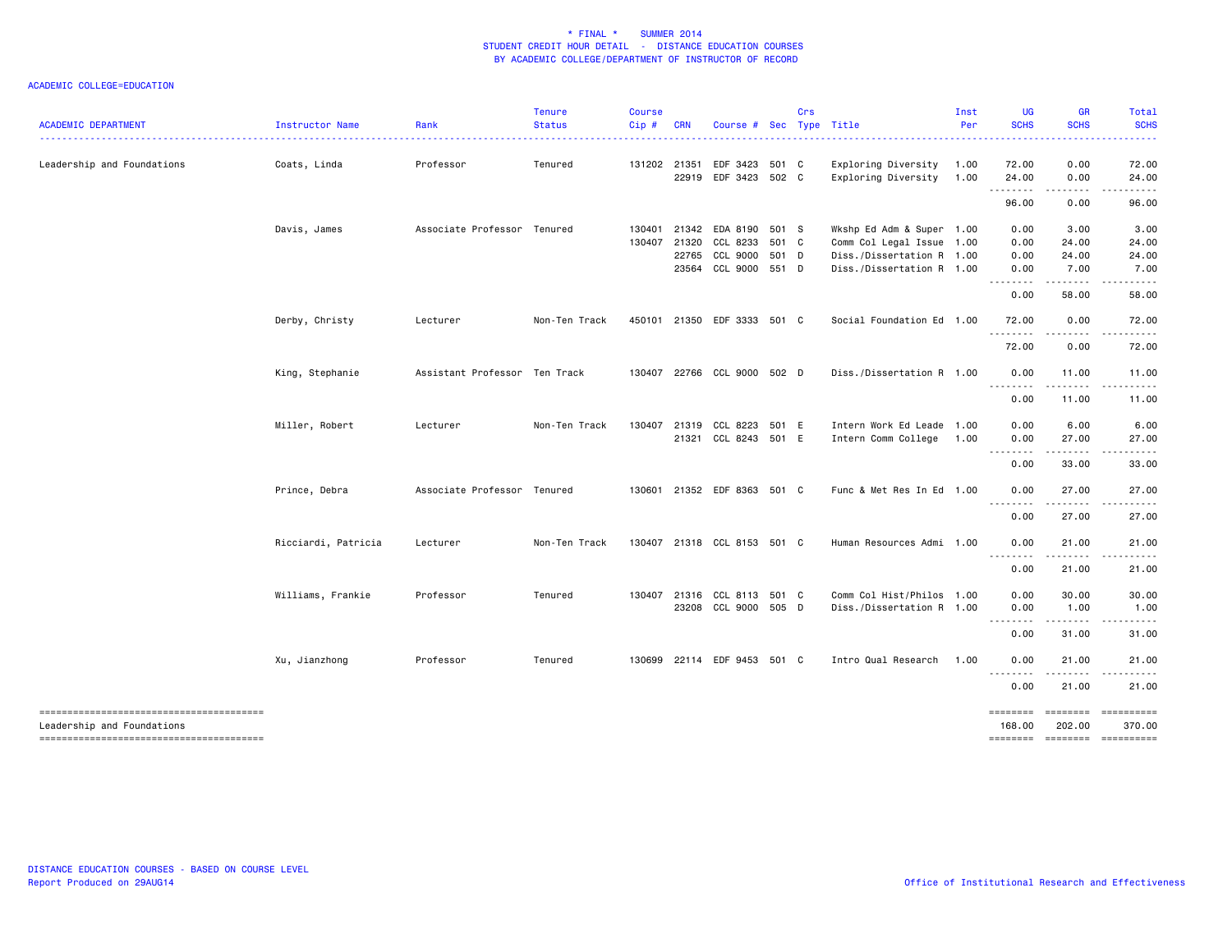| <b>ACADEMIC DEPARTMENT</b> | Instructor Name     | Rank                          | <b>Tenure</b><br><b>Status</b> | <b>Course</b><br>Cip# | <b>CRN</b>     | Course # Sec Type Title                                                          | Crs |                                                                                                                  | Inst<br>Per  | UG<br><b>SCHS</b>                                                                                                                                            | <b>GR</b><br><b>SCHS</b>       | Total<br><b>SCHS</b>           |
|----------------------------|---------------------|-------------------------------|--------------------------------|-----------------------|----------------|----------------------------------------------------------------------------------|-----|------------------------------------------------------------------------------------------------------------------|--------------|--------------------------------------------------------------------------------------------------------------------------------------------------------------|--------------------------------|--------------------------------|
| Leadership and Foundations | Coats, Linda        | Professor                     | Tenured                        | 131202 21351          |                | EDF 3423 501 C<br>22919 EDF 3423 502 C                                           |     | Exploring Diversity<br>Exploring Diversity                                                                       | 1.00<br>1.00 | 72.00<br>24.00                                                                                                                                               | 0.00<br>0.00                   | 72.00<br>24.00                 |
|                            |                     |                               |                                |                       |                |                                                                                  |     |                                                                                                                  |              | <u>.</u><br>96.00                                                                                                                                            | . <b>.</b><br>0.00             | .<br>96.00                     |
|                            | Davis, James        | Associate Professor Tenured   |                                | 130401<br>130407      | 21320<br>22765 | 21342 EDA 8190 501 S<br>CCL 8233 501 C<br>CCL 9000 501 D<br>23564 CCL 9000 551 D |     | Wkshp Ed Adm & Super 1.00<br>Comm Col Legal Issue 1.00<br>Diss./Dissertation R 1.00<br>Diss./Dissertation R 1.00 |              | 0.00<br>0.00<br>0.00<br>0.00                                                                                                                                 | 3.00<br>24.00<br>24.00<br>7.00 | 3.00<br>24.00<br>24.00<br>7.00 |
|                            |                     |                               |                                |                       |                |                                                                                  |     |                                                                                                                  |              | .<br>0.00                                                                                                                                                    | -----<br>58.00                 | 58.00                          |
|                            | Derby, Christy      | Lecturer                      | Non-Ten Track                  |                       |                | 450101 21350 EDF 3333 501 C                                                      |     | Social Foundation Ed 1.00                                                                                        |              | 72.00                                                                                                                                                        | 0.00                           | 72.00                          |
|                            |                     |                               |                                |                       |                |                                                                                  |     |                                                                                                                  |              | 72.00                                                                                                                                                        | 0.00                           | 72.00                          |
|                            | King, Stephanie     | Assistant Professor Ten Track |                                | 130407                |                | 22766 CCL 9000 502 D                                                             |     | Diss./Dissertation R 1.00                                                                                        |              | 0.00                                                                                                                                                         | 11.00                          | 11.00                          |
|                            |                     |                               |                                |                       |                |                                                                                  |     |                                                                                                                  |              | 0.00                                                                                                                                                         | 11.00                          | 11.00                          |
|                            | Miller, Robert      | Lecturer                      | Non-Ten Track                  | 130407                |                | 21319 CCL 8223 501 E<br>21321 CCL 8243 501 E                                     |     | Intern Work Ed Leade 1.00<br>Intern Comm College                                                                 | 1.00         | 0.00<br>0.00                                                                                                                                                 | 6.00<br>27.00<br>.             | 6.00<br>27.00<br>.             |
|                            |                     |                               |                                |                       |                |                                                                                  |     |                                                                                                                  |              | 0.00                                                                                                                                                         | 33.00                          | 33.00                          |
|                            | Prince, Debra       | Associate Professor Tenured   |                                |                       |                | 130601 21352 EDF 8363 501 C                                                      |     | Func & Met Res In Ed 1.00                                                                                        |              | 0.00                                                                                                                                                         | 27.00                          | 27.00                          |
|                            |                     |                               |                                |                       |                |                                                                                  |     |                                                                                                                  |              | 0.00                                                                                                                                                         | 27.00                          | 27.00                          |
|                            | Ricciardi, Patricia | Lecturer                      | Non-Ten Track                  |                       |                | 130407 21318 CCL 8153 501 C                                                      |     | Human Resources Admi 1.00                                                                                        |              | 0.00<br>$\frac{1}{2} \left( \frac{1}{2} \right) \left( \frac{1}{2} \right) \left( \frac{1}{2} \right) \left( \frac{1}{2} \right) \left( \frac{1}{2} \right)$ | 21.00                          | 21.00                          |
|                            |                     |                               |                                |                       |                |                                                                                  |     |                                                                                                                  |              | 0.00                                                                                                                                                         | 21.00                          | 21.00                          |
|                            | Williams, Frankie   | Professor                     | Tenured                        |                       |                | 130407 21316 CCL 8113 501 C<br>23208 CCL 9000 505 D                              |     | Comm Col Hist/Philos 1.00<br>Diss./Dissertation R 1.00                                                           |              | 0.00<br>0.00<br>.                                                                                                                                            | 30.00<br>1.00<br>. <b>.</b> .  | 30.00<br>1.00                  |
|                            |                     |                               |                                |                       |                |                                                                                  |     |                                                                                                                  |              | 0.00                                                                                                                                                         | 31.00                          | 31.00                          |
|                            | Xu, Jianzhong       | Professor                     | Tenured                        | 130699                |                | 22114 EDF 9453 501 C                                                             |     | Intro Qual Research                                                                                              | 1.00         | 0.00<br>.                                                                                                                                                    | 21.00<br>.                     | 21.00                          |
|                            |                     |                               |                                |                       |                |                                                                                  |     |                                                                                                                  |              | 0.00                                                                                                                                                         | 21.00                          | 21.00                          |
| Leadership and Foundations |                     |                               |                                |                       |                |                                                                                  |     |                                                                                                                  |              | ========<br>168.00<br><b>ESSESSES</b>                                                                                                                        | 202.00                         | 370.00<br>--------- ---------- |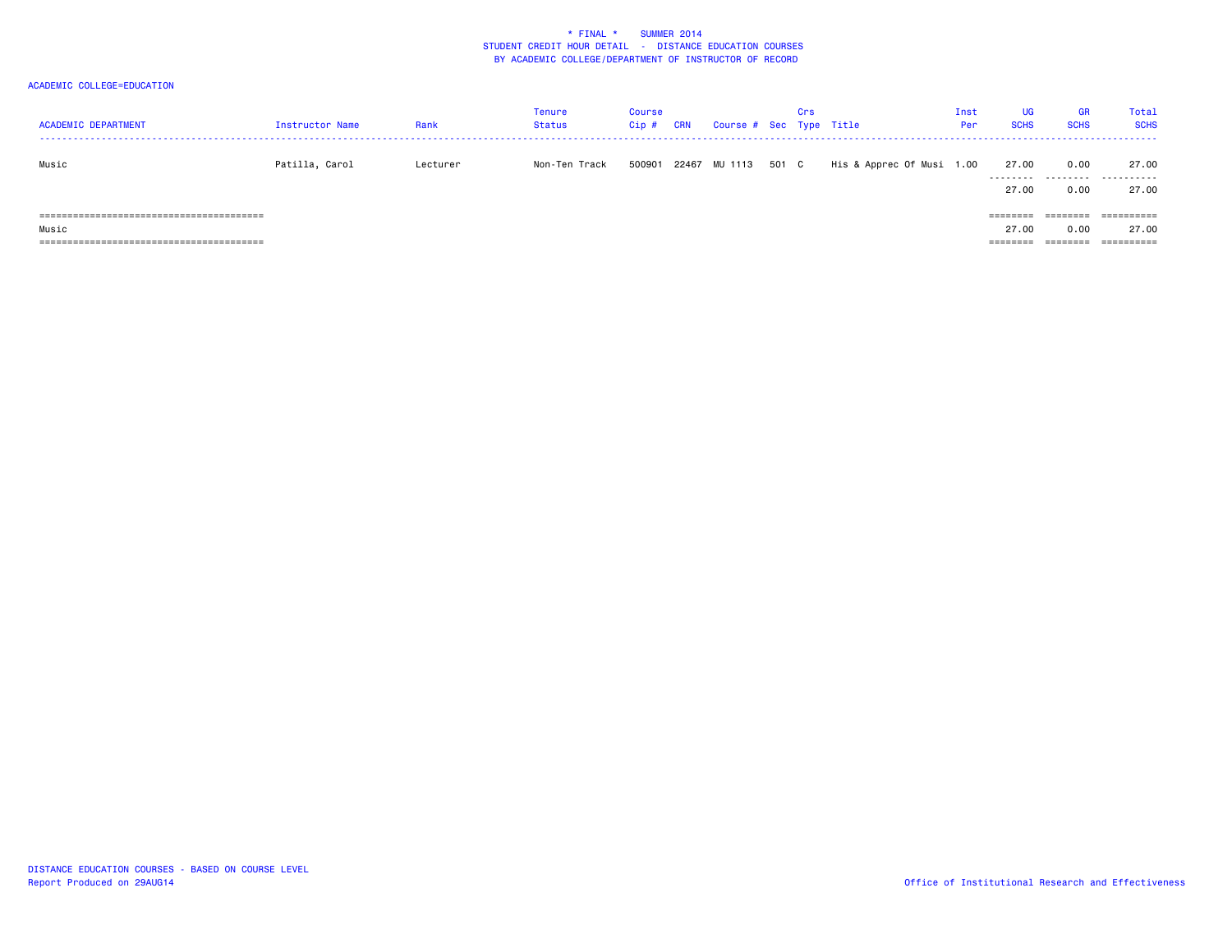| <b>ACADEMIC DEPARTMENT</b>       | Instructor Name | Rank     | Tenure<br>Status | <b>Course</b><br>$Cip$ # | <b>CRN</b> | Course # Sec Type Title |       | Crs |                           | Inst<br>Per | UG<br><b>SCHS</b>  | <b>GR</b><br><b>SCHS</b> | Total<br><b>SCHS</b> |
|----------------------------------|-----------------|----------|------------------|--------------------------|------------|-------------------------|-------|-----|---------------------------|-------------|--------------------|--------------------------|----------------------|
| Music                            | Patilla, Carol  | Lecturer | Non-Ten Track    | 500901                   |            | 22467 MU 1113           | 501 C |     | His & Apprec Of Musi 1.00 |             | 27.00<br>--------- | 0.00<br>.                | 27.00<br>.           |
|                                  |                 |          |                  |                          |            |                         |       |     |                           |             | 27.00              | 0.00                     | 27.00                |
|                                  |                 |          |                  |                          |            |                         |       |     |                           |             |                    |                          | ==========           |
| Music                            |                 |          |                  |                          |            |                         |       |     |                           |             | 27.00              | 0.00                     | 27.00                |
| ;======================<br>===== |                 |          |                  |                          |            |                         |       |     |                           |             |                    |                          | ==========           |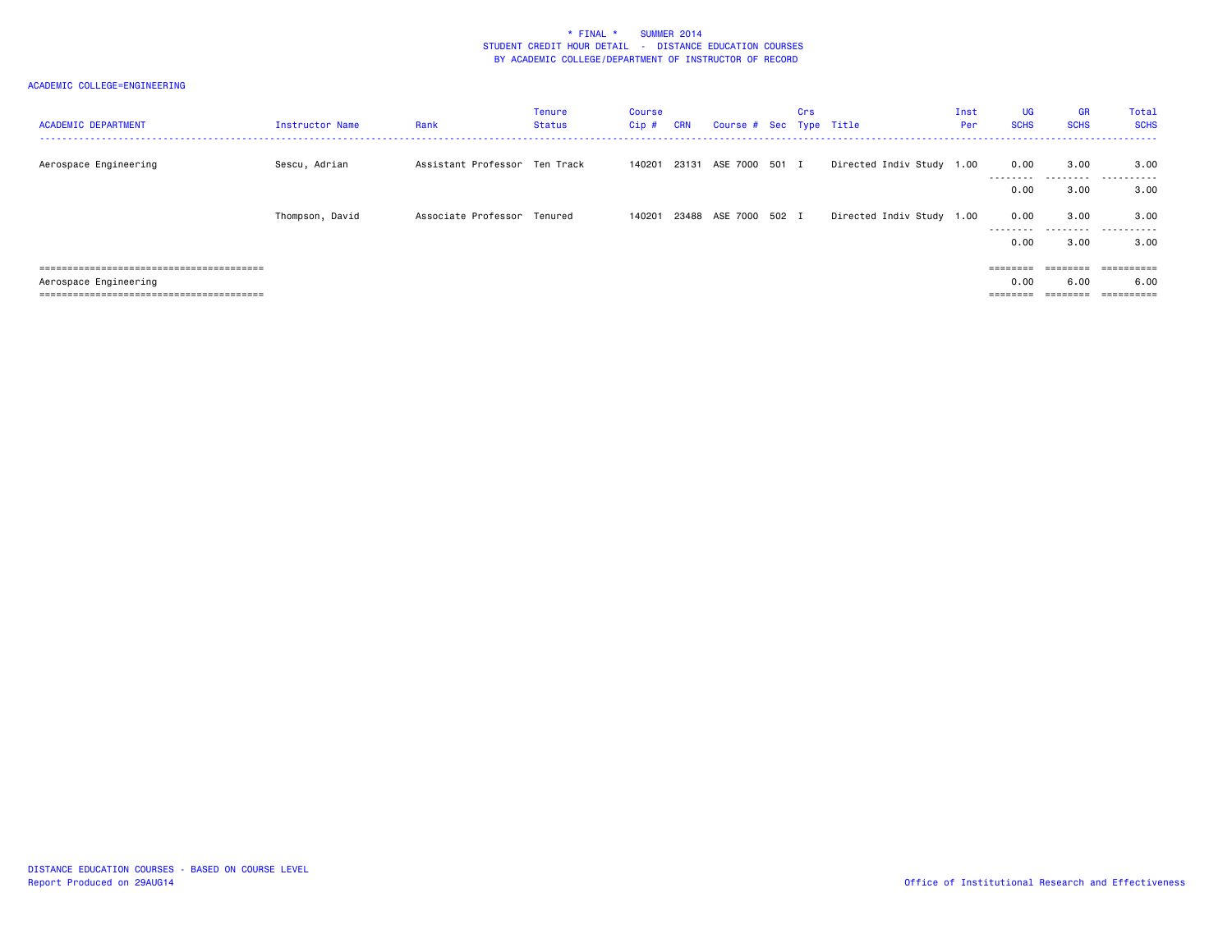| <b>ACADEMIC DEPARTMENT</b> | Instructor Name | Rank                          | Tenure<br>Status | Course<br>$Cip$ # | <b>CRN</b> | Course # Sec Type Title | Crs |                           | Inst<br>Per | <b>UG</b><br><b>SCHS</b>                                                | <b>GR</b><br><b>SCHS</b> | Total<br><b>SCHS</b> |
|----------------------------|-----------------|-------------------------------|------------------|-------------------|------------|-------------------------|-----|---------------------------|-------------|-------------------------------------------------------------------------|--------------------------|----------------------|
| Aerospace Engineering      | Sescu, Adrian   | Assistant Professor Ten Track |                  | 140201            |            | 23131 ASE 7000 501 I    |     | Directed Indiv Study 1.00 |             | 0.00<br>---------                                                       | 3.00                     | 3.00                 |
|                            |                 |                               |                  |                   |            |                         |     |                           |             | 0.00                                                                    | 3.00                     | 3.00                 |
|                            | Thompson, David | Associate Professor Tenured   |                  | 140201            |            | 23488 ASE 7000 502 I    |     | Directed Indiv Study 1.00 |             | 0.00<br>---------                                                       | 3.00<br>---------        | 3.00<br>.            |
|                            |                 |                               |                  |                   |            |                         |     |                           |             | 0.00                                                                    | 3.00                     | 3.00                 |
|                            |                 |                               |                  |                   |            |                         |     |                           |             | $\qquad \qquad \equiv \equiv \equiv \equiv \equiv \equiv \equiv \equiv$ | ========                 | ==========           |
| Aerospace Engineering      |                 |                               |                  |                   |            |                         |     |                           |             | 0.00                                                                    | 6.00                     | 6.00                 |
|                            |                 |                               |                  |                   |            |                         |     |                           |             | ========                                                                | ========                 |                      |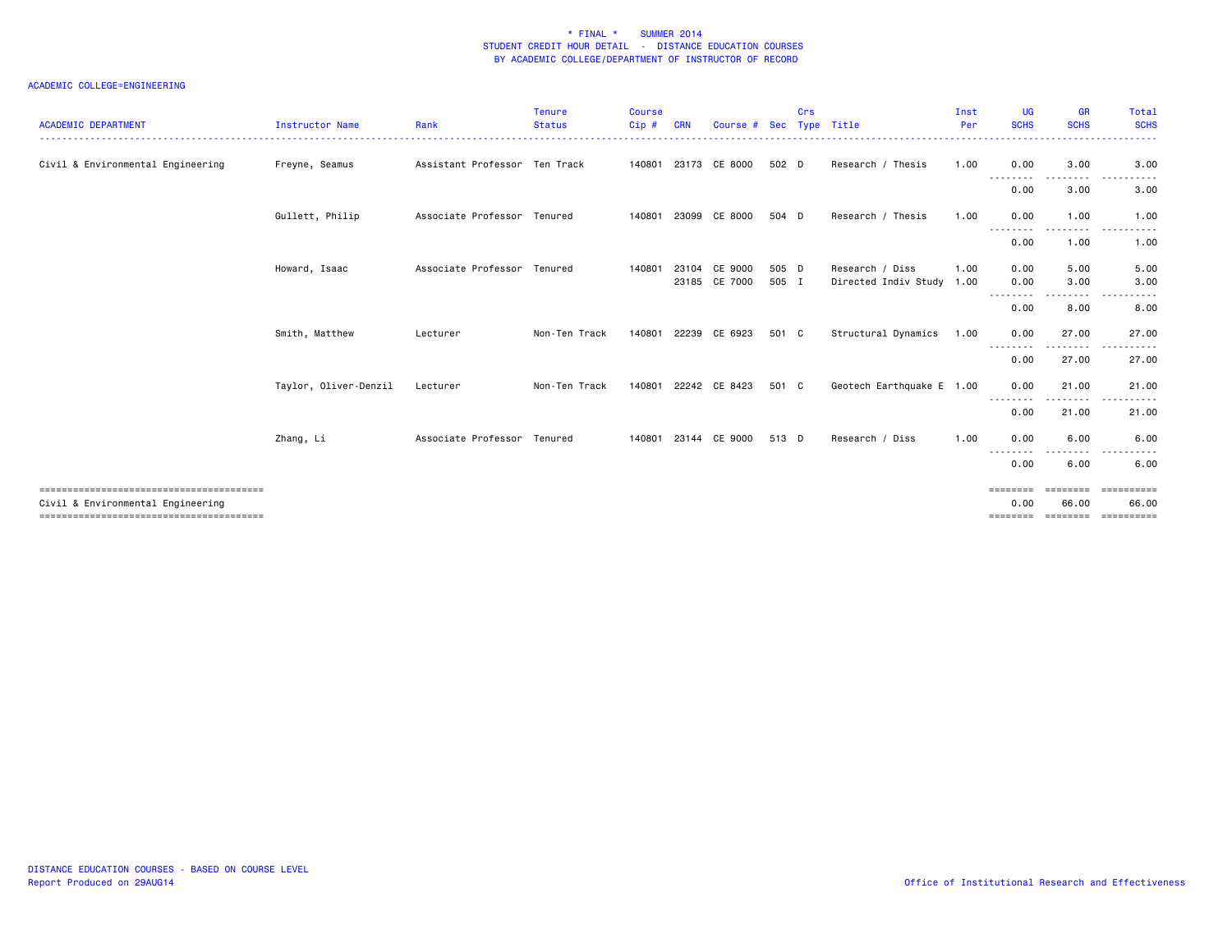| <b>ACADEMIC DEPARTMENT</b>        | <b>Instructor Name</b> | Rank                          | <b>Tenure</b><br><b>Status</b> | <b>Course</b><br>Cip# | <b>CRN</b> | Course #                       |                | Crs | Sec Type Title                               | Inst<br>Per | UG<br><b>SCHS</b>         | <b>GR</b><br><b>SCHS</b> | Total<br><b>SCHS</b> |
|-----------------------------------|------------------------|-------------------------------|--------------------------------|-----------------------|------------|--------------------------------|----------------|-----|----------------------------------------------|-------------|---------------------------|--------------------------|----------------------|
| Civil & Environmental Engineering | Freyne, Seamus         | Assistant Professor Ten Track |                                |                       |            | 140801 23173 CE 8000           | 502 D          |     | Research / Thesis                            | 1.00        | 0.00                      | 3.00                     | 3.00                 |
|                                   |                        |                               |                                |                       |            |                                |                |     |                                              |             | - - - - - - - - -<br>0.00 | --------<br>3.00         | 3.00                 |
|                                   | Gullett, Philip        | Associate Professor Tenured   |                                | 140801                |            | 23099 CE 8000                  | 504 D          |     | Research / Thesis                            | 1.00        | 0.00                      | 1.00                     | 1.00                 |
|                                   |                        |                               |                                |                       |            |                                |                |     |                                              |             | 0.00                      | 1.00                     | 1.00                 |
|                                   | Howard, Isaac          | Associate Professor Tenured   |                                | 140801                |            | 23104 CE 9000<br>23185 CE 7000 | 505 D<br>505 I |     | Research / Diss<br>Directed Indiv Study 1.00 | 1.00        | 0.00<br>0.00              | 5.00<br>3.00             | 5.00<br>3.00         |
|                                   |                        |                               |                                |                       |            |                                |                |     |                                              |             | 0.00                      | .<br>8.00                | 8.00                 |
|                                   | Smith, Matthew         | Lecturer                      | Non-Ten Track                  | 140801                |            | 22239 CE 6923                  | 501 C          |     | Structural Dynamics                          | 1.00        | 0.00                      | 27.00<br>.               | 27.00                |
|                                   |                        |                               |                                |                       |            |                                |                |     |                                              |             | 0.00                      | 27.00                    | 27.00                |
|                                   | Taylor, Oliver-Denzil  | Lecturer                      | Non-Ten Track                  | 140801                |            | 22242 CE 8423                  | 501 C          |     | Geotech Earthquake E 1.00                    |             | 0.00<br>--------          | 21.00<br>.               | 21.00                |
|                                   |                        |                               |                                |                       |            |                                |                |     |                                              |             | 0.00                      | 21.00                    | 21.00                |
|                                   | Zhang, Li              | Associate Professor Tenured   |                                | 140801                |            | 23144 CE 9000                  | 513 D          |     | Research / Diss                              | 1.00        | 0.00                      | 6.00                     | 6.00                 |
|                                   |                        |                               |                                |                       |            |                                |                |     |                                              |             | 0.00                      | 6.00                     | 6.00                 |
| Civil & Environmental Engineering |                        |                               |                                |                       |            |                                |                |     |                                              |             | ========<br>0.00          | ========<br>66.00        | ==========<br>66.00  |
|                                   |                        |                               |                                |                       |            |                                |                |     |                                              |             | ========                  | ========                 | ==========           |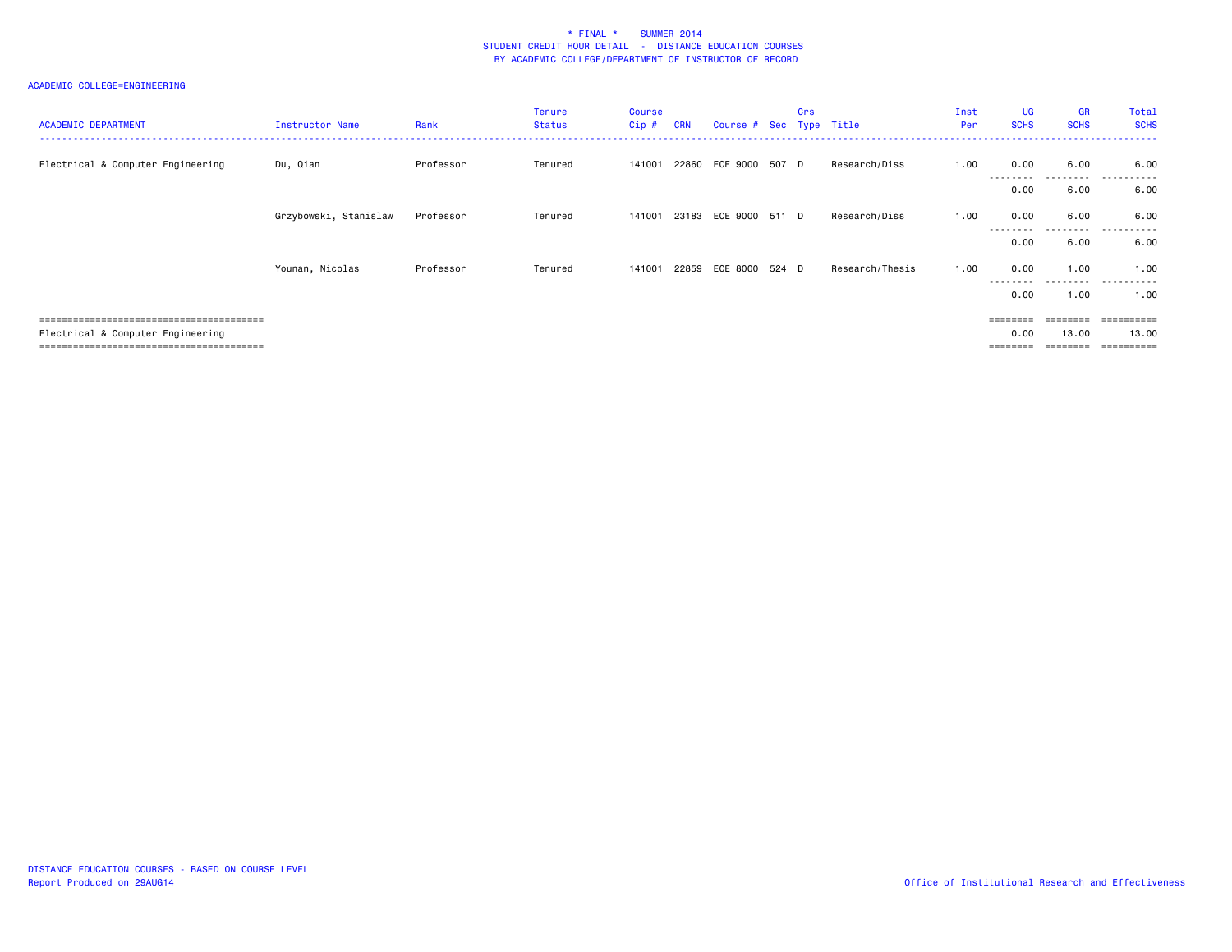| <b>ACADEMIC DEPARTMENT</b>        | Instructor Name       | Rank      | <b>Tenure</b><br><b>Status</b> | <b>Course</b><br>$Cip$ # | <b>CRN</b> | Course # Sec Type Title | Crs |                 | Inst<br>Per | <b>UG</b><br><b>SCHS</b> | <b>GR</b><br><b>SCHS</b> | Total<br><b>SCHS</b>    |
|-----------------------------------|-----------------------|-----------|--------------------------------|--------------------------|------------|-------------------------|-----|-----------------|-------------|--------------------------|--------------------------|-------------------------|
| Electrical & Computer Engineering | Du, Qian              | Professor | Tenured                        | 141001                   |            | 22860 ECE 9000 507 D    |     | Research/Diss   | 1.00        | 0.00<br>.                | 6.00<br>.                | 6.00<br>.               |
|                                   |                       |           |                                |                          |            |                         |     |                 |             | 0.00                     | 6.00                     | 6.00                    |
|                                   | Grzybowski, Stanislaw | Professor | Tenured                        | 141001                   |            | 23183 ECE 9000 511 D    |     | Research/Diss   | 1.00        | 0.00<br>---------        | 6.00<br>---------        | 6.00<br>.               |
|                                   |                       |           |                                |                          |            |                         |     |                 |             | 0.00                     | 6.00                     | 6.00                    |
|                                   | Younan, Nicolas       | Professor | Tenured                        | 141001                   |            | 22859 ECE 8000 524 D    |     | Research/Thesis | 1.00        | 0.00<br>.                | 1.00<br>.                | 1.00<br>.               |
|                                   |                       |           |                                |                          |            |                         |     |                 |             | 0.00                     | 1.00                     | 1.00                    |
|                                   |                       |           |                                |                          |            |                         |     |                 |             | ========                 | ========                 | $=$ = = = = = = = = $=$ |
| Electrical & Computer Engineering |                       |           |                                |                          |            |                         |     |                 |             | 0.00                     | 13.00                    | 13.00                   |
|                                   |                       |           |                                |                          |            |                         |     |                 |             | =======                  |                          | $=$ = = = = = = = = $=$ |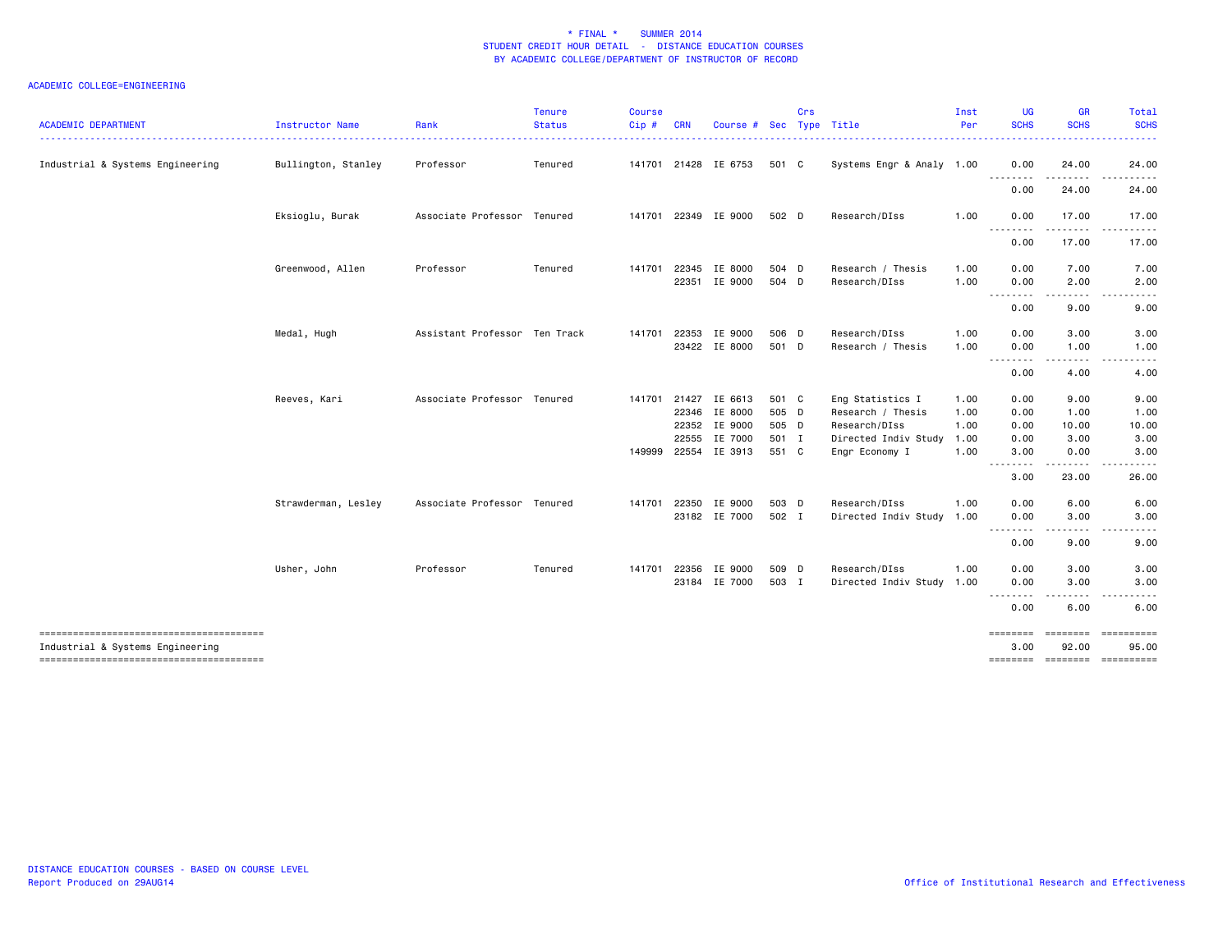| <b>ACADEMIC DEPARTMENT</b>       | <b>Instructor Name</b> | Rank                          | <b>Tenure</b><br><b>Status</b> | <b>Course</b><br>Cip# | <b>CRN</b> | Course # Sec Type Title                         |                         | Crs |                                                        | Inst<br>Per          | <b>UG</b><br><b>SCHS</b> | <b>GR</b><br><b>SCHS</b> | Total<br><b>SCHS</b>  |
|----------------------------------|------------------------|-------------------------------|--------------------------------|-----------------------|------------|-------------------------------------------------|-------------------------|-----|--------------------------------------------------------|----------------------|--------------------------|--------------------------|-----------------------|
| Industrial & Systems Engineering | Bullington, Stanley    | Professor                     | Tenured                        |                       |            | 141701 21428 IE 6753                            | 501 C                   |     | Systems Engr & Analy 1.00                              |                      | 0.00                     | 24.00                    | 24.00                 |
|                                  |                        |                               |                                |                       |            |                                                 |                         |     |                                                        |                      | .<br>0.00                | 24.00                    | 24.00                 |
|                                  | Eksioglu, Burak        | Associate Professor Tenured   |                                |                       |            | 141701 22349 IE 9000                            | 502 D                   |     | Research/DIss                                          | 1.00                 | 0.00                     | 17.00                    | 17.00                 |
|                                  |                        |                               |                                |                       |            |                                                 |                         |     |                                                        |                      | .<br>0.00                | .<br>17.00               | 17.00                 |
|                                  | Greenwood, Allen       | Professor                     | Tenured                        | 141701                |            | 22345 IE 8000<br>22351 IE 9000                  | 504 D<br>504 D          |     | Research / Thesis<br>Research/DIss                     | 1.00<br>1.00         | 0.00<br>0.00             | 7.00<br>2.00             | 7.00<br>2.00          |
|                                  |                        |                               |                                |                       |            |                                                 |                         |     |                                                        |                      | .<br>0.00                | 9.00                     | 9.00                  |
|                                  | Medal, Hugh            | Assistant Professor Ten Track |                                | 141701                | 22353      | IE 9000                                         | 506 D                   |     | Research/DIss                                          | 1.00                 | 0.00                     | 3.00                     | 3.00                  |
|                                  |                        |                               |                                |                       |            | 23422 IE 8000                                   | 501 D                   |     | Research / Thesis                                      | 1.00                 | 0.00<br><u>.</u>         | 1.00                     | 1.00                  |
|                                  |                        |                               |                                |                       |            |                                                 |                         |     |                                                        |                      | 0.00                     | 4.00                     | 4.00                  |
|                                  | Reeves, Kari           | Associate Professor Tenured   |                                | 141701                |            | 21427 IE 6613<br>22346 IE 8000<br>22352 IE 9000 | 501 C<br>505 D<br>505 D |     | Eng Statistics I<br>Research / Thesis<br>Research/DIss | 1.00<br>1.00<br>1.00 | 0.00<br>0.00<br>0.00     | 9.00<br>1.00<br>10.00    | 9.00<br>1.00<br>10.00 |
|                                  |                        |                               |                                | 149999                | 22555      | IE 7000<br>22554 IE 3913                        | 501 I<br>551 C          |     | Directed Indiv Study 1.00<br>Engr Economy I            | 1.00                 | 0.00<br>3.00             | 3.00<br>0.00             | 3.00<br>3.00          |
|                                  |                        |                               |                                |                       |            |                                                 |                         |     |                                                        |                      | .<br>3.00                | 23.00                    | 26.00                 |
|                                  | Strawderman, Lesley    | Associate Professor Tenured   |                                | 141701                |            | 22350 IE 9000<br>23182 IE 7000                  | 503 D<br>502 I          |     | Research/DIss<br>Directed Indiv Study                  | 1.00<br>1.00         | 0.00<br>0.00             | 6.00<br>3.00             | 6.00<br>3.00          |
|                                  |                        |                               |                                |                       |            |                                                 |                         |     |                                                        |                      | .<br>0.00                | 9.00                     | 9.00                  |
|                                  | Usher, John            | Professor                     | Tenured                        | 141701                |            | 22356 IE 9000<br>23184 IE 7000                  | 509 D<br>503 I          |     | Research/DIss<br>Directed Indiv Study 1.00             | 1.00                 | 0.00<br>0.00             | 3.00<br>3.00             | 3.00<br>3.00          |
|                                  |                        |                               |                                |                       |            |                                                 |                         |     |                                                        |                      | .<br>0.00                | .<br>6.00                | 6.00                  |
| Industrial & Systems Engineering |                        |                               |                                |                       |            |                                                 |                         |     |                                                        |                      | <b>EBEREES</b><br>3,00   | ========<br>92.00        | ==========<br>95.00   |